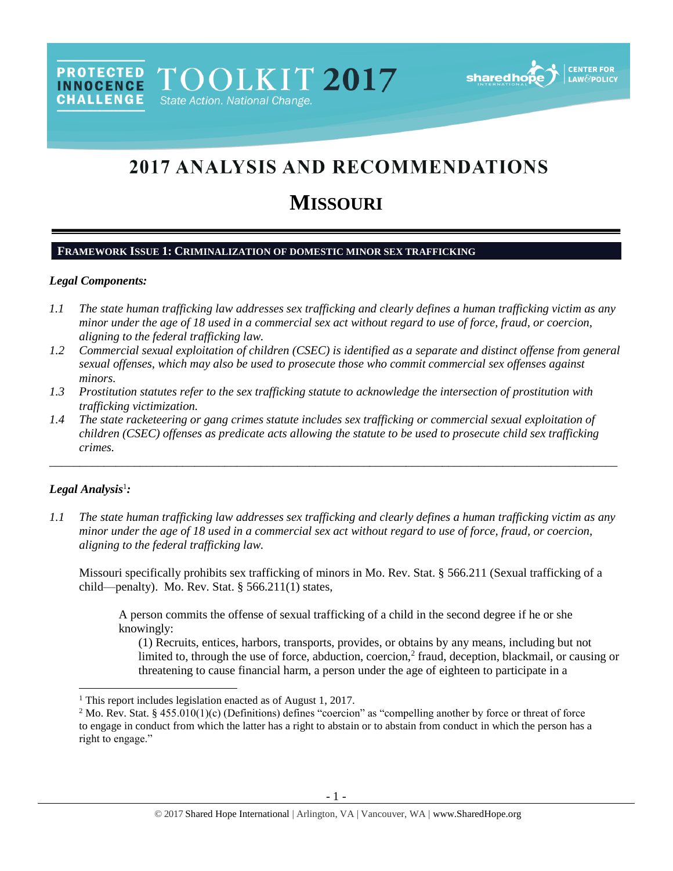**sharedh** 

# 2017 ANALYSIS AND RECOMMENDATIONS

# **MISSOURI**

## **FRAMEWORK ISSUE 1: CRIMINALIZATION OF DOMESTIC MINOR SEX TRAFFICKING**

TOOLKIT 2017

State Action. National Change.

#### *Legal Components:*

**PROTECTED** 

**INNOCENCE CHALLENGE** 

- *1.1 The state human trafficking law addresses sex trafficking and clearly defines a human trafficking victim as any minor under the age of 18 used in a commercial sex act without regard to use of force, fraud, or coercion, aligning to the federal trafficking law.*
- *1.2 Commercial sexual exploitation of children (CSEC) is identified as a separate and distinct offense from general sexual offenses, which may also be used to prosecute those who commit commercial sex offenses against minors.*
- *1.3 Prostitution statutes refer to the sex trafficking statute to acknowledge the intersection of prostitution with trafficking victimization.*
- *1.4 The state racketeering or gang crimes statute includes sex trafficking or commercial sexual exploitation of children (CSEC) offenses as predicate acts allowing the statute to be used to prosecute child sex trafficking crimes.*

\_\_\_\_\_\_\_\_\_\_\_\_\_\_\_\_\_\_\_\_\_\_\_\_\_\_\_\_\_\_\_\_\_\_\_\_\_\_\_\_\_\_\_\_\_\_\_\_\_\_\_\_\_\_\_\_\_\_\_\_\_\_\_\_\_\_\_\_\_\_\_\_\_\_\_\_\_\_\_\_\_\_\_\_\_\_\_\_\_\_\_\_\_\_

## *Legal Analysis*<sup>1</sup> *:*

 $\overline{\phantom{a}}$ 

*1.1 The state human trafficking law addresses sex trafficking and clearly defines a human trafficking victim as any minor under the age of 18 used in a commercial sex act without regard to use of force, fraud, or coercion, aligning to the federal trafficking law.*

Missouri specifically prohibits sex trafficking of minors in Mo. Rev. Stat. § 566.211 (Sexual trafficking of a child—penalty). Mo. Rev. Stat. § 566.211(1) states,

A person commits the offense of sexual trafficking of a child in the second degree if he or she knowingly:

(1) Recruits, entices, harbors, transports, provides, or obtains by any means, including but not limited to, through the use of force, abduction, coercion,<sup>2</sup> fraud, deception, blackmail, or causing or threatening to cause financial harm, a person under the age of eighteen to participate in a

<sup>&</sup>lt;sup>1</sup> This report includes legislation enacted as of August 1, 2017.

<sup>&</sup>lt;sup>2</sup> Mo. Rev. Stat. § 455.010(1)(c) (Definitions) defines "coercion" as "compelling another by force or threat of force to engage in conduct from which the latter has a right to abstain or to abstain from conduct in which the person has a right to engage."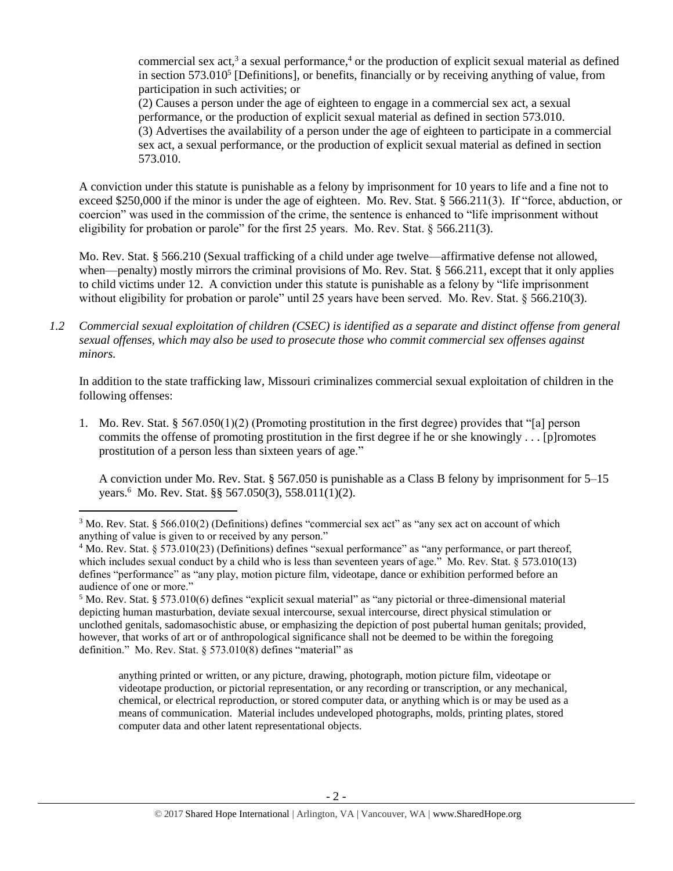<span id="page-1-2"></span><span id="page-1-0"></span>commercial sex act,<sup>3</sup> a sexual performance,<sup>4</sup> or the production of explicit sexual material as defined in section 573.010<sup>5</sup> [Definitions], or benefits, financially or by receiving anything of value, from participation in such activities; or (2) Causes a person under the age of eighteen to engage in a commercial sex act, a sexual performance, or the production of explicit sexual material as defined in section 573.010. (3) Advertises the availability of a person under the age of eighteen to participate in a commercial sex act, a sexual performance, or the production of explicit sexual material as defined in section

A conviction under this statute is punishable as a felony by imprisonment for 10 years to life and a fine not to exceed \$250,000 if the minor is under the age of eighteen. Mo. Rev. Stat. § 566.211(3). If "force, abduction, or coercion" was used in the commission of the crime, the sentence is enhanced to "life imprisonment without eligibility for probation or parole" for the first 25 years. Mo. Rev. Stat.  $\S$  566.211(3).

573.010.

 $\overline{\phantom{a}}$ 

Mo. Rev. Stat. § 566.210 (Sexual trafficking of a child under age twelve—affirmative defense not allowed, when—penalty) mostly mirrors the criminal provisions of Mo. Rev. Stat. § 566.211, except that it only applies to child victims under 12. A conviction under this statute is punishable as a felony by "life imprisonment without eligibility for probation or parole" until 25 years have been served. Mo. Rev. Stat. § 566.210(3).

*1.2 Commercial sexual exploitation of children (CSEC) is identified as a separate and distinct offense from general sexual offenses, which may also be used to prosecute those who commit commercial sex offenses against minors.*

In addition to the state trafficking law, Missouri criminalizes commercial sexual exploitation of children in the following offenses:

1. Mo. Rev. Stat. § 567.050(1)(2) (Promoting prostitution in the first degree) provides that "[a] person commits the offense of promoting prostitution in the first degree if he or she knowingly . . . [p]romotes prostitution of a person less than sixteen years of age."

<span id="page-1-1"></span>A conviction under Mo. Rev. Stat. § 567.050 is punishable as a Class B felony by imprisonment for 5–15 years.<sup>6</sup> Mo. Rev. Stat. §§ 567.050(3), 558.011(1)(2).

anything printed or written, or any picture, drawing, photograph, motion picture film, videotape or videotape production, or pictorial representation, or any recording or transcription, or any mechanical, chemical, or electrical reproduction, or stored computer data, or anything which is or may be used as a means of communication. Material includes undeveloped photographs, molds, printing plates, stored computer data and other latent representational objects.

 $3$  Mo. Rev. Stat. § 566.010(2) (Definitions) defines "commercial sex act" as "any sex act on account of which anything of value is given to or received by any person."

<sup>4</sup> Mo. Rev. Stat. § 573.010(23) (Definitions) defines "sexual performance" as "any performance, or part thereof, which includes sexual conduct by a child who is less than seventeen years of age." Mo. Rev. Stat. § 573.010(13) defines "performance" as "any play, motion picture film, videotape, dance or exhibition performed before an audience of one or more."

<sup>5</sup> Mo. Rev. Stat. § 573.010(6) defines "explicit sexual material" as "any pictorial or three-dimensional material depicting human masturbation, deviate sexual intercourse, sexual intercourse, direct physical stimulation or unclothed genitals, sadomasochistic abuse, or emphasizing the depiction of post pubertal human genitals; provided, however, that works of art or of anthropological significance shall not be deemed to be within the foregoing definition." Mo. Rev. Stat. § 573.010(8) defines "material" as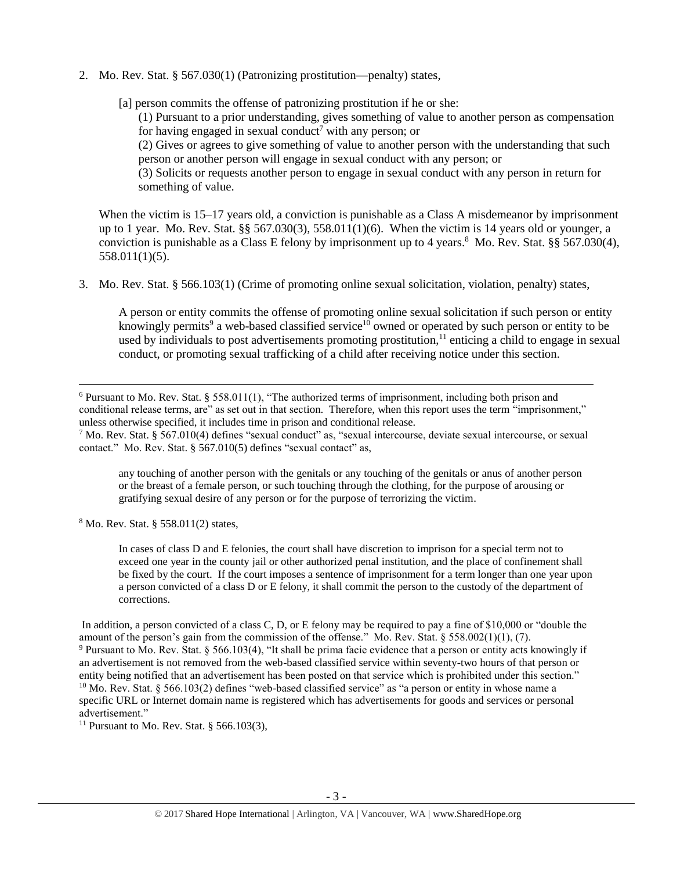2. Mo. Rev. Stat. § 567.030(1) (Patronizing prostitution—penalty) states,

[a] person commits the offense of patronizing prostitution if he or she:

(1) Pursuant to a prior understanding, gives something of value to another person as compensation for having engaged in sexual conduct<sup>7</sup> with any person; or

<span id="page-2-1"></span>(2) Gives or agrees to give something of value to another person with the understanding that such person or another person will engage in sexual conduct with any person; or

<span id="page-2-0"></span>(3) Solicits or requests another person to engage in sexual conduct with any person in return for something of value.

When the victim is 15–17 years old, a conviction is punishable as a Class A misdemeanor by imprisonment up to 1 year. Mo. Rev. Stat. §§ 567.030(3), 558.011(1)(6). When the victim is 14 years old or younger, a conviction is punishable as a Class E felony by imprisonment up to 4 years.<sup>8</sup> Mo. Rev. Stat. §§ 567.030(4), 558.011(1)(5).

3. Mo. Rev. Stat. § 566.103(1) (Crime of promoting online sexual solicitation, violation, penalty) states,

A person or entity commits the offense of promoting online sexual solicitation if such person or entity knowingly permits<sup>9</sup> a web-based classified service<sup>10</sup> owned or operated by such person or entity to be used by individuals to post advertisements promoting prostitution,  $11$  enticing a child to engage in sexual conduct, or promoting sexual trafficking of a child after receiving notice under this section.

any touching of another person with the genitals or any touching of the genitals or anus of another person or the breast of a female person, or such touching through the clothing, for the purpose of arousing or gratifying sexual desire of any person or for the purpose of terrorizing the victim.

<sup>8</sup> Mo. Rev. Stat. § 558.011(2) states,

l

In cases of class D and E felonies, the court shall have discretion to imprison for a special term not to exceed one year in the county jail or other authorized penal institution, and the place of confinement shall be fixed by the court. If the court imposes a sentence of imprisonment for a term longer than one year upon a person convicted of a class D or E felony, it shall commit the person to the custody of the department of corrections.

In addition, a person convicted of a class C, D, or E felony may be required to pay a fine of \$10,000 or "double the amount of the person's gain from the commission of the offense." Mo. Rev. Stat.  $\S 558.002(1)(1)$ , (7). <sup>9</sup> Pursuant to Mo. Rev. Stat. § 566.103(4), "It shall be prima facie evidence that a person or entity acts knowingly if an advertisement is not removed from the web-based classified service within seventy-two hours of that person or entity being notified that an advertisement has been posted on that service which is prohibited under this section."  $10$  Mo. Rev. Stat. § 566.103(2) defines "web-based classified service" as "a person or entity in whose name a specific URL or Internet domain name is registered which has advertisements for goods and services or personal advertisement."

<sup>11</sup> Pursuant to Mo. Rev. Stat. § 566.103(3),

 $6$  Pursuant to Mo. Rev. Stat. § 558.011(1), "The authorized terms of imprisonment, including both prison and conditional release terms, are" as set out in that section. Therefore, when this report uses the term "imprisonment," unless otherwise specified, it includes time in prison and conditional release.

<sup>7</sup> Mo. Rev. Stat. § 567.010(4) defines "sexual conduct" as, "sexual intercourse, deviate sexual intercourse, or sexual contact." Mo. Rev. Stat. § 567.010(5) defines "sexual contact" as,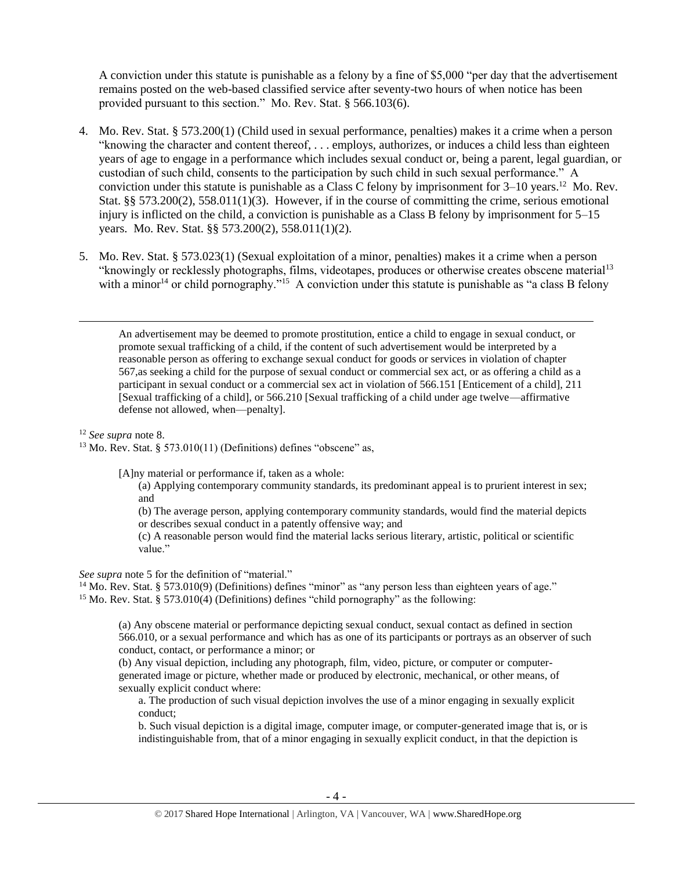A conviction under this statute is punishable as a felony by a fine of \$5,000 "per day that the advertisement remains posted on the web-based classified service after seventy-two hours of when notice has been provided pursuant to this section." Mo. Rev. Stat. § 566.103(6).

- 4. Mo. Rev. Stat. § 573.200(1) (Child used in sexual performance, penalties) makes it a crime when a person "knowing the character and content thereof, . . . employs, authorizes, or induces a child less than eighteen years of age to engage in a performance which includes sexual conduct or, being a parent, legal guardian, or custodian of such child, consents to the participation by such child in such sexual performance." A conviction under this statute is punishable as a Class C felony by imprisonment for  $3-10$  years.<sup>12</sup> Mo. Rev. Stat. §§ 573.200(2), 558.011(1)(3). However, if in the course of committing the crime, serious emotional injury is inflicted on the child, a conviction is punishable as a Class B felony by imprisonment for  $5-15$ years. Mo. Rev. Stat. §§ 573.200(2), 558.011(1)(2).
- 5. Mo. Rev. Stat. § 573.023(1) (Sexual exploitation of a minor, penalties) makes it a crime when a person "knowingly or recklessly photographs, films, videotapes, produces or otherwise creates obscene material<sup>13</sup> with a minor<sup>14</sup> or child pornography."<sup>15</sup> A conviction under this statute is punishable as "a class B felony

<span id="page-3-1"></span><span id="page-3-0"></span>An advertisement may be deemed to promote prostitution, entice a child to engage in sexual conduct, or promote sexual trafficking of a child, if the content of such advertisement would be interpreted by a reasonable person as offering to exchange sexual conduct for goods or services in violation of chapter 567,as seeking a child for the purpose of sexual conduct or commercial sex act, or as offering a child as a participant in sexual conduct or a commercial sex act in violation of 566.151 [Enticement of a child], 211 [Sexual trafficking of a child], or 566.210 [Sexual trafficking of a child under age twelve—affirmative defense not allowed, when—penalty].

<sup>12</sup> *See supra* note [8.](#page-2-0)

 $\overline{a}$ 

 $13$  Mo. Rev. Stat. § 573.010(11) (Definitions) defines "obscene" as,

[A]ny material or performance if, taken as a whole:

(a) Applying contemporary community standards, its predominant appeal is to prurient interest in sex; and

(b) The average person, applying contemporary community standards, would find the material depicts or describes sexual conduct in a patently offensive way; and

(c) A reasonable person would find the material lacks serious literary, artistic, political or scientific value."

*See supra* note [5](#page-1-0) for the definition of "material."

<sup>14</sup> Mo. Rev. Stat. § 573.010(9) (Definitions) defines "minor" as "any person less than eighteen years of age." <sup>15</sup> Mo. Rev. Stat. § 573.010(4) (Definitions) defines "child pornography" as the following:

(a) Any obscene material or performance depicting sexual conduct, sexual contact as defined in section 566.010, or a sexual performance and which has as one of its participants or portrays as an observer of such conduct, contact, or performance a minor; or

(b) Any visual depiction, including any photograph, film, video, picture, or computer or computergenerated image or picture, whether made or produced by electronic, mechanical, or other means, of sexually explicit conduct where:

a. The production of such visual depiction involves the use of a minor engaging in sexually explicit conduct;

b. Such visual depiction is a digital image, computer image, or computer-generated image that is, or is indistinguishable from, that of a minor engaging in sexually explicit conduct, in that the depiction is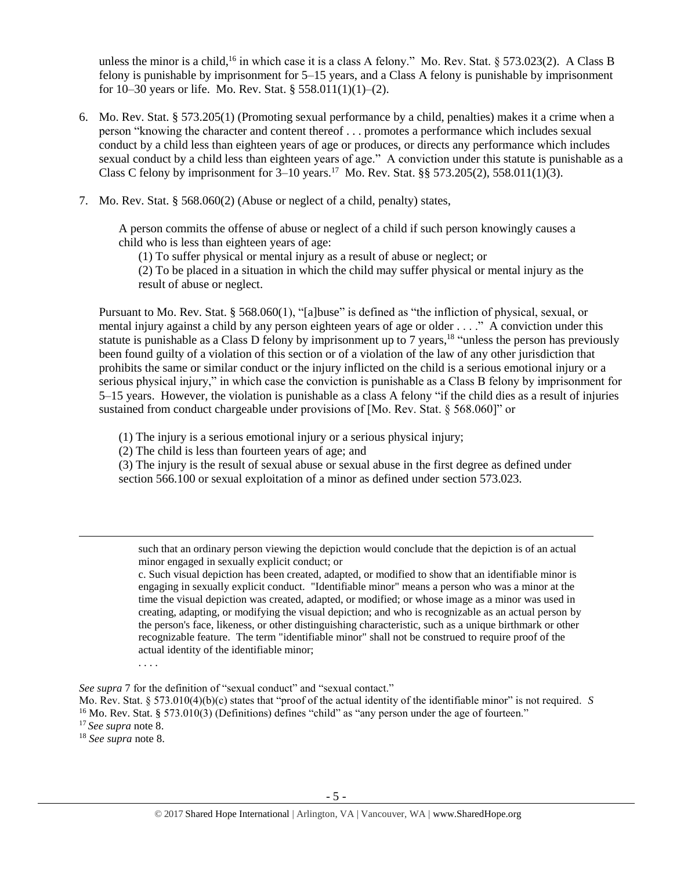unless the minor is a child,<sup>16</sup> in which case it is a class A felony." Mo. Rev. Stat. § 573.023(2). A Class B felony is punishable by imprisonment for 5–15 years, and a Class A felony is punishable by imprisonment for 10–30 years or life. Mo. Rev. Stat. § 558.011(1)(1)–(2).

- 6. Mo. Rev. Stat. § 573.205(1) (Promoting sexual performance by a child, penalties) makes it a crime when a person "knowing the character and content thereof . . . promotes a performance which includes sexual conduct by a child less than eighteen years of age or produces, or directs any performance which includes sexual conduct by a child less than eighteen years of age." A conviction under this statute is punishable as a Class C felony by imprisonment for  $3-10$  years.<sup>17</sup> Mo. Rev. Stat. §§ 573.205(2), 558.011(1)(3).
- 7. Mo. Rev. Stat. § 568.060(2) (Abuse or neglect of a child, penalty) states,

A person commits the offense of abuse or neglect of a child if such person knowingly causes a child who is less than eighteen years of age:

(1) To suffer physical or mental injury as a result of abuse or neglect; or

(2) To be placed in a situation in which the child may suffer physical or mental injury as the result of abuse or neglect.

Pursuant to Mo. Rev. Stat. § 568.060(1), "[a]buse" is defined as "the infliction of physical, sexual, or mental injury against a child by any person eighteen years of age or older . . . ." A conviction under this statute is punishable as a Class D felony by imprisonment up to 7 years,<sup>18</sup> "unless the person has previously been found guilty of a violation of this section or of a violation of the law of any other jurisdiction that prohibits the same or similar conduct or the injury inflicted on the child is a serious emotional injury or a serious physical injury," in which case the conviction is punishable as a Class B felony by imprisonment for 5–15 years. However, the violation is punishable as a class A felony "if the child dies as a result of injuries sustained from conduct chargeable under provisions of [Mo. Rev. Stat. § 568.060]" or

(1) The injury is a serious emotional injury or a serious physical injury;

(2) The child is less than fourteen years of age; and

(3) The injury is the result of sexual abuse or sexual abuse in the first degree as defined under section 566.100 or sexual exploitation of a minor as defined under section 573.023.

such that an ordinary person viewing the depiction would conclude that the depiction is of an actual minor engaged in sexually explicit conduct; or

c. Such visual depiction has been created, adapted, or modified to show that an identifiable minor is engaging in sexually explicit conduct. "Identifiable minor" means a person who was a minor at the time the visual depiction was created, adapted, or modified; or whose image as a minor was used in creating, adapting, or modifying the visual depiction; and who is recognizable as an actual person by the person's face, likeness, or other distinguishing characteristic, such as a unique birthmark or other recognizable feature. The term "identifiable minor" shall not be construed to require proof of the actual identity of the identifiable minor;

. . . .

*See supra* [7](#page-2-1) for the definition of "sexual conduct" and "sexual contact."

Mo. Rev. Stat. § 573.010(4)(b)(c) states that "proof of the actual identity of the identifiable minor" is not required. *S* <sup>16</sup> Mo. Rev. Stat. § 573.010(3) (Definitions) defines "child" as "any person under the age of fourteen."

<sup>17</sup> *See supra* not[e 8.](#page-2-0)

l

<sup>18</sup> *See supra* note [8.](#page-2-0)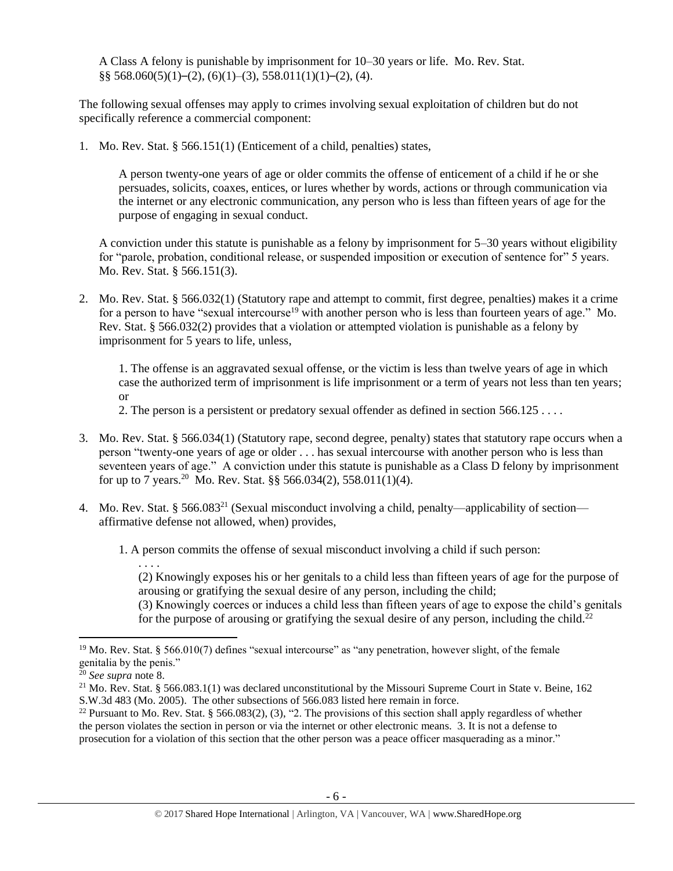A Class A felony is punishable by imprisonment for 10–30 years or life. Mo. Rev. Stat.  $\S$ § 568.060(5)(1)–(2), (6)(1)–(3), 558.011(1)(1)–(2), (4).

The following sexual offenses may apply to crimes involving sexual exploitation of children but do not specifically reference a commercial component:

1. Mo. Rev. Stat. § 566.151(1) (Enticement of a child, penalties) states,

A person twenty-one years of age or older commits the offense of enticement of a child if he or she persuades, solicits, coaxes, entices, or lures whether by words, actions or through communication via the internet or any electronic communication, any person who is less than fifteen years of age for the purpose of engaging in sexual conduct.

A conviction under this statute is punishable as a felony by imprisonment for 5–30 years without eligibility for "parole, probation, conditional release, or suspended imposition or execution of sentence for" 5 years. Mo. Rev. Stat. § 566.151(3).

2. Mo. Rev. Stat. § 566.032(1) (Statutory rape and attempt to commit, first degree, penalties) makes it a crime for a person to have "sexual intercourse<sup>19</sup> with another person who is less than fourteen years of age." Mo. Rev. Stat. § 566.032(2) provides that a violation or attempted violation is punishable as a felony by imprisonment for 5 years to life, unless,

1. The offense is an aggravated sexual offense, or the victim is less than twelve years of age in which case the authorized term of imprisonment is life imprisonment or a term of years not less than ten years; or

2. The person is a persistent or predatory sexual offender as defined in section 566.125 . . . .

- 3. Mo. Rev. Stat. § 566.034(1) (Statutory rape, second degree, penalty) states that statutory rape occurs when a person "twenty-one years of age or older . . . has sexual intercourse with another person who is less than seventeen years of age." A conviction under this statute is punishable as a Class D felony by imprisonment for up to 7 years.<sup>20</sup> Mo. Rev. Stat. §§ 566.034(2), 558.011(1)(4).
- 4. Mo. Rev. Stat. § 566.083<sup>21</sup> (Sexual misconduct involving a child, penalty—applicability of section affirmative defense not allowed, when) provides,

1. A person commits the offense of sexual misconduct involving a child if such person:

(2) Knowingly exposes his or her genitals to a child less than fifteen years of age for the purpose of arousing or gratifying the sexual desire of any person, including the child;

(3) Knowingly coerces or induces a child less than fifteen years of age to expose the child's genitals for the purpose of arousing or gratifying the sexual desire of any person, including the child.<sup>22</sup>

 $\overline{\phantom{a}}$ 

. . . .

<sup>&</sup>lt;sup>19</sup> Mo. Rev. Stat. § 566.010(7) defines "sexual intercourse" as "any penetration, however slight, of the female genitalia by the penis."

<sup>20</sup> *See supra* note [8.](#page-2-0)

<sup>&</sup>lt;sup>21</sup> Mo. Rev. Stat. § 566.083.1(1) was declared unconstitutional by the Missouri Supreme Court in State v. Beine, 162 S.W.3d 483 (Mo. 2005). The other subsections of 566.083 listed here remain in force.

<sup>&</sup>lt;sup>22</sup> Pursuant to Mo. Rev. Stat. § 566.083(2), (3), "2. The provisions of this section shall apply regardless of whether the person violates the section in person or via the internet or other electronic means. 3. It is not a defense to prosecution for a violation of this section that the other person was a peace officer masquerading as a minor."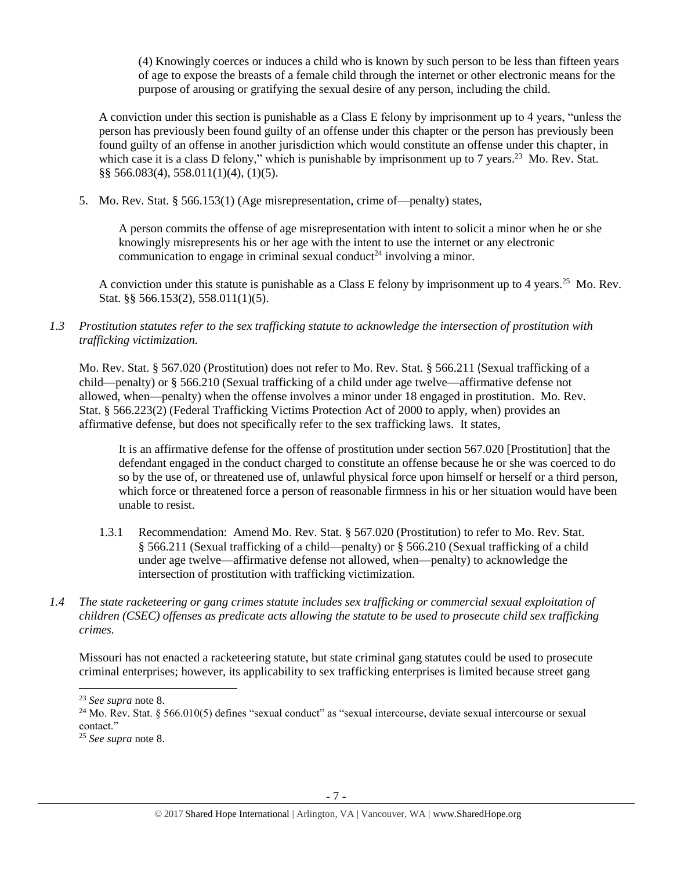(4) Knowingly coerces or induces a child who is known by such person to be less than fifteen years of age to expose the breasts of a female child through the internet or other electronic means for the purpose of arousing or gratifying the sexual desire of any person, including the child.

A conviction under this section is punishable as a Class E felony by imprisonment up to 4 years, "unless the person has previously been found guilty of an offense under this chapter or the person has previously been found guilty of an offense in another jurisdiction which would constitute an offense under this chapter, in which case it is a class D felony," which is punishable by imprisonment up to 7 years.<sup>23</sup> Mo. Rev. Stat. §§ 566.083(4), 558.011(1)(4), (1)(5).

5. Mo. Rev. Stat. § 566.153(1) (Age misrepresentation, crime of—penalty) states,

<span id="page-6-0"></span>A person commits the offense of age misrepresentation with intent to solicit a minor when he or she knowingly misrepresents his or her age with the intent to use the internet or any electronic communication to engage in criminal sexual conduct<sup>24</sup> involving a minor.

A conviction under this statute is punishable as a Class E felony by imprisonment up to 4 years.<sup>25</sup> Mo. Rev. Stat. §§ 566.153(2), 558.011(1)(5).

*1.3 Prostitution statutes refer to the sex trafficking statute to acknowledge the intersection of prostitution with trafficking victimization.* 

Mo. Rev. Stat. § 567.020 (Prostitution) does not refer to Mo. Rev. Stat. § 566.211 (Sexual trafficking of a child—penalty) or § 566.210 (Sexual trafficking of a child under age twelve—affirmative defense not allowed, when—penalty) when the offense involves a minor under 18 engaged in prostitution. Mo. Rev. Stat. § 566.223(2) (Federal Trafficking Victims Protection Act of 2000 to apply, when) provides an affirmative defense, but does not specifically refer to the sex trafficking laws. It states,

It is an affirmative defense for the offense of prostitution under section 567.020 [Prostitution] that the defendant engaged in the conduct charged to constitute an offense because he or she was coerced to do so by the use of, or threatened use of, unlawful physical force upon himself or herself or a third person, which force or threatened force a person of reasonable firmness in his or her situation would have been unable to resist.

- 1.3.1 Recommendation: Amend Mo. Rev. Stat. § 567.020 (Prostitution) to refer to Mo. Rev. Stat. § 566.211 (Sexual trafficking of a child—penalty) or § 566.210 (Sexual trafficking of a child under age twelve—affirmative defense not allowed, when—penalty) to acknowledge the intersection of prostitution with trafficking victimization.
- *1.4 The state racketeering or gang crimes statute includes sex trafficking or commercial sexual exploitation of children (CSEC) offenses as predicate acts allowing the statute to be used to prosecute child sex trafficking crimes.*

Missouri has not enacted a racketeering statute, but state criminal gang statutes could be used to prosecute criminal enterprises; however, its applicability to sex trafficking enterprises is limited because street gang

<sup>23</sup> *See supra* note [8.](#page-2-0)

 $24$  Mo. Rev. Stat. § 566.010(5) defines "sexual conduct" as "sexual intercourse, deviate sexual intercourse or sexual contact."

<sup>25</sup> *See supra* note [8.](#page-2-0)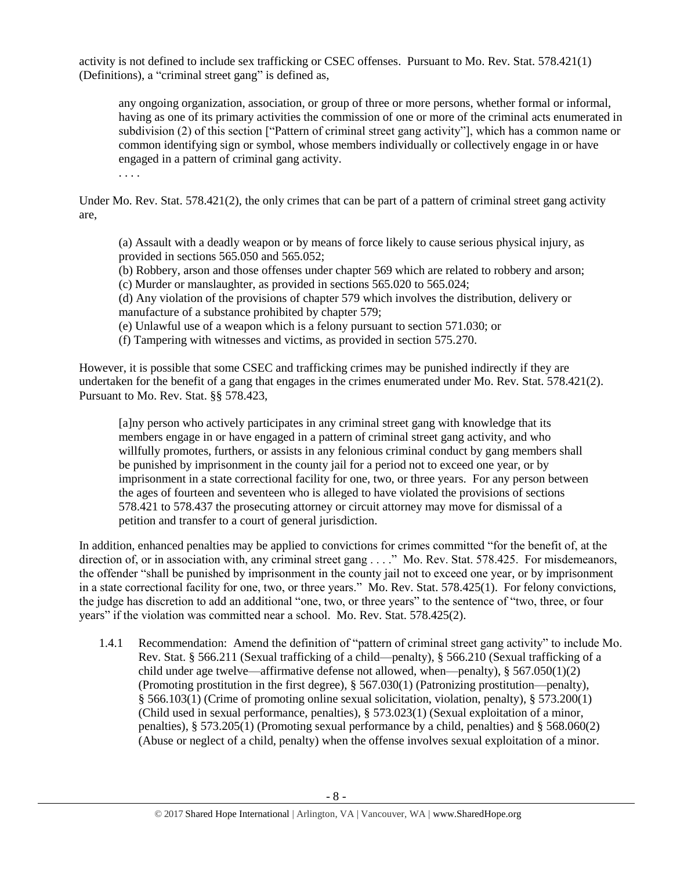activity is not defined to include sex trafficking or CSEC offenses. Pursuant to Mo. Rev. Stat. 578.421(1) (Definitions), a "criminal street gang" is defined as,

any ongoing organization, association, or group of three or more persons, whether formal or informal, having as one of its primary activities the commission of one or more of the criminal acts enumerated in subdivision (2) of this section ["Pattern of criminal street gang activity"], which has a common name or common identifying sign or symbol, whose members individually or collectively engage in or have engaged in a pattern of criminal gang activity.

. . . .

Under Mo. Rev. Stat. 578.421(2), the only crimes that can be part of a pattern of criminal street gang activity are,

(a) Assault with a deadly weapon or by means of force likely to cause serious physical injury, as provided in sections 565.050 and 565.052;

(b) Robbery, arson and those offenses under chapter 569 which are related to robbery and arson; (c) Murder or manslaughter, as provided in sections 565.020 to 565.024;

(d) Any violation of the provisions of chapter 579 which involves the distribution, delivery or manufacture of a substance prohibited by chapter 579;

(e) Unlawful use of a weapon which is a felony pursuant to section 571.030; or

(f) Tampering with witnesses and victims, as provided in section 575.270.

However, it is possible that some CSEC and trafficking crimes may be punished indirectly if they are undertaken for the benefit of a gang that engages in the crimes enumerated under Mo. Rev. Stat. 578.421(2). Pursuant to Mo. Rev. Stat. §§ 578.423,

[a]ny person who actively participates in any criminal street gang with knowledge that its members engage in or have engaged in a pattern of criminal street gang activity, and who willfully promotes, furthers, or assists in any felonious criminal conduct by gang members shall be punished by imprisonment in the county jail for a period not to exceed one year, or by imprisonment in a state correctional facility for one, two, or three years. For any person between the ages of fourteen and seventeen who is alleged to have violated the provisions of sections 578.421 to 578.437 the prosecuting attorney or circuit attorney may move for dismissal of a petition and transfer to a court of general jurisdiction.

In addition, enhanced penalties may be applied to convictions for crimes committed "for the benefit of, at the direction of, or in association with, any criminal street gang . . . ." Mo. Rev. Stat. 578.425. For misdemeanors, the offender "shall be punished by imprisonment in the county jail not to exceed one year, or by imprisonment in a state correctional facility for one, two, or three years." Mo. Rev. Stat. 578.425(1). For felony convictions, the judge has discretion to add an additional "one, two, or three years" to the sentence of "two, three, or four years" if the violation was committed near a school. Mo. Rev. Stat. 578.425(2).

1.4.1 Recommendation: Amend the definition of "pattern of criminal street gang activity" to include Mo. Rev. Stat. § 566.211 (Sexual trafficking of a child—penalty), § 566.210 (Sexual trafficking of a child under age twelve—affirmative defense not allowed, when—penalty),  $§$  567.050(1)(2) (Promoting prostitution in the first degree), § 567.030(1) (Patronizing prostitution—penalty), § 566.103(1) (Crime of promoting online sexual solicitation, violation, penalty), § 573.200(1) (Child used in sexual performance, penalties), § 573.023(1) (Sexual exploitation of a minor, penalties), § 573.205(1) (Promoting sexual performance by a child, penalties) and § 568.060(2) (Abuse or neglect of a child, penalty) when the offense involves sexual exploitation of a minor.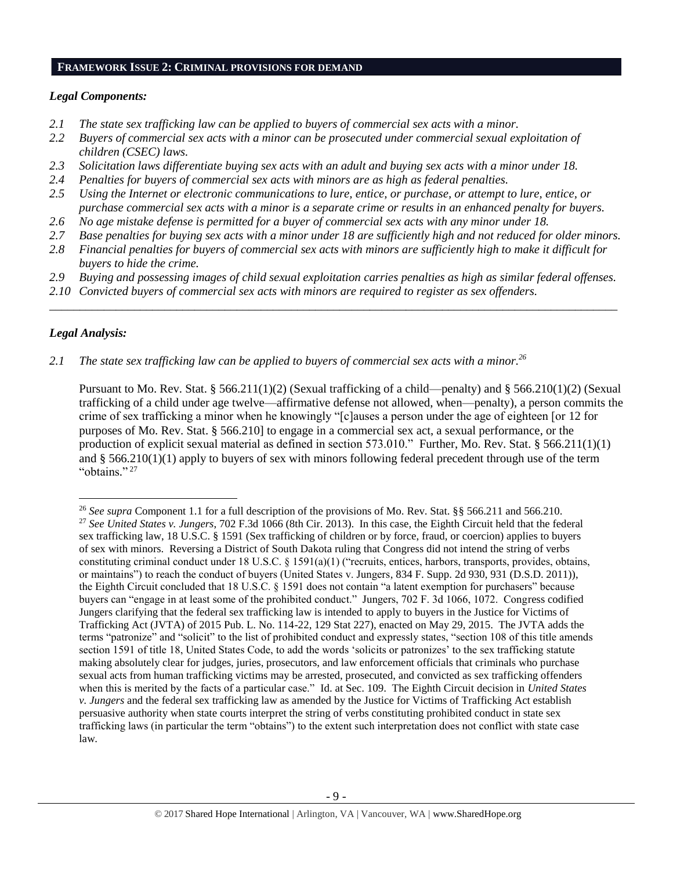## **FRAMEWORK ISSUE 2: CRIMINAL PROVISIONS FOR DEMAND**

# *Legal Components:*

- *2.1 The state sex trafficking law can be applied to buyers of commercial sex acts with a minor.*
- *2.2 Buyers of commercial sex acts with a minor can be prosecuted under commercial sexual exploitation of children (CSEC) laws.*
- *2.3 Solicitation laws differentiate buying sex acts with an adult and buying sex acts with a minor under 18.*
- *2.4 Penalties for buyers of commercial sex acts with minors are as high as federal penalties.*
- *2.5 Using the Internet or electronic communications to lure, entice, or purchase, or attempt to lure, entice, or purchase commercial sex acts with a minor is a separate crime or results in an enhanced penalty for buyers.*
- *2.6 No age mistake defense is permitted for a buyer of commercial sex acts with any minor under 18.*
- *2.7 Base penalties for buying sex acts with a minor under 18 are sufficiently high and not reduced for older minors.*
- *2.8 Financial penalties for buyers of commercial sex acts with minors are sufficiently high to make it difficult for buyers to hide the crime.*
- *2.9 Buying and possessing images of child sexual exploitation carries penalties as high as similar federal offenses.*

\_\_\_\_\_\_\_\_\_\_\_\_\_\_\_\_\_\_\_\_\_\_\_\_\_\_\_\_\_\_\_\_\_\_\_\_\_\_\_\_\_\_\_\_\_\_\_\_\_\_\_\_\_\_\_\_\_\_\_\_\_\_\_\_\_\_\_\_\_\_\_\_\_\_\_\_\_\_\_\_\_\_\_\_\_\_\_\_\_\_\_\_\_\_

*2.10 Convicted buyers of commercial sex acts with minors are required to register as sex offenders.* 

# *Legal Analysis:*

l

*2.1 The state sex trafficking law can be applied to buyers of commercial sex acts with a minor. 26*

Pursuant to Mo. Rev. Stat. § 566.211(1)(2) (Sexual trafficking of a child—penalty) and § 566.210(1)(2) (Sexual trafficking of a child under age twelve—affirmative defense not allowed, when—penalty), a person commits the crime of sex trafficking a minor when he knowingly "[c]auses a person under the age of eighteen [or 12 for purposes of Mo. Rev. Stat. § 566.210] to engage in a commercial sex act, a sexual performance, or the production of explicit sexual material as defined in section 573.010." Further, Mo. Rev. Stat. § 566.211(1)(1) and § 566.210(1)(1) apply to buyers of sex with minors following federal precedent through use of the term "obtains." 27

<sup>26</sup> *See supra* Component 1.1 for a full description of the provisions of Mo. Rev. Stat. §§ 566.211 and 566.210. <sup>27</sup> *See United States v. Jungers*, 702 F.3d 1066 (8th Cir. 2013). In this case, the Eighth Circuit held that the federal sex trafficking law, 18 U.S.C. § 1591 (Sex trafficking of children or by force, fraud, or coercion) applies to buyers of sex with minors. Reversing a District of South Dakota ruling that Congress did not intend the string of verbs constituting criminal conduct under 18 U.S.C. § 1591(a)(1) ("recruits, entices, harbors, transports, provides, obtains, or maintains") to reach the conduct of buyers (United States v. Jungers, 834 F. Supp. 2d 930, 931 (D.S.D. 2011)), the Eighth Circuit concluded that 18 U.S.C. § 1591 does not contain "a latent exemption for purchasers" because buyers can "engage in at least some of the prohibited conduct." Jungers, 702 F. 3d 1066, 1072. Congress codified Jungers clarifying that the federal sex trafficking law is intended to apply to buyers in the Justice for Victims of Trafficking Act (JVTA) of 2015 Pub. L. No. 114-22, 129 Stat 227), enacted on May 29, 2015. The JVTA adds the terms "patronize" and "solicit" to the list of prohibited conduct and expressly states, "section 108 of this title amends section 1591 of title 18, United States Code, to add the words 'solicits or patronizes' to the sex trafficking statute making absolutely clear for judges, juries, prosecutors, and law enforcement officials that criminals who purchase sexual acts from human trafficking victims may be arrested, prosecuted, and convicted as sex trafficking offenders when this is merited by the facts of a particular case." Id. at Sec. 109. The Eighth Circuit decision in *United States v. Jungers* and the federal sex trafficking law as amended by the Justice for Victims of Trafficking Act establish persuasive authority when state courts interpret the string of verbs constituting prohibited conduct in state sex trafficking laws (in particular the term "obtains") to the extent such interpretation does not conflict with state case law.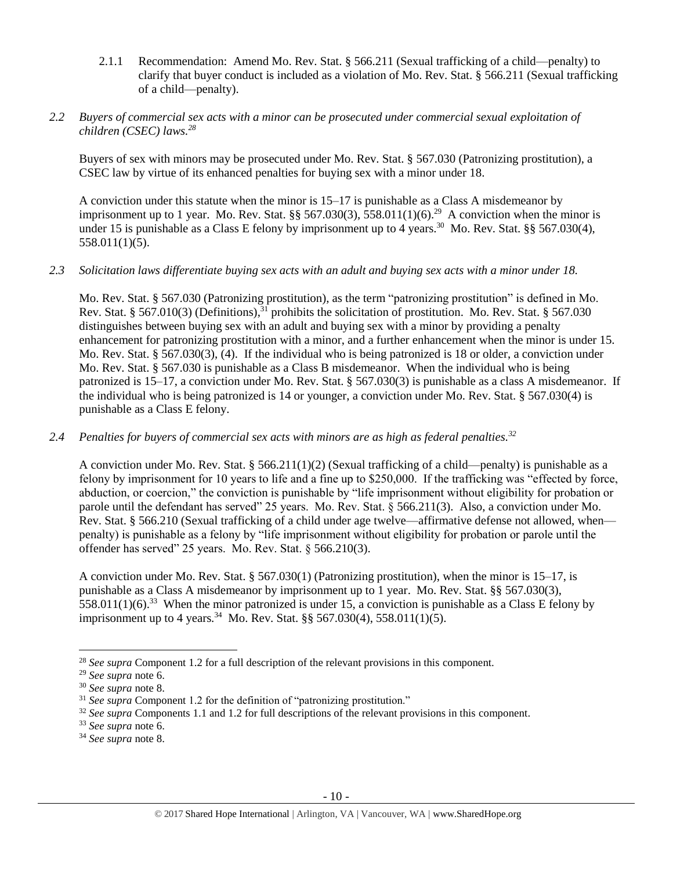2.1.1 Recommendation: Amend Mo. Rev. Stat. § 566.211 (Sexual trafficking of a child—penalty) to clarify that buyer conduct is included as a violation of Mo. Rev. Stat. § 566.211 (Sexual trafficking of a child—penalty).

## *2.2 Buyers of commercial sex acts with a minor can be prosecuted under commercial sexual exploitation of children (CSEC) laws. 28*

Buyers of sex with minors may be prosecuted under Mo. Rev. Stat. § 567.030 (Patronizing prostitution), a CSEC law by virtue of its enhanced penalties for buying sex with a minor under 18.

A conviction under this statute when the minor is 15–17 is punishable as a Class A misdemeanor by imprisonment up to 1 year. Mo. Rev. Stat. §§ 567.030(3), 558.011(1)(6).<sup>29</sup> A conviction when the minor is under 15 is punishable as a Class E felony by imprisonment up to 4 years.<sup>30</sup> Mo. Rev. Stat. §§ 567.030(4), 558.011(1)(5).

## *2.3 Solicitation laws differentiate buying sex acts with an adult and buying sex acts with a minor under 18.*

Mo. Rev. Stat. § 567.030 (Patronizing prostitution), as the term "patronizing prostitution" is defined in Mo. Rev. Stat. § 567.010(3) (Definitions),<sup>31</sup> prohibits the solicitation of prostitution. Mo. Rev. Stat. § 567.030 distinguishes between buying sex with an adult and buying sex with a minor by providing a penalty enhancement for patronizing prostitution with a minor, and a further enhancement when the minor is under 15. Mo. Rev. Stat. § 567.030(3), (4). If the individual who is being patronized is 18 or older, a conviction under Mo. Rev. Stat. § 567.030 is punishable as a Class B misdemeanor. When the individual who is being patronized is 15–17, a conviction under Mo. Rev. Stat. § 567.030(3) is punishable as a class A misdemeanor. If the individual who is being patronized is 14 or younger, a conviction under Mo. Rev. Stat. § 567.030(4) is punishable as a Class E felony.

# *2.4 Penalties for buyers of commercial sex acts with minors are as high as federal penalties.<sup>32</sup>*

A conviction under Mo. Rev. Stat. § 566.211(1)(2) (Sexual trafficking of a child—penalty) is punishable as a felony by imprisonment for 10 years to life and a fine up to \$250,000. If the trafficking was "effected by force, abduction, or coercion," the conviction is punishable by "life imprisonment without eligibility for probation or parole until the defendant has served" 25 years. Mo. Rev. Stat. § 566.211(3). Also, a conviction under Mo. Rev. Stat. § 566.210 (Sexual trafficking of a child under age twelve—affirmative defense not allowed, when penalty) is punishable as a felony by "life imprisonment without eligibility for probation or parole until the offender has served" 25 years. Mo. Rev. Stat. § 566.210(3).

A conviction under Mo. Rev. Stat. § 567.030(1) (Patronizing prostitution), when the minor is 15–17, is punishable as a Class A misdemeanor by imprisonment up to 1 year. Mo. Rev. Stat. §§ 567.030(3), 558.011(1)(6).<sup>33</sup> When the minor patronized is under 15, a conviction is punishable as a Class E felony by imprisonment up to 4 years.<sup>34</sup> Mo. Rev. Stat. §§ 567.030(4), 558.011(1)(5).

l

<sup>28</sup> *See supra* Component 1.2 for a full description of the relevant provisions in this component.

<sup>29</sup> *See supra* note [6.](#page-1-1)

<sup>30</sup> *See supra* note [8.](#page-2-0)

<sup>&</sup>lt;sup>31</sup> *See supra* Component 1.2 for the definition of "patronizing prostitution."

<sup>&</sup>lt;sup>32</sup> See supra Components 1.1 and 1.2 for full descriptions of the relevant provisions in this component.

<sup>33</sup> *See supra* note [6.](#page-1-1)

<sup>34</sup> *See supra* note [8.](#page-2-0)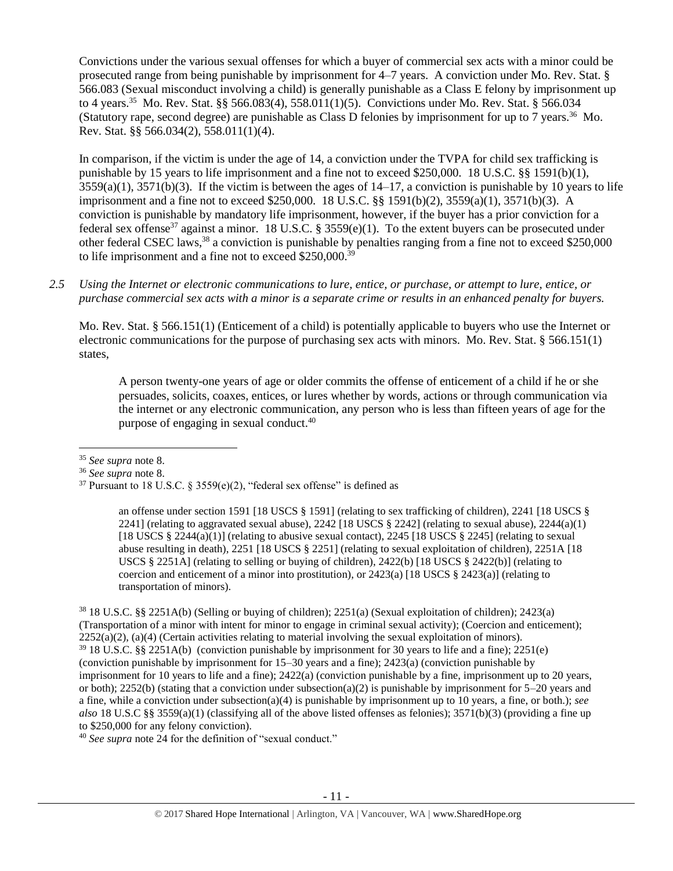Convictions under the various sexual offenses for which a buyer of commercial sex acts with a minor could be prosecuted range from being punishable by imprisonment for 4–7 years. A conviction under Mo. Rev. Stat. § 566.083 (Sexual misconduct involving a child) is generally punishable as a Class E felony by imprisonment up to 4 years.<sup>35</sup> Mo. Rev. Stat. §§ 566.083(4), 558.011(1)(5). Convictions under Mo. Rev. Stat. § 566.034 (Statutory rape, second degree) are punishable as Class D felonies by imprisonment for up to 7 years.<sup>36</sup> Mo. Rev. Stat. §§ 566.034(2), 558.011(1)(4).

<span id="page-10-0"></span>In comparison, if the victim is under the age of 14, a conviction under the TVPA for child sex trafficking is punishable by 15 years to life imprisonment and a fine not to exceed \$250,000. 18 U.S.C. §§ 1591(b)(1),  $3559(a)(1)$ ,  $3571(b)(3)$ . If the victim is between the ages of  $14-17$ , a conviction is punishable by 10 years to life imprisonment and a fine not to exceed \$250,000. 18 U.S.C. §§ 1591(b)(2), 3559(a)(1), 3571(b)(3). A conviction is punishable by mandatory life imprisonment, however, if the buyer has a prior conviction for a federal sex offense<sup>37</sup> against a minor. 18 U.S.C. § 3559(e)(1). To the extent buyers can be prosecuted under other federal CSEC laws,<sup>38</sup> a conviction is punishable by penalties ranging from a fine not to exceed \$250,000 to life imprisonment and a fine not to exceed \$250,000.<sup>39</sup>

*2.5 Using the Internet or electronic communications to lure, entice, or purchase, or attempt to lure, entice, or purchase commercial sex acts with a minor is a separate crime or results in an enhanced penalty for buyers.*

Mo. Rev. Stat. § 566.151(1) (Enticement of a child) is potentially applicable to buyers who use the Internet or electronic communications for the purpose of purchasing sex acts with minors. Mo. Rev. Stat. § 566.151(1) states,

A person twenty-one years of age or older commits the offense of enticement of a child if he or she persuades, solicits, coaxes, entices, or lures whether by words, actions or through communication via the internet or any electronic communication, any person who is less than fifteen years of age for the purpose of engaging in sexual conduct.<sup>40</sup>

 $\overline{\phantom{a}}$ 

an offense under section 1591 [18 USCS § 1591] (relating to sex trafficking of children), 2241 [18 USCS § 2241] (relating to aggravated sexual abuse),  $2242$  [18 USCS § 2242] (relating to sexual abuse),  $2244(a)(1)$ [18 USCS  $\S 2244(a)(1)$ ] (relating to abusive sexual contact), 2245 [18 USCS  $\S 2245$ ] (relating to sexual abuse resulting in death), 2251 [18 USCS § 2251] (relating to sexual exploitation of children), 2251A [18 USCS § 2251A] (relating to selling or buying of children), 2422(b) [18 USCS § 2422(b)] (relating to coercion and enticement of a minor into prostitution), or  $2423(a)$  [18 USCS §  $2423(a)$ ] (relating to transportation of minors).

<sup>38</sup> 18 U.S.C. §§ 2251A(b) (Selling or buying of children); 2251(a) (Sexual exploitation of children); 2423(a) (Transportation of a minor with intent for minor to engage in criminal sexual activity); (Coercion and enticement);  $2252(a)(2)$ , (a)(4) (Certain activities relating to material involving the sexual exploitation of minors). <sup>39</sup> 18 U.S.C. §§ 2251A(b) (conviction punishable by imprisonment for 30 years to life and a fine); 2251(e) (conviction punishable by imprisonment for 15–30 years and a fine); 2423(a) (conviction punishable by imprisonment for 10 years to life and a fine); 2422(a) (conviction punishable by a fine, imprisonment up to 20 years, or both); 2252(b) (stating that a conviction under subsection(a)(2) is punishable by imprisonment for 5–20 years and a fine, while a conviction under subsection(a)(4) is punishable by imprisonment up to 10 years, a fine, or both.); *see also* 18 U.S.C §§ 3559(a)(1) (classifying all of the above listed offenses as felonies); 3571(b)(3) (providing a fine up to \$250,000 for any felony conviction).

<sup>40</sup> *See supra* note [24](#page-6-0) for the definition of "sexual conduct."

<sup>35</sup> *See supra* note [8.](#page-2-0)

<sup>36</sup> *See supra* note [8.](#page-2-0)

<sup>&</sup>lt;sup>37</sup> Pursuant to 18 U.S.C. § 3559(e)(2), "federal sex offense" is defined as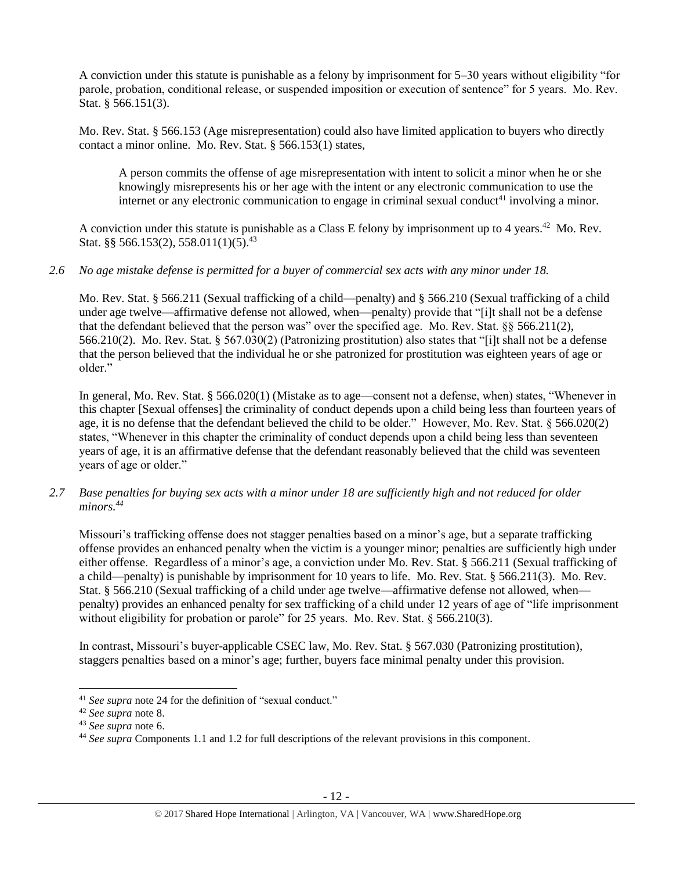A conviction under this statute is punishable as a felony by imprisonment for 5–30 years without eligibility "for parole, probation, conditional release, or suspended imposition or execution of sentence" for 5 years. Mo. Rev. Stat. § 566.151(3).

Mo. Rev. Stat. § 566.153 (Age misrepresentation) could also have limited application to buyers who directly contact a minor online. Mo. Rev. Stat. § 566.153(1) states,

A person commits the offense of age misrepresentation with intent to solicit a minor when he or she knowingly misrepresents his or her age with the intent or any electronic communication to use the internet or any electronic communication to engage in criminal sexual conduct<sup>41</sup> involving a minor.

A conviction under this statute is punishable as a Class E felony by imprisonment up to 4 years.<sup>42</sup> Mo. Rev. Stat. §§ 566.153(2), 558.011(1)(5).<sup>43</sup>

# *2.6 No age mistake defense is permitted for a buyer of commercial sex acts with any minor under 18.*

Mo. Rev. Stat. § 566.211 (Sexual trafficking of a child—penalty) and § 566.210 (Sexual trafficking of a child under age twelve—affirmative defense not allowed, when—penalty) provide that "[i]t shall not be a defense that the defendant believed that the person was" over the specified age. Mo. Rev. Stat. §§ 566.211(2), 566.210(2). Mo. Rev. Stat. § 567.030(2) (Patronizing prostitution) also states that "[i]t shall not be a defense that the person believed that the individual he or she patronized for prostitution was eighteen years of age or older."

In general, Mo. Rev. Stat. § 566.020(1) (Mistake as to age—consent not a defense, when) states, "Whenever in this chapter [Sexual offenses] the criminality of conduct depends upon a child being less than fourteen years of age, it is no defense that the defendant believed the child to be older." However, Mo. Rev. Stat. § 566.020(2) states, "Whenever in this chapter the criminality of conduct depends upon a child being less than seventeen years of age, it is an affirmative defense that the defendant reasonably believed that the child was seventeen years of age or older."

*2.7 Base penalties for buying sex acts with a minor under 18 are sufficiently high and not reduced for older minors. 44*

Missouri's trafficking offense does not stagger penalties based on a minor's age, but a separate trafficking offense provides an enhanced penalty when the victim is a younger minor; penalties are sufficiently high under either offense. Regardless of a minor's age, a conviction under Mo. Rev. Stat. § 566.211 (Sexual trafficking of a child—penalty) is punishable by imprisonment for 10 years to life. Mo. Rev. Stat. § 566.211(3). Mo. Rev. Stat. § 566.210 (Sexual trafficking of a child under age twelve—affirmative defense not allowed, when penalty) provides an enhanced penalty for sex trafficking of a child under 12 years of age of "life imprisonment without eligibility for probation or parole" for 25 years. Mo. Rev. Stat.  $\S$  566.210(3).

In contrast, Missouri's buyer-applicable CSEC law, Mo. Rev. Stat. § 567.030 (Patronizing prostitution), staggers penalties based on a minor's age; further, buyers face minimal penalty under this provision.

<sup>41</sup> *See supra* note [24](#page-6-0) for the definition of "sexual conduct."

<sup>42</sup> *See supra* note [8.](#page-2-0)

<sup>43</sup> *See supra* note [6.](#page-1-1)

<sup>44</sup> *See supra* Components 1.1 and 1.2 for full descriptions of the relevant provisions in this component.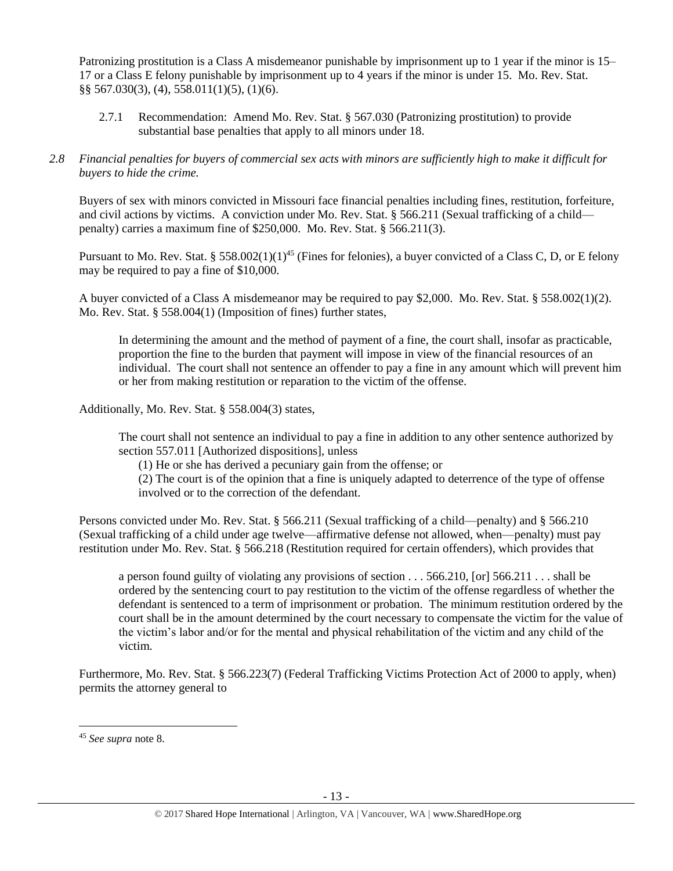Patronizing prostitution is a Class A misdemeanor punishable by imprisonment up to 1 year if the minor is 15– 17 or a Class E felony punishable by imprisonment up to 4 years if the minor is under 15. Mo. Rev. Stat. §§ 567.030(3), (4), 558.011(1)(5), (1)(6).

- 2.7.1 Recommendation: Amend Mo. Rev. Stat. § 567.030 (Patronizing prostitution) to provide substantial base penalties that apply to all minors under 18.
- *2.8 Financial penalties for buyers of commercial sex acts with minors are sufficiently high to make it difficult for buyers to hide the crime.*

Buyers of sex with minors convicted in Missouri face financial penalties including fines, restitution, forfeiture, and civil actions by victims. A conviction under Mo. Rev. Stat. § 566.211 (Sexual trafficking of a child penalty) carries a maximum fine of \$250,000. Mo. Rev. Stat. § 566.211(3).

Pursuant to Mo. Rev. Stat. § 558.002(1)(1)<sup>45</sup> (Fines for felonies), a buyer convicted of a Class C, D, or E felony may be required to pay a fine of \$10,000.

A buyer convicted of a Class A misdemeanor may be required to pay \$2,000. Mo. Rev. Stat. § 558.002(1)(2). Mo. Rev. Stat. § 558.004(1) (Imposition of fines) further states,

In determining the amount and the method of payment of a fine, the court shall, insofar as practicable, proportion the fine to the burden that payment will impose in view of the financial resources of an individual. The court shall not sentence an offender to pay a fine in any amount which will prevent him or her from making restitution or reparation to the victim of the offense.

Additionally, Mo. Rev. Stat. § 558.004(3) states,

The court shall not sentence an individual to pay a fine in addition to any other sentence authorized by section 557.011 [Authorized dispositions], unless

(1) He or she has derived a pecuniary gain from the offense; or

(2) The court is of the opinion that a fine is uniquely adapted to deterrence of the type of offense involved or to the correction of the defendant.

Persons convicted under Mo. Rev. Stat. § 566.211 (Sexual trafficking of a child—penalty) and § 566.210 (Sexual trafficking of a child under age twelve—affirmative defense not allowed, when—penalty) must pay restitution under Mo. Rev. Stat. § 566.218 (Restitution required for certain offenders), which provides that

a person found guilty of violating any provisions of section . . . 566.210, [or] 566.211 . . . shall be ordered by the sentencing court to pay restitution to the victim of the offense regardless of whether the defendant is sentenced to a term of imprisonment or probation. The minimum restitution ordered by the court shall be in the amount determined by the court necessary to compensate the victim for the value of the victim's labor and/or for the mental and physical rehabilitation of the victim and any child of the victim.

Furthermore, Mo. Rev. Stat. § 566.223(7) (Federal Trafficking Victims Protection Act of 2000 to apply, when) permits the attorney general to

l

<sup>45</sup> *See supra* note [8.](#page-2-0)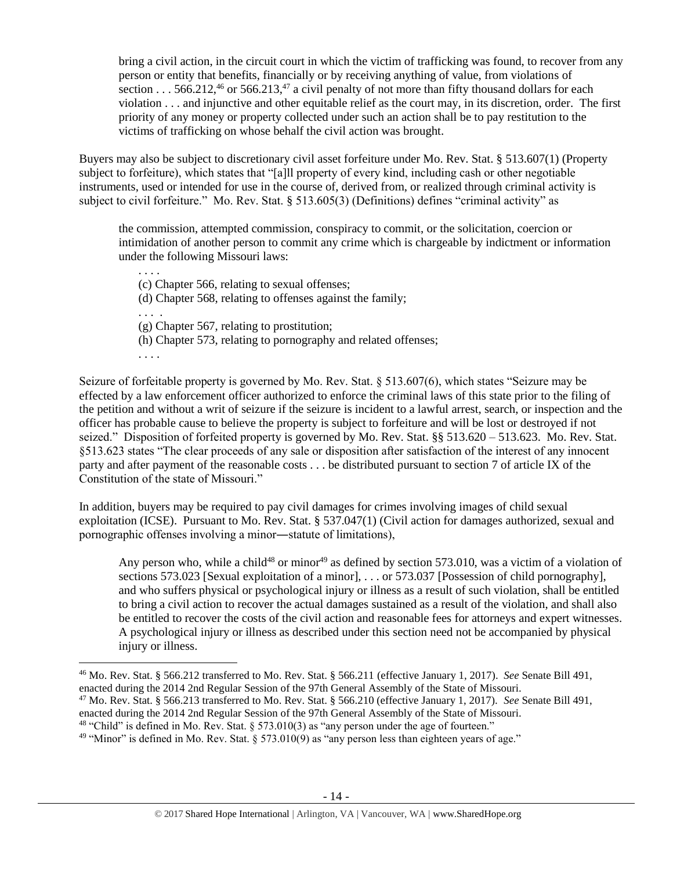<span id="page-13-1"></span><span id="page-13-0"></span>bring a civil action, in the circuit court in which the victim of trafficking was found, to recover from any person or entity that benefits, financially or by receiving anything of value, from violations of section . . . 566.212,<sup>46</sup> or 566.213,<sup>47</sup> a civil penalty of not more than fifty thousand dollars for each violation . . . and injunctive and other equitable relief as the court may, in its discretion, order. The first priority of any money or property collected under such an action shall be to pay restitution to the victims of trafficking on whose behalf the civil action was brought.

Buyers may also be subject to discretionary civil asset forfeiture under Mo. Rev. Stat. § 513.607(1) (Property subject to forfeiture), which states that "[a]ll property of every kind, including cash or other negotiable instruments, used or intended for use in the course of, derived from, or realized through criminal activity is subject to civil forfeiture." Mo. Rev. Stat. § 513.605(3) (Definitions) defines "criminal activity" as

the commission, attempted commission, conspiracy to commit, or the solicitation, coercion or intimidation of another person to commit any crime which is chargeable by indictment or information under the following Missouri laws:

. . . . (c) Chapter 566, relating to sexual offenses; (d) Chapter 568, relating to offenses against the family; . . . . (g) Chapter 567, relating to prostitution; (h) Chapter 573, relating to pornography and related offenses; . . . .

Seizure of forfeitable property is governed by Mo. Rev. Stat. § 513.607(6), which states "Seizure may be effected by a law enforcement officer authorized to enforce the criminal laws of this state prior to the filing of the petition and without a writ of seizure if the seizure is incident to a lawful arrest, search, or inspection and the officer has probable cause to believe the property is subject to forfeiture and will be lost or destroyed if not seized." Disposition of forfeited property is governed by Mo. Rev. Stat. §§ 513.620 – 513.623. Mo. Rev. Stat. §513.623 states "The clear proceeds of any sale or disposition after satisfaction of the interest of any innocent party and after payment of the reasonable costs . . . be distributed pursuant to section 7 of article IX of the Constitution of the state of Missouri."

In addition, buyers may be required to pay civil damages for crimes involving images of child sexual exploitation (ICSE). Pursuant to Mo. Rev. Stat. § 537.047(1) (Civil action for damages authorized, sexual and pornographic offenses involving a minor―statute of limitations),

Any person who, while a child<sup>48</sup> or minor<sup>49</sup> as defined by section 573.010, was a victim of a violation of sections 573.023 [Sexual exploitation of a minor], ... or 573.037 [Possession of child pornography], and who suffers physical or psychological injury or illness as a result of such violation, shall be entitled to bring a civil action to recover the actual damages sustained as a result of the violation, and shall also be entitled to recover the costs of the civil action and reasonable fees for attorneys and expert witnesses. A psychological injury or illness as described under this section need not be accompanied by physical injury or illness.

 $\overline{a}$ 

<sup>46</sup> Mo. Rev. Stat. § 566.212 transferred to Mo. Rev. Stat. § 566.211 (effective January 1, 2017). *See* Senate Bill 491, enacted during the 2014 2nd Regular Session of the 97th General Assembly of the State of Missouri.

<sup>47</sup> Mo. Rev. Stat. § 566.213 transferred to Mo. Rev. Stat. § 566.210 (effective January 1, 2017). *See* Senate Bill 491,

enacted during the 2014 2nd Regular Session of the 97th General Assembly of the State of Missouri.

<sup>48</sup> "Child" is defined in Mo. Rev. Stat. § 573.010(3) as "any person under the age of fourteen."

<sup>&</sup>lt;sup>49</sup> "Minor" is defined in Mo. Rev. Stat. § 573.010(9) as "any person less than eighteen years of age."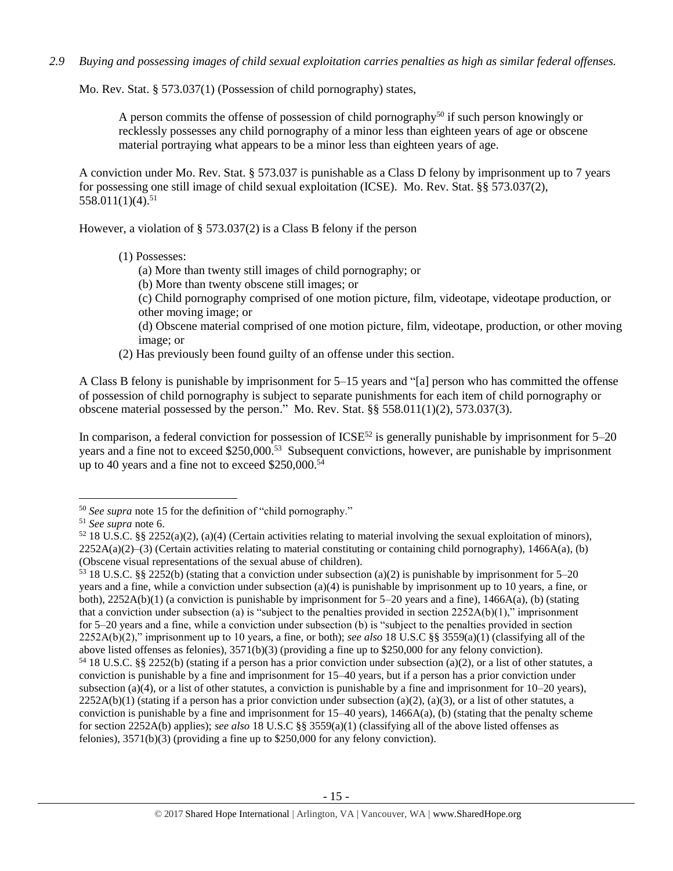*2.9 Buying and possessing images of child sexual exploitation carries penalties as high as similar federal offenses.*

Mo. Rev. Stat. § 573.037(1) (Possession of child pornography) states,

A person commits the offense of possession of child pornography<sup>50</sup> if such person knowingly or recklessly possesses any child pornography of a minor less than eighteen years of age or obscene material portraying what appears to be a minor less than eighteen years of age.

A conviction under Mo. Rev. Stat. § 573.037 is punishable as a Class D felony by imprisonment up to 7 years for possessing one still image of child sexual exploitation (ICSE). Mo. Rev. Stat. §§ 573.037(2), 558.011(1)(4). 51

However, a violation of § 573.037(2) is a Class B felony if the person

- (1) Possesses:
	- (a) More than twenty still images of child pornography; or
	- (b) More than twenty obscene still images; or
	- (c) Child pornography comprised of one motion picture, film, videotape, videotape production, or other moving image; or
	- (d) Obscene material comprised of one motion picture, film, videotape, production, or other moving image; or
- (2) Has previously been found guilty of an offense under this section.

A Class B felony is punishable by imprisonment for 5–15 years and "[a] person who has committed the offense of possession of child pornography is subject to separate punishments for each item of child pornography or obscene material possessed by the person." Mo. Rev. Stat.  $\S$ § 558.011(1)(2), 573.037(3).

In comparison, a federal conviction for possession of  $ICSE^{52}$  is generally punishable by imprisonment for  $5-20$ years and a fine not to exceed \$250,000.<sup>53</sup> Subsequent convictions, however, are punishable by imprisonment up to 40 years and a fine not to exceed \$250,000.<sup>54</sup>

l

<sup>50</sup> *See supra* note [15](#page-3-0) for the definition of "child pornography."

<sup>51</sup> *See supra* note [6.](#page-1-1)

 $52\,18$  U.S.C. §§ 2252(a)(2), (a)(4) (Certain activities relating to material involving the sexual exploitation of minors),  $2252A(a)(2)$ –(3) (Certain activities relating to material constituting or containing child pornography), 1466A(a), (b) (Obscene visual representations of the sexual abuse of children).

<sup>53</sup> 18 U.S.C. §§ 2252(b) (stating that a conviction under subsection (a)(2) is punishable by imprisonment for 5–20 years and a fine, while a conviction under subsection (a)(4) is punishable by imprisonment up to 10 years, a fine, or both),  $2252A(b)(1)$  (a conviction is punishable by imprisonment for 5–20 years and a fine),  $1466A(a)$ , (b) (stating that a conviction under subsection (a) is "subject to the penalties provided in section  $2252A(b)(1)$ ," imprisonment for 5–20 years and a fine, while a conviction under subsection (b) is "subject to the penalties provided in section 2252A(b)(2)," imprisonment up to 10 years, a fine, or both); *see also* 18 U.S.C §§ 3559(a)(1) (classifying all of the above listed offenses as felonies), 3571(b)(3) (providing a fine up to \$250,000 for any felony conviction).  $54\,18$  U.S.C. §§ 2252(b) (stating if a person has a prior conviction under subsection (a)(2), or a list of other statutes, a conviction is punishable by a fine and imprisonment for 15–40 years, but if a person has a prior conviction under subsection (a)(4), or a list of other statutes, a conviction is punishable by a fine and imprisonment for  $10-20$  years),  $2252A(b)(1)$  (stating if a person has a prior conviction under subsection (a)(2), (a)(3), or a list of other statutes, a conviction is punishable by a fine and imprisonment for  $15-40$  years),  $1466A(a)$ , (b) (stating that the penalty scheme for section 2252A(b) applies); *see also* 18 U.S.C §§ 3559(a)(1) (classifying all of the above listed offenses as felonies), 3571(b)(3) (providing a fine up to \$250,000 for any felony conviction).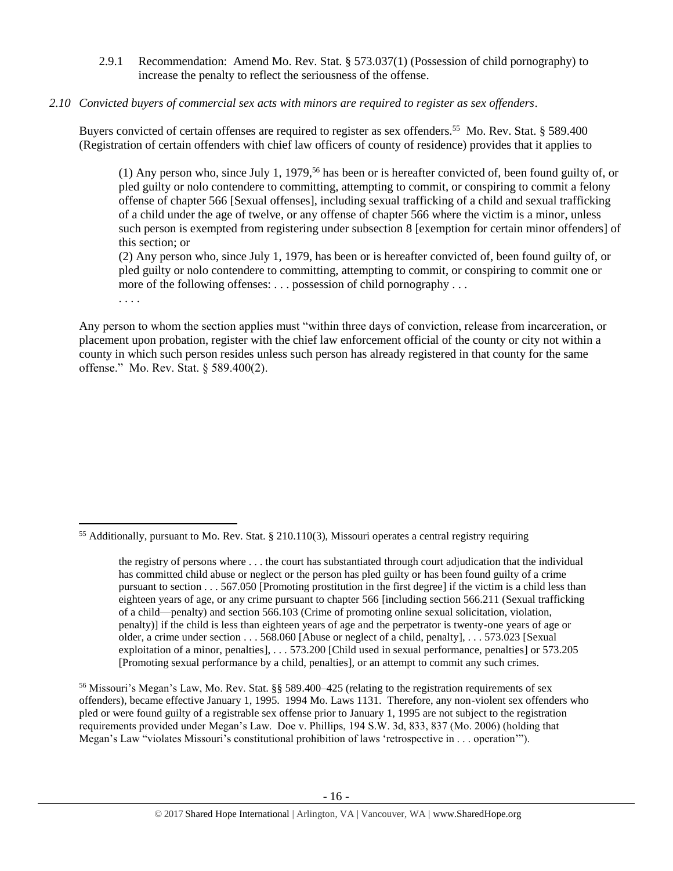2.9.1 Recommendation: Amend Mo. Rev. Stat. § 573.037(1) (Possession of child pornography) to increase the penalty to reflect the seriousness of the offense.

# *2.10 Convicted buyers of commercial sex acts with minors are required to register as sex offenders*.

Buyers convicted of certain offenses are required to register as sex offenders.<sup>55</sup> Mo. Rev. Stat. § 589.400 (Registration of certain offenders with chief law officers of county of residence) provides that it applies to

<span id="page-15-1"></span><span id="page-15-0"></span>(1) Any person who, since July 1, 1979,<sup>56</sup> has been or is hereafter convicted of, been found guilty of, or pled guilty or nolo contendere to committing, attempting to commit, or conspiring to commit a felony offense of chapter 566 [Sexual offenses], including sexual trafficking of a child and sexual trafficking of a child under the age of twelve, or any offense of chapter 566 where the victim is a minor, unless such person is exempted from registering under subsection 8 [exemption for certain minor offenders] of this section; or

(2) Any person who, since July 1, 1979, has been or is hereafter convicted of, been found guilty of, or pled guilty or nolo contendere to committing, attempting to commit, or conspiring to commit one or more of the following offenses: . . . possession of child pornography . . .

. . . .

 $\overline{\phantom{a}}$ 

Any person to whom the section applies must "within three days of conviction, release from incarceration, or placement upon probation, register with the chief law enforcement official of the county or city not within a county in which such person resides unless such person has already registered in that county for the same offense." Mo. Rev. Stat. § 589.400(2).

<sup>56</sup> Missouri's Megan's Law, Mo. Rev. Stat. §§ 589.400–425 (relating to the registration requirements of sex offenders), became effective January 1, 1995. 1994 Mo. Laws 1131. Therefore, any non-violent sex offenders who pled or were found guilty of a registrable sex offense prior to January 1, 1995 are not subject to the registration requirements provided under Megan's Law. Doe v. Phillips, 194 S.W. 3d, 833, 837 (Mo. 2006) (holding that Megan's Law "violates Missouri's constitutional prohibition of laws 'retrospective in . . . operation'").

<sup>55</sup> Additionally, pursuant to Mo. Rev. Stat. § 210.110(3), Missouri operates a central registry requiring

the registry of persons where . . . the court has substantiated through court adjudication that the individual has committed child abuse or neglect or the person has pled guilty or has been found guilty of a crime pursuant to section . . . 567.050 [Promoting prostitution in the first degree] if the victim is a child less than eighteen years of age, or any crime pursuant to chapter 566 [including section 566.211 (Sexual trafficking of a child—penalty) and section 566.103 (Crime of promoting online sexual solicitation, violation, penalty)] if the child is less than eighteen years of age and the perpetrator is twenty-one years of age or older, a crime under section . . . 568.060 [Abuse or neglect of a child, penalty], . . . 573.023 [Sexual exploitation of a minor, penalties], . . . 573.200 [Child used in sexual performance, penalties] or 573.205 [Promoting sexual performance by a child, penalties], or an attempt to commit any such crimes.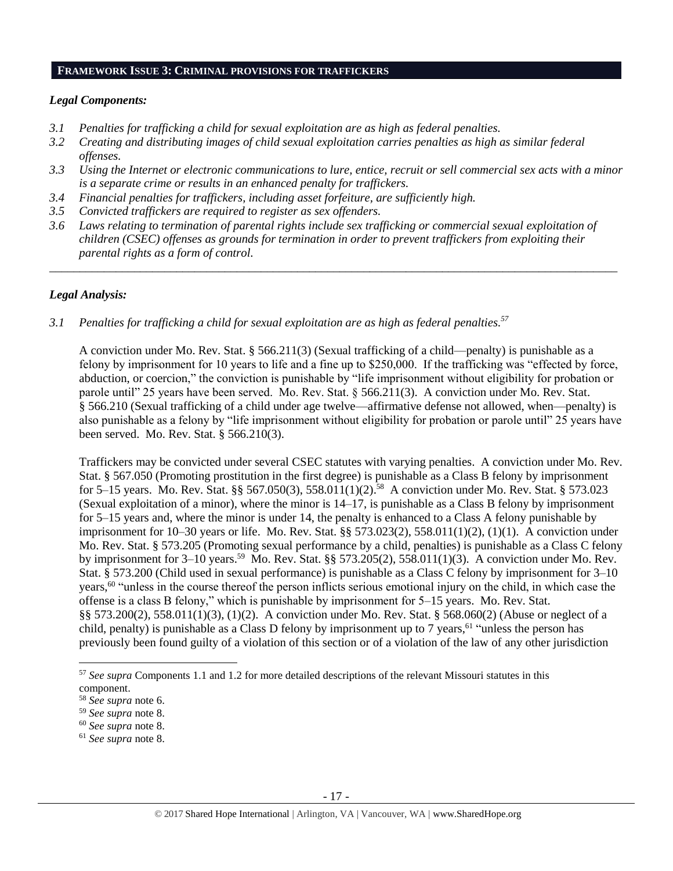## **FRAMEWORK ISSUE 3: CRIMINAL PROVISIONS FOR TRAFFICKERS**

## *Legal Components:*

- *3.1 Penalties for trafficking a child for sexual exploitation are as high as federal penalties.*
- *3.2 Creating and distributing images of child sexual exploitation carries penalties as high as similar federal offenses.*
- *3.3 Using the Internet or electronic communications to lure, entice, recruit or sell commercial sex acts with a minor is a separate crime or results in an enhanced penalty for traffickers.*
- *3.4 Financial penalties for traffickers, including asset forfeiture, are sufficiently high.*
- *3.5 Convicted traffickers are required to register as sex offenders.*
- *3.6 Laws relating to termination of parental rights include sex trafficking or commercial sexual exploitation of children (CSEC) offenses as grounds for termination in order to prevent traffickers from exploiting their parental rights as a form of control.*

*\_\_\_\_\_\_\_\_\_\_\_\_\_\_\_\_\_\_\_\_\_\_\_\_\_\_\_\_\_\_\_\_\_\_\_\_\_\_\_\_\_\_\_\_\_\_\_\_\_\_\_\_\_\_\_\_\_\_\_\_\_\_\_\_\_\_\_\_\_\_\_\_\_\_\_\_\_\_\_\_\_\_\_\_\_\_\_\_\_\_\_\_\_\_*

## *Legal Analysis:*

*3.1 Penalties for trafficking a child for sexual exploitation are as high as federal penalties.<sup>57</sup>*

A conviction under Mo. Rev. Stat. § 566.211(3) (Sexual trafficking of a child—penalty) is punishable as a felony by imprisonment for 10 years to life and a fine up to \$250,000. If the trafficking was "effected by force, abduction, or coercion," the conviction is punishable by "life imprisonment without eligibility for probation or parole until" 25 years have been served. Mo. Rev. Stat. § 566.211(3). A conviction under Mo. Rev. Stat. § 566.210 (Sexual trafficking of a child under age twelve—affirmative defense not allowed, when—penalty) is also punishable as a felony by "life imprisonment without eligibility for probation or parole until" 25 years have been served. Mo. Rev. Stat. § 566.210(3).

Traffickers may be convicted under several CSEC statutes with varying penalties. A conviction under Mo. Rev. Stat. § 567.050 (Promoting prostitution in the first degree) is punishable as a Class B felony by imprisonment for 5–15 years. Mo. Rev. Stat. §§ 567.050(3), 558.011(1)(2). 58 A conviction under Mo. Rev. Stat. § 573.023 (Sexual exploitation of a minor), where the minor is 14–17, is punishable as a Class B felony by imprisonment for 5–15 years and, where the minor is under 14, the penalty is enhanced to a Class A felony punishable by imprisonment for 10–30 years or life. Mo. Rev. Stat. §§ 573.023(2), 558.011(1)(2), (1)(1). A conviction under Mo. Rev. Stat. § 573.205 (Promoting sexual performance by a child, penalties) is punishable as a Class C felony by imprisonment for  $3-10$  years.<sup>59</sup> Mo. Rev. Stat. §§ 573.205(2), 558.011(1)(3). A conviction under Mo. Rev. Stat. § 573.200 (Child used in sexual performance) is punishable as a Class C felony by imprisonment for 3–10 years,<sup>60</sup> "unless in the course thereof the person inflicts serious emotional injury on the child, in which case the offense is a class B felony," which is punishable by imprisonment for 5–15 years. Mo. Rev. Stat. §§ 573.200(2), 558.011(1)(3), (1)(2). A conviction under Mo. Rev. Stat. § 568.060(2) (Abuse or neglect of a child, penalty) is punishable as a Class D felony by imprisonment up to 7 years,<sup>61</sup> "unless the person has previously been found guilty of a violation of this section or of a violation of the law of any other jurisdiction

 $\overline{a}$ 

<sup>57</sup> *See supra* Components 1.1 and 1.2 for more detailed descriptions of the relevant Missouri statutes in this component.

<sup>58</sup> *See supra* note [6.](#page-1-1)

<sup>59</sup> *See supra* note [8.](#page-2-0)

<sup>60</sup> *See supra* note [8.](#page-2-0)

<sup>61</sup> *See supra* note [8.](#page-2-0)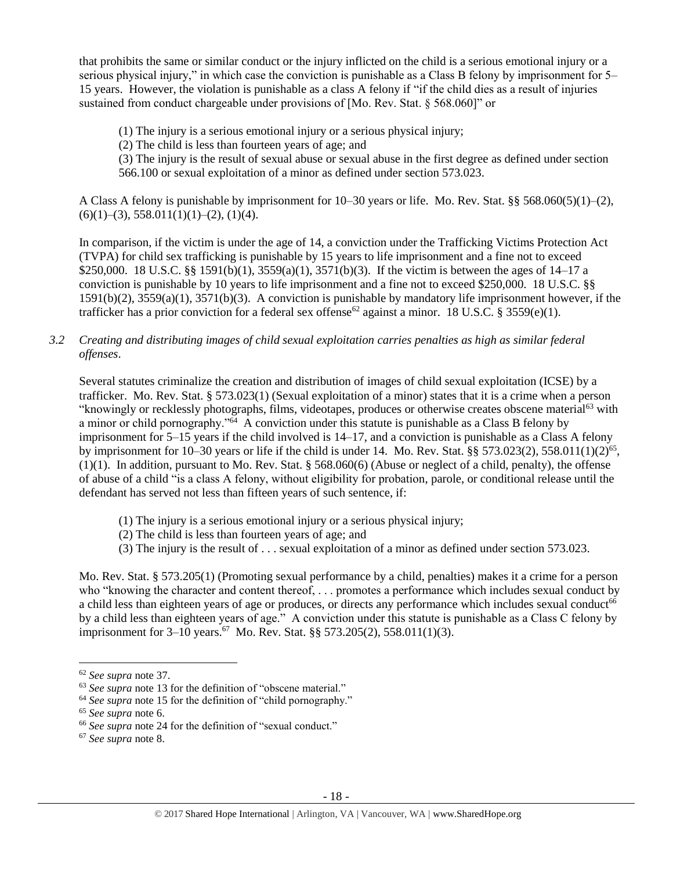that prohibits the same or similar conduct or the injury inflicted on the child is a serious emotional injury or a serious physical injury," in which case the conviction is punishable as a Class B felony by imprisonment for 5– 15 years. However, the violation is punishable as a class A felony if "if the child dies as a result of injuries sustained from conduct chargeable under provisions of [Mo. Rev. Stat. § 568.060]" or

(1) The injury is a serious emotional injury or a serious physical injury;

(2) The child is less than fourteen years of age; and

(3) The injury is the result of sexual abuse or sexual abuse in the first degree as defined under section 566.100 or sexual exploitation of a minor as defined under section 573.023.

A Class A felony is punishable by imprisonment for 10–30 years or life. Mo. Rev. Stat. §§ 568.060(5)(1)–(2),  $(6)(1)$ –(3), 558.011(1)(1)–(2), (1)(4).

In comparison, if the victim is under the age of 14, a conviction under the Trafficking Victims Protection Act (TVPA) for child sex trafficking is punishable by 15 years to life imprisonment and a fine not to exceed \$250,000. 18 U.S.C. §§ 1591(b)(1),  $3559(a)(1)$ ,  $3571(b)(3)$ . If the victim is between the ages of 14–17 a conviction is punishable by 10 years to life imprisonment and a fine not to exceed \$250,000. 18 U.S.C. §§ 1591(b)(2), 3559(a)(1), 3571(b)(3). A conviction is punishable by mandatory life imprisonment however, if the trafficker has a prior conviction for a federal sex offense<sup>62</sup> against a minor. 18 U.S.C. § 3559(e)(1).

# *3.2 Creating and distributing images of child sexual exploitation carries penalties as high as similar federal offenses*.

Several statutes criminalize the creation and distribution of images of child sexual exploitation (ICSE) by a trafficker. Mo. Rev. Stat. § 573.023(1) (Sexual exploitation of a minor) states that it is a crime when a person "knowingly or recklessly photographs, films, videotapes, produces or otherwise creates obscene material<sup>63</sup> with a minor or child pornography."<sup>64</sup> A conviction under this statute is punishable as a Class B felony by imprisonment for 5–15 years if the child involved is 14–17, and a conviction is punishable as a Class A felony by imprisonment for 10–30 years or life if the child is under 14. Mo. Rev. Stat. §§ 573.023(2), 558.011(1)(2)<sup>65</sup>, (1)(1). In addition, pursuant to Mo. Rev. Stat. § 568.060(6) (Abuse or neglect of a child, penalty), the offense of abuse of a child "is a class A felony, without eligibility for probation, parole, or conditional release until the defendant has served not less than fifteen years of such sentence, if:

- (1) The injury is a serious emotional injury or a serious physical injury;
- (2) The child is less than fourteen years of age; and
- (3) The injury is the result of . . . sexual exploitation of a minor as defined under section 573.023.

Mo. Rev. Stat. § 573.205(1) (Promoting sexual performance by a child, penalties) makes it a crime for a person who "knowing the character and content thereof, ... promotes a performance which includes sexual conduct by a child less than eighteen years of age or produces, or directs any performance which includes sexual conduct<sup>66</sup> by a child less than eighteen years of age." A conviction under this statute is punishable as a Class C felony by imprisonment for 3–10 years.<sup>67</sup> Mo. Rev. Stat. §§ 573.205(2), 558.011(1)(3).

 $\overline{a}$ 

<sup>67</sup> *See supra* note [8.](#page-2-0)

<sup>62</sup> *See supra* note [37.](#page-10-0)

<sup>63</sup> *See supra* note [13](#page-3-1) for the definition of "obscene material."

<sup>64</sup> *See supra* note [15](#page-3-0) for the definition of "child pornography."

<sup>65</sup> *See supra* note [6.](#page-1-1)

<sup>&</sup>lt;sup>66</sup> See supra note [24](#page-6-0) for the definition of "sexual conduct."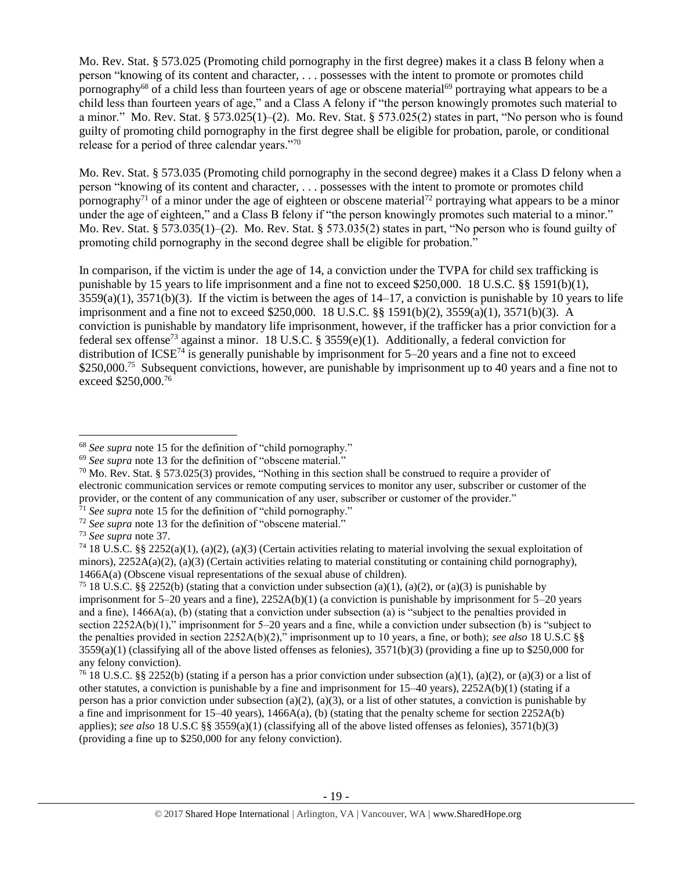Mo. Rev. Stat. § 573.025 (Promoting child pornography in the first degree) makes it a class B felony when a person "knowing of its content and character, . . . possesses with the intent to promote or promotes child pornography<sup>68</sup> of a child less than fourteen years of age or obscene material<sup>69</sup> portraying what appears to be a child less than fourteen years of age," and a Class A felony if "the person knowingly promotes such material to a minor." Mo. Rev. Stat. § 573.025(1)–(2). Mo. Rev. Stat. § 573.025(2) states in part, "No person who is found guilty of promoting child pornography in the first degree shall be eligible for probation, parole, or conditional release for a period of three calendar years."70

<span id="page-18-0"></span>Mo. Rev. Stat. § 573.035 (Promoting child pornography in the second degree) makes it a Class D felony when a person "knowing of its content and character, . . . possesses with the intent to promote or promotes child pornography<sup>71</sup> of a minor under the age of eighteen or obscene material<sup>72</sup> portraying what appears to be a minor under the age of eighteen," and a Class B felony if "the person knowingly promotes such material to a minor." Mo. Rev. Stat. § 573.035(1)–(2). Mo. Rev. Stat. § 573.035(2) states in part, "No person who is found guilty of promoting child pornography in the second degree shall be eligible for probation."

In comparison, if the victim is under the age of 14, a conviction under the TVPA for child sex trafficking is punishable by 15 years to life imprisonment and a fine not to exceed \$250,000. 18 U.S.C. §§ 1591(b)(1),  $3559(a)(1)$ ,  $3571(b)(3)$ . If the victim is between the ages of  $14-17$ , a conviction is punishable by 10 years to life imprisonment and a fine not to exceed \$250,000. 18 U.S.C. §§ 1591(b)(2), 3559(a)(1), 3571(b)(3). A conviction is punishable by mandatory life imprisonment, however, if the trafficker has a prior conviction for a federal sex offense<sup>73</sup> against a minor. 18 U.S.C. § 3559(e)(1). Additionally, a federal conviction for distribution of  $ICSE^{74}$  is generally punishable by imprisonment for 5–20 years and a fine not to exceed \$250,000.<sup>75</sup> Subsequent convictions, however, are punishable by imprisonment up to 40 years and a fine not to exceed \$250,000. 76

<sup>68</sup> *See supra* note [15](#page-3-0) for the definition of "child pornography."

<sup>69</sup> *See supra* note [13](#page-3-1) for the definition of "obscene material."

 $70$  Mo. Rev. Stat. § 573.025(3) provides, "Nothing in this section shall be construed to require a provider of electronic communication services or remote computing services to monitor any user, subscriber or customer of the provider, or the content of any communication of any user, subscriber or customer of the provider."

<sup>71</sup> *See supra* note [15](#page-3-0) for the definition of "child pornography."

<sup>72</sup> *See supra* note [13](#page-3-1) for the definition of "obscene material."

<sup>73</sup> *See supra* note [37.](#page-10-0)

<sup>&</sup>lt;sup>74</sup> 18 U.S.C. §§ 2252(a)(1), (a)(2), (a)(3) (Certain activities relating to material involving the sexual exploitation of minors),  $2252A(a)(2)$ , (a)(3) (Certain activities relating to material constituting or containing child pornography), 1466A(a) (Obscene visual representations of the sexual abuse of children).

<sup>&</sup>lt;sup>75</sup> 18 U.S.C. §§ 2252(b) (stating that a conviction under subsection (a)(1), (a)(2), or (a)(3) is punishable by imprisonment for 5–20 years and a fine), 2252A(b)(1) (a conviction is punishable by imprisonment for 5–20 years and a fine), 1466A(a), (b) (stating that a conviction under subsection (a) is "subject to the penalties provided in section 2252A(b)(1)," imprisonment for 5–20 years and a fine, while a conviction under subsection (b) is "subject to the penalties provided in section 2252A(b)(2)," imprisonment up to 10 years, a fine, or both); *see also* 18 U.S.C §§  $3559(a)(1)$  (classifying all of the above listed offenses as felonies),  $3571(b)(3)$  (providing a fine up to \$250,000 for any felony conviction).

<sup>&</sup>lt;sup>76</sup> 18 U.S.C. §§ 2252(b) (stating if a person has a prior conviction under subsection (a)(1), (a)(2), or (a)(3) or a list of other statutes, a conviction is punishable by a fine and imprisonment for 15–40 years), 2252A(b)(1) (stating if a person has a prior conviction under subsection (a)(2), (a)(3), or a list of other statutes, a conviction is punishable by a fine and imprisonment for 15–40 years), 1466A(a), (b) (stating that the penalty scheme for section 2252A(b) applies); *see also* 18 U.S.C §§ 3559(a)(1) (classifying all of the above listed offenses as felonies), 3571(b)(3) (providing a fine up to \$250,000 for any felony conviction).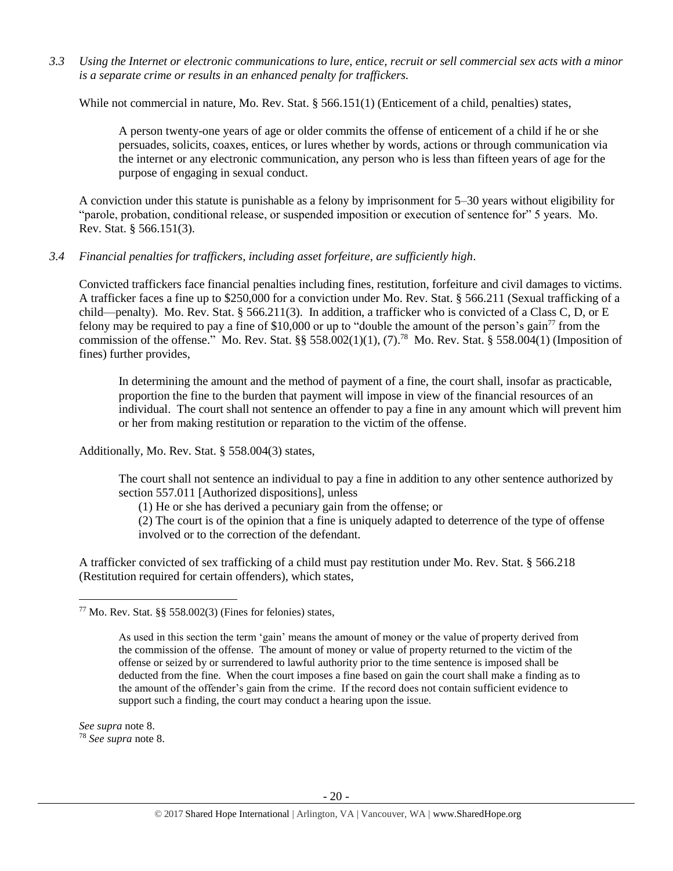*3.3 Using the Internet or electronic communications to lure, entice, recruit or sell commercial sex acts with a minor is a separate crime or results in an enhanced penalty for traffickers.*

While not commercial in nature, Mo. Rev. Stat. § 566.151(1) (Enticement of a child, penalties) states,

A person twenty-one years of age or older commits the offense of enticement of a child if he or she persuades, solicits, coaxes, entices, or lures whether by words, actions or through communication via the internet or any electronic communication, any person who is less than fifteen years of age for the purpose of engaging in sexual conduct.

A conviction under this statute is punishable as a felony by imprisonment for 5–30 years without eligibility for "parole, probation, conditional release, or suspended imposition or execution of sentence for" 5 years. Mo. Rev. Stat. § 566.151(3).

# *3.4 Financial penalties for traffickers, including asset forfeiture, are sufficiently high*.

Convicted traffickers face financial penalties including fines, restitution, forfeiture and civil damages to victims. A trafficker faces a fine up to \$250,000 for a conviction under Mo. Rev. Stat. § 566.211 (Sexual trafficking of a child—penalty). Mo. Rev. Stat. § 566.211(3). In addition, a trafficker who is convicted of a Class C, D, or E felony may be required to pay a fine of \$10,000 or up to "double the amount of the person's gain<sup>77</sup> from the commission of the offense." Mo. Rev. Stat.  $\S$ § 558.002(1)(1), (7).<sup>78</sup> Mo. Rev. Stat. § 558.004(1) (Imposition of fines) further provides,

<span id="page-19-0"></span>In determining the amount and the method of payment of a fine, the court shall, insofar as practicable, proportion the fine to the burden that payment will impose in view of the financial resources of an individual. The court shall not sentence an offender to pay a fine in any amount which will prevent him or her from making restitution or reparation to the victim of the offense.

Additionally, Mo. Rev. Stat. § 558.004(3) states,

The court shall not sentence an individual to pay a fine in addition to any other sentence authorized by section 557.011 [Authorized dispositions], unless

(1) He or she has derived a pecuniary gain from the offense; or

(2) The court is of the opinion that a fine is uniquely adapted to deterrence of the type of offense involved or to the correction of the defendant.

A trafficker convicted of sex trafficking of a child must pay restitution under Mo. Rev. Stat. § 566.218 (Restitution required for certain offenders), which states,

*See supra* note [8.](#page-2-0)

 $\overline{\phantom{a}}$ 

<sup>78</sup> *See supra* note [8.](#page-2-0)

 $77$  Mo. Rev. Stat. §§ 558.002(3) (Fines for felonies) states,

As used in this section the term 'gain' means the amount of money or the value of property derived from the commission of the offense. The amount of money or value of property returned to the victim of the offense or seized by or surrendered to lawful authority prior to the time sentence is imposed shall be deducted from the fine. When the court imposes a fine based on gain the court shall make a finding as to the amount of the offender's gain from the crime. If the record does not contain sufficient evidence to support such a finding, the court may conduct a hearing upon the issue.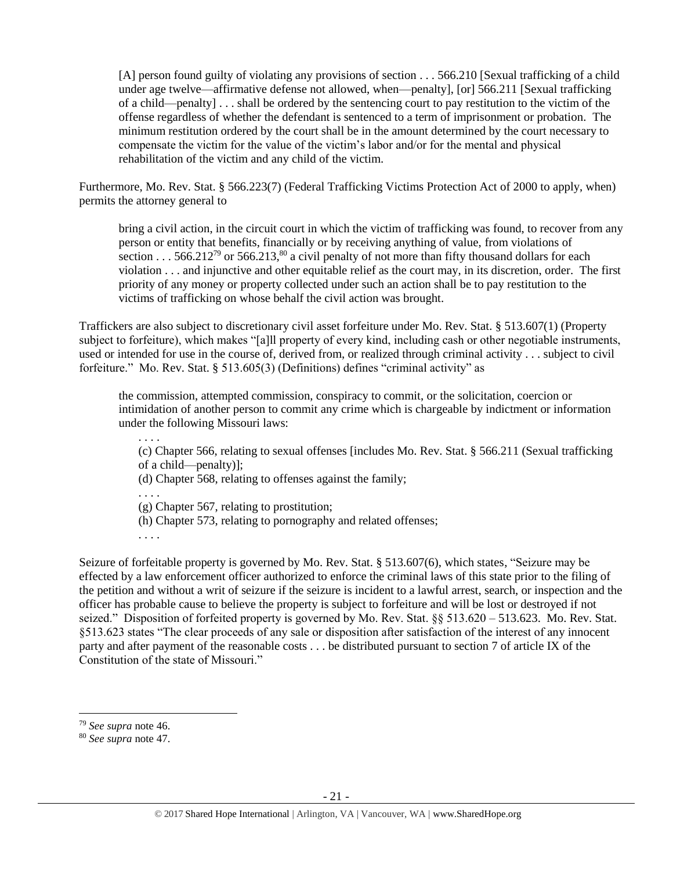[A] person found guilty of violating any provisions of section . . . 566.210 [Sexual trafficking of a child under age twelve—affirmative defense not allowed, when—penalty], [or] 566.211 [Sexual trafficking of a child—penalty] . . . shall be ordered by the sentencing court to pay restitution to the victim of the offense regardless of whether the defendant is sentenced to a term of imprisonment or probation. The minimum restitution ordered by the court shall be in the amount determined by the court necessary to compensate the victim for the value of the victim's labor and/or for the mental and physical rehabilitation of the victim and any child of the victim.

Furthermore, Mo. Rev. Stat. § 566.223(7) (Federal Trafficking Victims Protection Act of 2000 to apply, when) permits the attorney general to

bring a civil action, in the circuit court in which the victim of trafficking was found, to recover from any person or entity that benefits, financially or by receiving anything of value, from violations of section . . . 566.212<sup>79</sup> or 566.213,<sup>80</sup> a civil penalty of not more than fifty thousand dollars for each violation . . . and injunctive and other equitable relief as the court may, in its discretion, order. The first priority of any money or property collected under such an action shall be to pay restitution to the victims of trafficking on whose behalf the civil action was brought.

Traffickers are also subject to discretionary civil asset forfeiture under Mo. Rev. Stat. § 513.607(1) (Property subject to forfeiture), which makes "[a]ll property of every kind, including cash or other negotiable instruments, used or intended for use in the course of, derived from, or realized through criminal activity . . . subject to civil forfeiture." Mo. Rev. Stat. § 513.605(3) (Definitions) defines "criminal activity" as

the commission, attempted commission, conspiracy to commit, or the solicitation, coercion or intimidation of another person to commit any crime which is chargeable by indictment or information under the following Missouri laws:

. . . .

(c) Chapter 566, relating to sexual offenses [includes Mo. Rev. Stat. § 566.211 (Sexual trafficking of a child—penalty)];

(d) Chapter 568, relating to offenses against the family;

. . . .

(g) Chapter 567, relating to prostitution;

(h) Chapter 573, relating to pornography and related offenses;

. . . .

Seizure of forfeitable property is governed by Mo. Rev. Stat. § 513.607(6), which states, "Seizure may be effected by a law enforcement officer authorized to enforce the criminal laws of this state prior to the filing of the petition and without a writ of seizure if the seizure is incident to a lawful arrest, search, or inspection and the officer has probable cause to believe the property is subject to forfeiture and will be lost or destroyed if not seized." Disposition of forfeited property is governed by Mo. Rev. Stat. §§ 513.620 – 513.623. Mo. Rev. Stat. §513.623 states "The clear proceeds of any sale or disposition after satisfaction of the interest of any innocent party and after payment of the reasonable costs . . . be distributed pursuant to section 7 of article IX of the Constitution of the state of Missouri."

<sup>79</sup> *See supra* note [46.](#page-13-0)

<sup>80</sup> *See supra* note [47.](#page-13-1)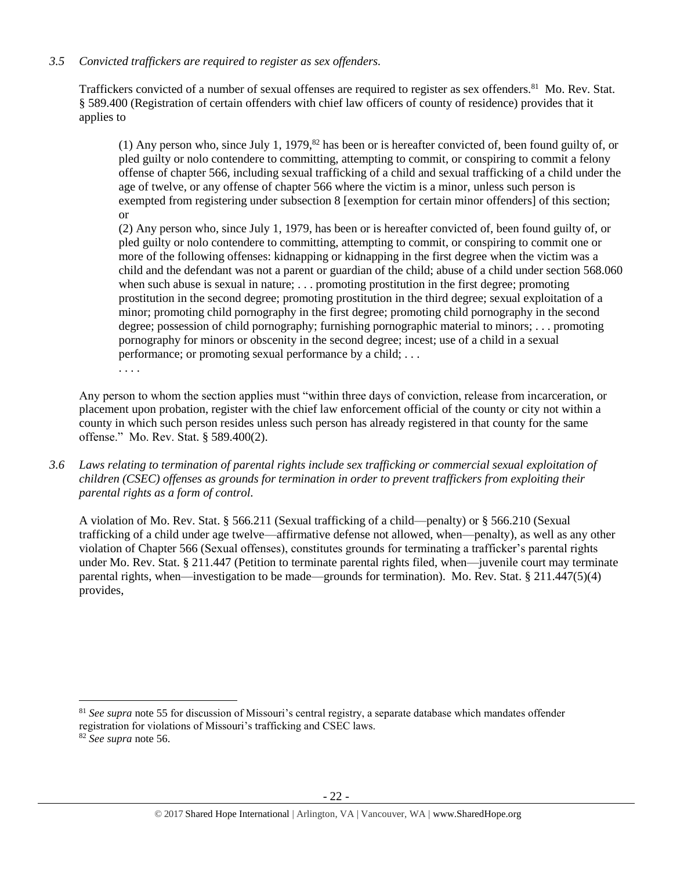## *3.5 Convicted traffickers are required to register as sex offenders.*

Traffickers convicted of a number of sexual offenses are required to register as sex offenders.<sup>81</sup> Mo. Rev. Stat. § 589.400 (Registration of certain offenders with chief law officers of county of residence) provides that it applies to

(1) Any person who, since July 1, 1979, $82$  has been or is hereafter convicted of, been found guilty of, or pled guilty or nolo contendere to committing, attempting to commit, or conspiring to commit a felony offense of chapter 566, including sexual trafficking of a child and sexual trafficking of a child under the age of twelve, or any offense of chapter 566 where the victim is a minor, unless such person is exempted from registering under subsection 8 [exemption for certain minor offenders] of this section; or

(2) Any person who, since July 1, 1979, has been or is hereafter convicted of, been found guilty of, or pled guilty or nolo contendere to committing, attempting to commit, or conspiring to commit one or more of the following offenses: kidnapping or kidnapping in the first degree when the victim was a child and the defendant was not a parent or guardian of the child; abuse of a child under section 568.060 when such abuse is sexual in nature; . . . promoting prostitution in the first degree; promoting prostitution in the second degree; promoting prostitution in the third degree; sexual exploitation of a minor; promoting child pornography in the first degree; promoting child pornography in the second degree; possession of child pornography; furnishing pornographic material to minors; . . . promoting pornography for minors or obscenity in the second degree; incest; use of a child in a sexual performance; or promoting sexual performance by a child; . . .

Any person to whom the section applies must "within three days of conviction, release from incarceration, or placement upon probation, register with the chief law enforcement official of the county or city not within a county in which such person resides unless such person has already registered in that county for the same offense." Mo. Rev. Stat. § 589.400(2).

*3.6 Laws relating to termination of parental rights include sex trafficking or commercial sexual exploitation of children (CSEC) offenses as grounds for termination in order to prevent traffickers from exploiting their parental rights as a form of control.* 

A violation of Mo. Rev. Stat. § 566.211 (Sexual trafficking of a child—penalty) or § 566.210 (Sexual trafficking of a child under age twelve—affirmative defense not allowed, when—penalty), as well as any other violation of Chapter 566 (Sexual offenses), constitutes grounds for terminating a trafficker's parental rights under Mo. Rev. Stat. § 211.447 (Petition to terminate parental rights filed, when—juvenile court may terminate parental rights, when—investigation to be made—grounds for termination). Mo. Rev. Stat. § 211.447(5)(4) provides,

 $\overline{\phantom{a}}$ 

. . . .

<sup>81</sup> *See supra* note [55](#page-15-0) for discussion of Missouri's central registry, a separate database which mandates offender registration for violations of Missouri's trafficking and CSEC laws.

<sup>82</sup> *See supra* note [56.](#page-15-1)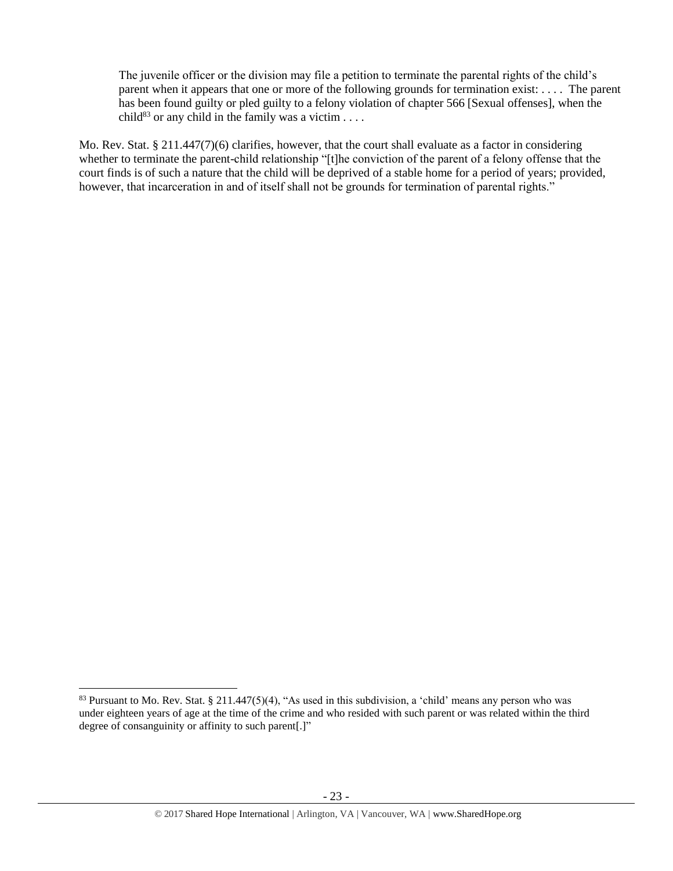The juvenile officer or the division may file a petition to terminate the parental rights of the child's parent when it appears that one or more of the following grounds for termination exist: . . . . The parent has been found guilty or pled guilty to a felony violation of chapter 566 [Sexual offenses], when the child<sup>83</sup> or any child in the family was a victim . . . .

Mo. Rev. Stat. § 211.447(7)(6) clarifies, however, that the court shall evaluate as a factor in considering whether to terminate the parent-child relationship "[t]he conviction of the parent of a felony offense that the court finds is of such a nature that the child will be deprived of a stable home for a period of years; provided, however, that incarceration in and of itself shall not be grounds for termination of parental rights."

 $83$  Pursuant to Mo. Rev. Stat.  $\S 211.447(5)(4)$ , "As used in this subdivision, a 'child' means any person who was under eighteen years of age at the time of the crime and who resided with such parent or was related within the third degree of consanguinity or affinity to such parent[.]"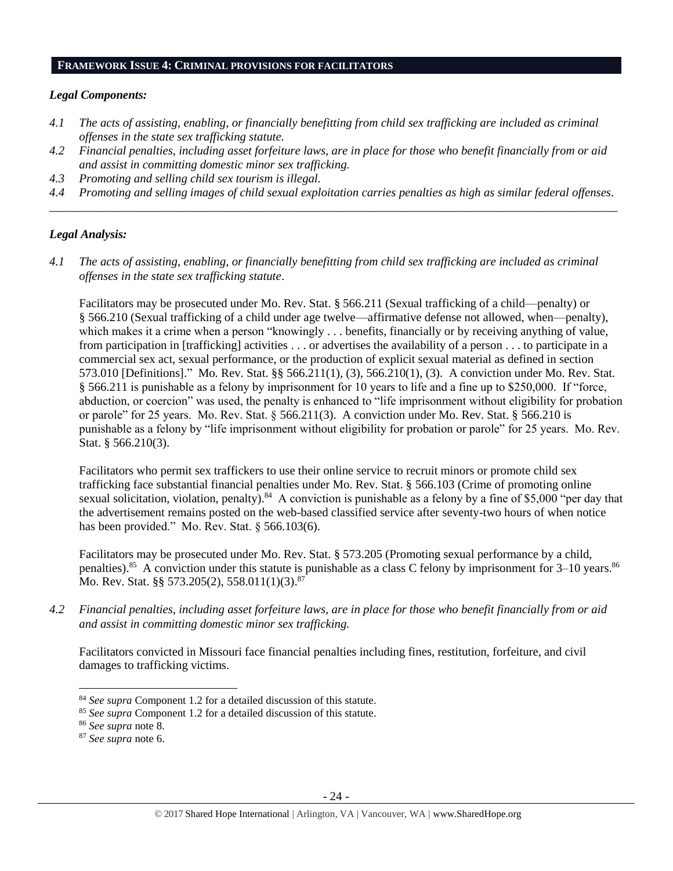#### **FRAMEWORK ISSUE 4: CRIMINAL PROVISIONS FOR FACILITATORS**

## *Legal Components:*

- *4.1 The acts of assisting, enabling, or financially benefitting from child sex trafficking are included as criminal offenses in the state sex trafficking statute.*
- *4.2 Financial penalties, including asset forfeiture laws, are in place for those who benefit financially from or aid and assist in committing domestic minor sex trafficking.*
- *4.3 Promoting and selling child sex tourism is illegal.*
- *4.4 Promoting and selling images of child sexual exploitation carries penalties as high as similar federal offenses. \_\_\_\_\_\_\_\_\_\_\_\_\_\_\_\_\_\_\_\_\_\_\_\_\_\_\_\_\_\_\_\_\_\_\_\_\_\_\_\_\_\_\_\_\_\_\_\_\_\_\_\_\_\_\_\_\_\_\_\_\_\_\_\_\_\_\_\_\_\_\_\_\_\_\_\_\_\_\_\_\_\_\_\_\_\_\_\_\_\_\_\_\_\_*

## *Legal Analysis:*

*4.1 The acts of assisting, enabling, or financially benefitting from child sex trafficking are included as criminal offenses in the state sex trafficking statute*.

Facilitators may be prosecuted under Mo. Rev. Stat. § 566.211 (Sexual trafficking of a child—penalty) or § 566.210 (Sexual trafficking of a child under age twelve—affirmative defense not allowed, when—penalty), which makes it a crime when a person "knowingly . . . benefits, financially or by receiving anything of value, from participation in [trafficking] activities . . . or advertises the availability of a person . . . to participate in a commercial sex act, sexual performance, or the production of explicit sexual material as defined in section 573.010 [Definitions]." Mo. Rev. Stat. §§ 566.211(1), (3), 566.210(1), (3). A conviction under Mo. Rev. Stat. § 566.211 is punishable as a felony by imprisonment for 10 years to life and a fine up to \$250,000. If "force, abduction, or coercion" was used, the penalty is enhanced to "life imprisonment without eligibility for probation or parole" for 25 years. Mo. Rev. Stat. § 566.211(3). A conviction under Mo. Rev. Stat. § 566.210 is punishable as a felony by "life imprisonment without eligibility for probation or parole" for 25 years. Mo. Rev. Stat. § 566.210(3).

Facilitators who permit sex traffickers to use their online service to recruit minors or promote child sex trafficking face substantial financial penalties under Mo. Rev. Stat. § 566.103 (Crime of promoting online sexual solicitation, violation, penalty).<sup>84</sup> A conviction is punishable as a felony by a fine of \$5,000 "per day that the advertisement remains posted on the web-based classified service after seventy-two hours of when notice has been provided." Mo. Rev. Stat. § 566.103(6).

Facilitators may be prosecuted under Mo. Rev. Stat. § 573.205 (Promoting sexual performance by a child, penalties).<sup>85</sup> A conviction under this statute is punishable as a class C felony by imprisonment for  $3-10$  years.<sup>86</sup> Mo. Rev. Stat. §§ 573.205(2), 558.011(1)(3).<sup>87</sup>

*4.2 Financial penalties, including asset forfeiture laws, are in place for those who benefit financially from or aid and assist in committing domestic minor sex trafficking.*

Facilitators convicted in Missouri face financial penalties including fines, restitution, forfeiture, and civil damages to trafficking victims.

<sup>84</sup> *See supra* Component 1.2 for a detailed discussion of this statute.

<sup>85</sup> *See supra* Component 1.2 for a detailed discussion of this statute.

<sup>86</sup> *See supra* note [8.](#page-2-0)

<sup>87</sup> *See supra* note [6.](#page-1-1)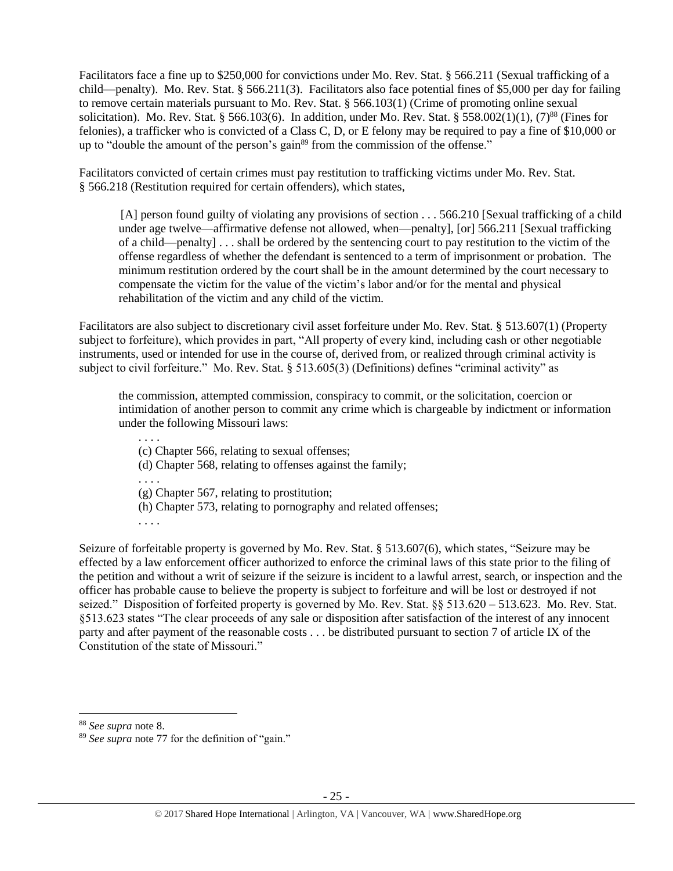Facilitators face a fine up to \$250,000 for convictions under Mo. Rev. Stat. § 566.211 (Sexual trafficking of a child—penalty). Mo. Rev. Stat. § 566.211(3). Facilitators also face potential fines of \$5,000 per day for failing to remove certain materials pursuant to Mo. Rev. Stat. § 566.103(1) (Crime of promoting online sexual solicitation). Mo. Rev. Stat. § 566.103(6). In addition, under Mo. Rev. Stat. § 558.002(1)(1),  $(7)^{88}$  (Fines for felonies), a trafficker who is convicted of a Class C, D, or E felony may be required to pay a fine of \$10,000 or up to "double the amount of the person's gain<sup>89</sup> from the commission of the offense."

Facilitators convicted of certain crimes must pay restitution to trafficking victims under Mo. Rev. Stat. § 566.218 (Restitution required for certain offenders), which states,

[A] person found guilty of violating any provisions of section . . . 566.210 [Sexual trafficking of a child under age twelve—affirmative defense not allowed, when—penalty], [or] 566.211 [Sexual trafficking of a child—penalty] . . . shall be ordered by the sentencing court to pay restitution to the victim of the offense regardless of whether the defendant is sentenced to a term of imprisonment or probation. The minimum restitution ordered by the court shall be in the amount determined by the court necessary to compensate the victim for the value of the victim's labor and/or for the mental and physical rehabilitation of the victim and any child of the victim.

Facilitators are also subject to discretionary civil asset forfeiture under Mo. Rev. Stat. § 513.607(1) (Property subject to forfeiture), which provides in part, "All property of every kind, including cash or other negotiable instruments, used or intended for use in the course of, derived from, or realized through criminal activity is subject to civil forfeiture." Mo. Rev. Stat. § 513.605(3) (Definitions) defines "criminal activity" as

the commission, attempted commission, conspiracy to commit, or the solicitation, coercion or intimidation of another person to commit any crime which is chargeable by indictment or information under the following Missouri laws:

. . . . (c) Chapter 566, relating to sexual offenses; (d) Chapter 568, relating to offenses against the family; . . . . (g) Chapter 567, relating to prostitution; (h) Chapter 573, relating to pornography and related offenses; . . . .

Seizure of forfeitable property is governed by Mo. Rev. Stat. § 513.607(6), which states, "Seizure may be effected by a law enforcement officer authorized to enforce the criminal laws of this state prior to the filing of the petition and without a writ of seizure if the seizure is incident to a lawful arrest, search, or inspection and the officer has probable cause to believe the property is subject to forfeiture and will be lost or destroyed if not seized." Disposition of forfeited property is governed by Mo. Rev. Stat. §§ 513.620 – 513.623. Mo. Rev. Stat. §513.623 states "The clear proceeds of any sale or disposition after satisfaction of the interest of any innocent party and after payment of the reasonable costs . . . be distributed pursuant to section 7 of article IX of the Constitution of the state of Missouri."

<sup>88</sup> *See supra* note [8.](#page-2-0)

<sup>89</sup> *See supra* note [77](#page-19-0) for the definition of "gain."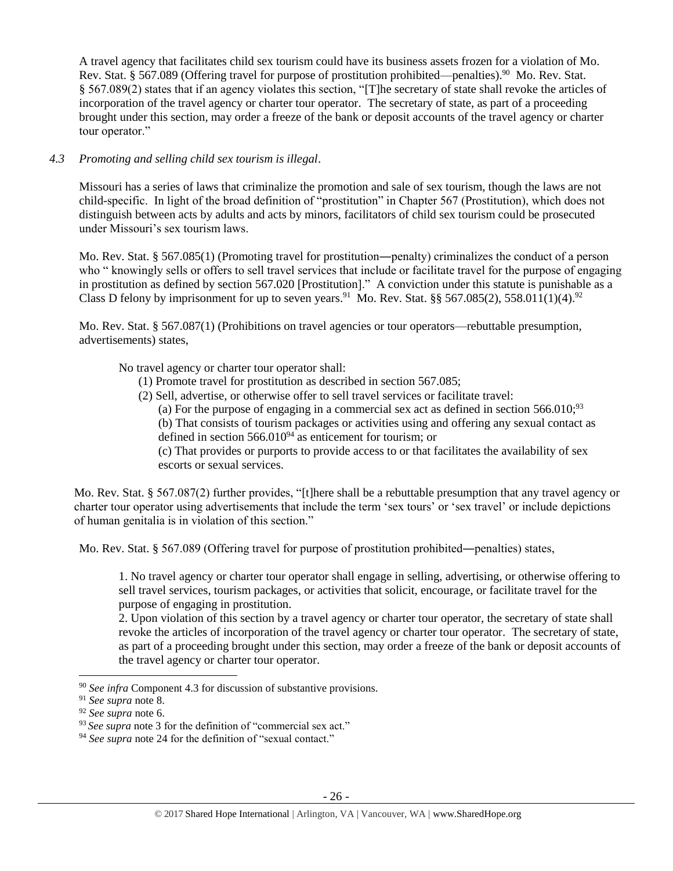A travel agency that facilitates child sex tourism could have its business assets frozen for a violation of Mo. Rev. Stat. § 567.089 (Offering travel for purpose of prostitution prohibited—penalties).<sup>90</sup> Mo. Rev. Stat. § 567.089(2) states that if an agency violates this section, "[T]he secretary of state shall revoke the articles of incorporation of the travel agency or charter tour operator. The secretary of state, as part of a proceeding brought under this section, may order a freeze of the bank or deposit accounts of the travel agency or charter tour operator."

# *4.3 Promoting and selling child sex tourism is illegal*.

Missouri has a series of laws that criminalize the promotion and sale of sex tourism, though the laws are not child-specific. In light of the broad definition of "prostitution" in Chapter 567 (Prostitution), which does not distinguish between acts by adults and acts by minors, facilitators of child sex tourism could be prosecuted under Missouri's sex tourism laws.

Mo. Rev. Stat. § 567.085(1) (Promoting travel for prostitution—penalty) criminalizes the conduct of a person who " knowingly sells or offers to sell travel services that include or facilitate travel for the purpose of engaging in prostitution as defined by [section 567.020](https://www.lexis.com/research/buttonTFLink?_m=365bbb2c169493723bac928e24ec7929&_xfercite=%3ccite%20cc%3d%22USA%22%3e%3c%21%5bCDATA%5b%a7%20567.085%20R.S.Mo.%5d%5d%3e%3c%2fcite%3e&_butType=4&_butStat=0&_butNum=2&_butInline=1&_butinfo=MOCODE%20567.010&_fmtstr=FULL&docnum=1&_startdoc=1&wchp=dGLzVlz-zSkAW&_md5=d32fdfbb8fc188b2a81f3fd57e337121) [Prostitution]." A conviction under this statute is punishable as a Class D felony by imprisonment for up to seven years.<sup>91</sup> Mo. Rev. Stat. §§ 567.085(2), 558.011(1)(4).<sup>92</sup>

Mo. Rev. Stat. § 567.087(1) (Prohibitions on travel agencies or tour operators—rebuttable presumption, advertisements) states,

No travel agency or charter tour operator shall:

- (1) Promote travel for prostitution as described in [section 567.085;](https://www.lexis.com/research/buttonTFLink?_m=39eacf84f8f4116d465fb0ab2d829210&_xfercite=%3ccite%20cc%3d%22USA%22%3e%3c%21%5bCDATA%5b%a7%20567.087%20R.S.Mo.%5d%5d%3e%3c%2fcite%3e&_butType=4&_butStat=0&_butNum=2&_butInline=1&_butinfo=MOCODE%20567.085&_fmtstr=FULL&docnum=1&_startdoc=1&wchp=dGLbVzb-zSkAl&_md5=3549e1692989f5adfa9211a8b10d75ac)
- (2) Sell, advertise, or otherwise offer to sell travel services or facilitate travel:
	- (a) For the purpose of engaging in a commercial sex act as defined in section  $566.010$ ;<sup>93</sup>

(b) That consists of tourism packages or activities using and offering any sexual contact as defined in section  $566.010<sup>94</sup>$  as enticement for tourism; or

(c) That provides or purports to provide access to or that facilitates the availability of sex escorts or sexual services.

Mo. Rev. Stat. § 567.087(2) further provides, "[t]here shall be a rebuttable presumption that any travel agency or charter tour operator using advertisements that include the term 'sex tours' or 'sex travel' or include depictions of human genitalia is in violation of this section."

Mo. Rev. Stat. § 567.089 (Offering travel for purpose of prostitution prohibited—penalties) states,

1. No travel agency or charter tour operator shall engage in selling, advertising, or otherwise offering to sell travel services, tourism packages, or activities that solicit, encourage, or facilitate travel for the purpose of engaging in prostitution.

2. Upon violation of this section by a travel agency or charter tour operator, the secretary of state shall revoke the articles of incorporation of the travel agency or charter tour operator. The secretary of state, as part of a proceeding brought under this section, may order a freeze of the bank or deposit accounts of the travel agency or charter tour operator.

<sup>90</sup> *See infra* Component 4.3 for discussion of substantive provisions.

<sup>91</sup> *See supra* note [8.](#page-2-0)

<sup>92</sup> *See supra* note [6.](#page-1-1)

<sup>&</sup>lt;sup>93</sup> See supra not[e 3](#page-1-2) for the definition of "commercial sex act."

<sup>&</sup>lt;sup>94</sup> See supra note [24](#page-6-0) for the definition of "sexual contact."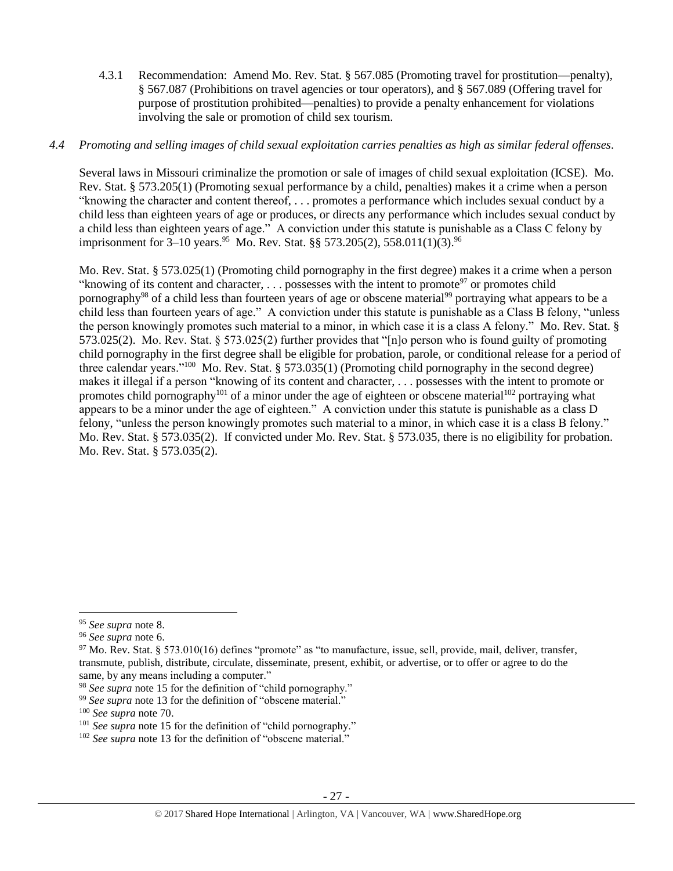4.3.1 Recommendation: Amend Mo. Rev. Stat. § 567.085 (Promoting travel for prostitution—penalty), § 567.087 (Prohibitions on travel agencies or tour operators), and § 567.089 (Offering travel for purpose of prostitution prohibited—penalties) to provide a penalty enhancement for violations involving the sale or promotion of child sex tourism.

# *4.4 Promoting and selling images of child sexual exploitation carries penalties as high as similar federal offenses.*

Several laws in Missouri criminalize the promotion or sale of images of child sexual exploitation (ICSE). Mo. Rev. Stat. § 573.205(1) (Promoting sexual performance by a child, penalties) makes it a crime when a person "knowing the character and content thereof, . . . promotes a performance which includes sexual conduct by a child less than eighteen years of age or produces, or directs any performance which includes sexual conduct by a child less than eighteen years of age." A conviction under this statute is punishable as a Class C felony by imprisonment for 3–10 years.<sup>95</sup> Mo. Rev. Stat. §§ 573.205(2), 558.011(1)(3).<sup>96</sup>

Mo. Rev. Stat. § 573.025(1) (Promoting child pornography in the first degree) makes it a crime when a person "knowing of its content and character, ... possesses with the intent to promote<sup>97</sup> or promotes child pornography<sup>98</sup> of a child less than fourteen years of age or obscene material<sup>99</sup> portraying what appears to be a child less than fourteen years of age." A conviction under this statute is punishable as a Class B felony, "unless the person knowingly promotes such material to a minor, in which case it is a class A felony." Mo. Rev. Stat. § 573.025(2). Mo. Rev. Stat. § 573.025(2) further provides that "[n]o person who is found guilty of promoting child pornography in the first degree shall be eligible for probation, parole, or conditional release for a period of three calendar years."<sup>100</sup> Mo. Rev. Stat. § 573.035(1) (Promoting child pornography in the second degree) makes it illegal if a person "knowing of its content and character, . . . possesses with the intent to promote or promotes child pornography<sup>101</sup> of a minor under the age of eighteen or obscene material<sup>102</sup> portraying what appears to be a minor under the age of eighteen." A conviction under this statute is punishable as a class D felony, "unless the person knowingly promotes such material to a minor, in which case it is a class B felony." Mo. Rev. Stat. § 573.035(2). If convicted under Mo. Rev. Stat. § 573.035, there is no eligibility for probation. Mo. Rev. Stat. § 573.035(2).

l

<sup>95</sup> *See supra* note [8.](#page-2-0)

<sup>96</sup> *See supra* note [6.](#page-1-1)

 $97$  Mo. Rev. Stat. § 573.010(16) defines "promote" as "to manufacture, issue, sell, provide, mail, deliver, transfer, transmute, publish, distribute, circulate, disseminate, present, exhibit, or advertise, or to offer or agree to do the same, by any means including a computer."

<sup>98</sup> *See supra* note [15](#page-3-0) for the definition of "child pornography."

<sup>99</sup> *See supra* note [13](#page-3-1) for the definition of "obscene material."

<sup>100</sup> *See supra* not[e 70.](#page-18-0)

<sup>&</sup>lt;sup>101</sup> *See supra* not[e 15](#page-3-0) for the definition of "child pornography."

<sup>&</sup>lt;sup>102</sup> See supra not[e 13](#page-3-1) for the definition of "obscene material."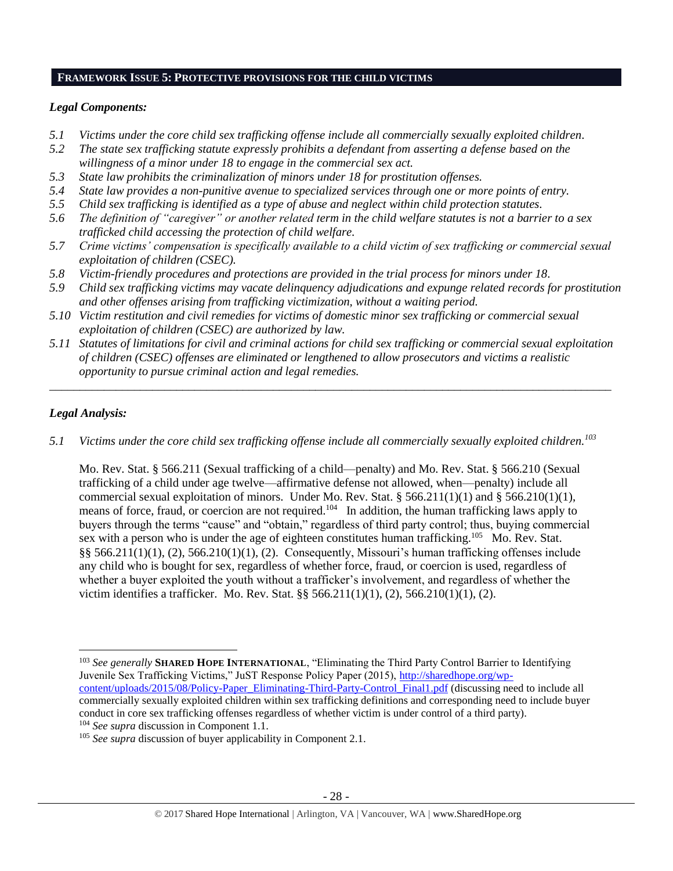## **FRAMEWORK ISSUE 5: PROTECTIVE PROVISIONS FOR THE CHILD VICTIMS**

## *Legal Components:*

- *5.1 Victims under the core child sex trafficking offense include all commercially sexually exploited children.*
- *5.2 The state sex trafficking statute expressly prohibits a defendant from asserting a defense based on the willingness of a minor under 18 to engage in the commercial sex act.*
- *5.3 State law prohibits the criminalization of minors under 18 for prostitution offenses.*
- *5.4 State law provides a non-punitive avenue to specialized services through one or more points of entry.*
- *5.5 Child sex trafficking is identified as a type of abuse and neglect within child protection statutes.*
- *5.6 The definition of "caregiver" or another related term in the child welfare statutes is not a barrier to a sex trafficked child accessing the protection of child welfare.*
- *5.7 Crime victims' compensation is specifically available to a child victim of sex trafficking or commercial sexual exploitation of children (CSEC).*
- *5.8 Victim-friendly procedures and protections are provided in the trial process for minors under 18.*
- *5.9 Child sex trafficking victims may vacate delinquency adjudications and expunge related records for prostitution and other offenses arising from trafficking victimization, without a waiting period.*
- *5.10 Victim restitution and civil remedies for victims of domestic minor sex trafficking or commercial sexual exploitation of children (CSEC) are authorized by law.*
- *5.11 Statutes of limitations for civil and criminal actions for child sex trafficking or commercial sexual exploitation of children (CSEC) offenses are eliminated or lengthened to allow prosecutors and victims a realistic opportunity to pursue criminal action and legal remedies.*

*\_\_\_\_\_\_\_\_\_\_\_\_\_\_\_\_\_\_\_\_\_\_\_\_\_\_\_\_\_\_\_\_\_\_\_\_\_\_\_\_\_\_\_\_\_\_\_\_\_\_\_\_\_\_\_\_\_\_\_\_\_\_\_\_\_\_\_\_\_\_\_\_\_\_\_\_\_\_\_\_\_\_\_\_\_\_\_\_\_\_\_\_\_*

# *Legal Analysis:*

l

*5.1 Victims under the core child sex trafficking offense include all commercially sexually exploited children.<sup>103</sup>* 

Mo. Rev. Stat. § 566.211 (Sexual trafficking of a child—penalty) and Mo. Rev. Stat. § 566.210 (Sexual trafficking of a child under age twelve—affirmative defense not allowed, when—penalty) include all commercial sexual exploitation of minors. Under Mo. Rev. Stat. § 566.211(1)(1) and § 566.210(1)(1), means of force, fraud, or coercion are not required.<sup>104</sup> In addition, the human trafficking laws apply to buyers through the terms "cause" and "obtain," regardless of third party control; thus, buying commercial sex with a person who is under the age of eighteen constitutes human trafficking.<sup>105</sup> Mo. Rev. Stat. §§ 566.211(1)(1), (2), 566.210(1)(1), (2). Consequently, Missouri's human trafficking offenses include any child who is bought for sex, regardless of whether force, fraud, or coercion is used, regardless of whether a buyer exploited the youth without a trafficker's involvement, and regardless of whether the victim identifies a trafficker. Mo. Rev. Stat. §§ 566.211(1)(1), (2), 566.210(1)(1), (2).

<sup>103</sup> *See generally* **SHARED HOPE INTERNATIONAL**, "Eliminating the Third Party Control Barrier to Identifying Juvenile Sex Trafficking Victims," JuST Response Policy Paper (2015), [http://sharedhope.org/wp](http://sharedhope.org/wp-content/uploads/2015/08/Policy-Paper_Eliminating-Third-Party-Control_Final1.pdf)[content/uploads/2015/08/Policy-Paper\\_Eliminating-Third-Party-Control\\_Final1.pdf](http://sharedhope.org/wp-content/uploads/2015/08/Policy-Paper_Eliminating-Third-Party-Control_Final1.pdf) (discussing need to include all commercially sexually exploited children within sex trafficking definitions and corresponding need to include buyer conduct in core sex trafficking offenses regardless of whether victim is under control of a third party). <sup>104</sup> *See supra* discussion in Component 1.1.

<sup>&</sup>lt;sup>105</sup> *See supra* discussion of buyer applicability in Component 2.1.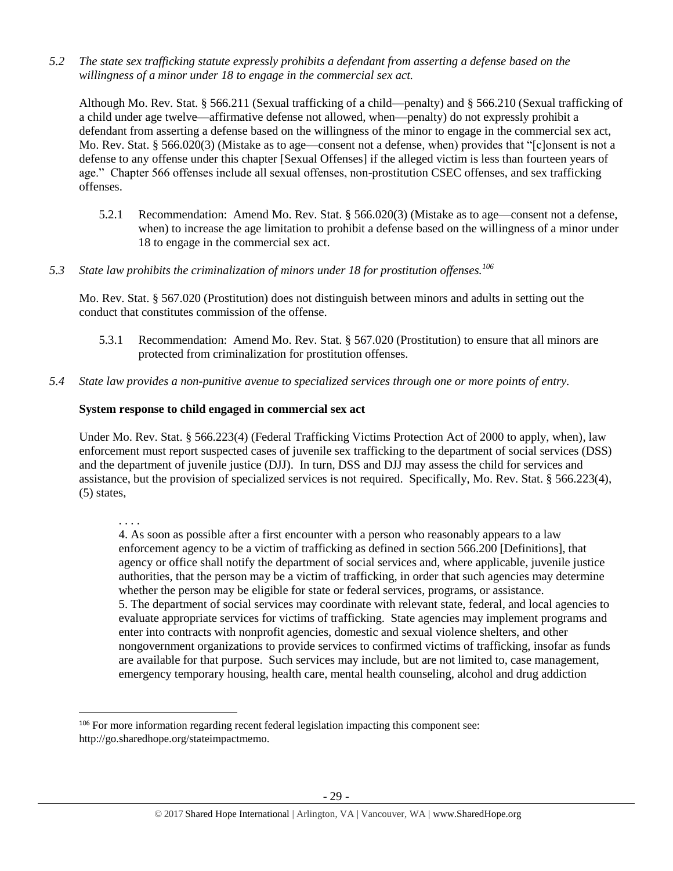*5.2 The state sex trafficking statute expressly prohibits a defendant from asserting a defense based on the willingness of a minor under 18 to engage in the commercial sex act.*

Although Mo. Rev. Stat. § 566.211 (Sexual trafficking of a child—penalty) and § 566.210 (Sexual trafficking of a child under age twelve—affirmative defense not allowed, when—penalty) do not expressly prohibit a defendant from asserting a defense based on the willingness of the minor to engage in the commercial sex act, Mo. Rev. Stat. § 566.020(3) (Mistake as to age—consent not a defense, when) provides that "[c]onsent is not a defense to any offense under this chapter [Sexual Offenses] if the alleged victim is less than fourteen years of age." Chapter 566 offenses include all sexual offenses, non-prostitution CSEC offenses, and sex trafficking offenses.

- 5.2.1 Recommendation: Amend Mo. Rev. Stat. § 566.020(3) (Mistake as to age—consent not a defense, when) to increase the age limitation to prohibit a defense based on the willingness of a minor under 18 to engage in the commercial sex act.
- *5.3 State law prohibits the criminalization of minors under 18 for prostitution offenses.<sup>106</sup>*

Mo. Rev. Stat. § 567.020 (Prostitution) does not distinguish between minors and adults in setting out the conduct that constitutes commission of the offense.

- 5.3.1 Recommendation: Amend Mo. Rev. Stat. § 567.020 (Prostitution) to ensure that all minors are protected from criminalization for prostitution offenses.
- *5.4 State law provides a non-punitive avenue to specialized services through one or more points of entry.*

# **System response to child engaged in commercial sex act**

Under Mo. Rev. Stat. § 566.223(4) (Federal Trafficking Victims Protection Act of 2000 to apply, when), law enforcement must report suspected cases of juvenile sex trafficking to the department of social services (DSS) and the department of juvenile justice (DJJ). In turn, DSS and DJJ may assess the child for services and assistance, but the provision of specialized services is not required. Specifically, Mo. Rev. Stat. § 566.223(4), (5) states,

 $\overline{\phantom{a}}$ 

4. As soon as possible after a first encounter with a person who reasonably appears to a law enforcement agency to be a victim of trafficking as defined in section 566.200 [Definitions], that agency or office shall notify the department of social services and, where applicable, juvenile justice authorities, that the person may be a victim of trafficking, in order that such agencies may determine whether the person may be eligible for state or federal services, programs, or assistance. 5. The department of social services may coordinate with relevant state, federal, and local agencies to evaluate appropriate services for victims of trafficking. State agencies may implement programs and enter into contracts with nonprofit agencies, domestic and sexual violence shelters, and other nongovernment organizations to provide services to confirmed victims of trafficking, insofar as funds are available for that purpose. Such services may include, but are not limited to, case management, emergency temporary housing, health care, mental health counseling, alcohol and drug addiction

<sup>. . . .</sup> 

<sup>&</sup>lt;sup>106</sup> For more information regarding recent federal legislation impacting this component see: http://go.sharedhope.org/stateimpactmemo.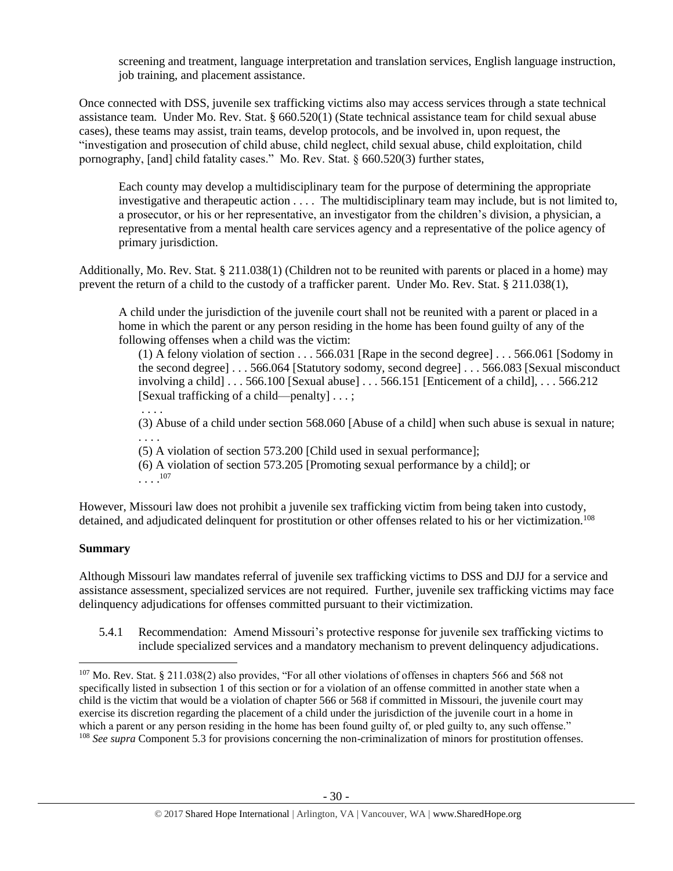screening and treatment, language interpretation and translation services, English language instruction, job training, and placement assistance.

Once connected with DSS, juvenile sex trafficking victims also may access services through a state technical assistance team. Under Mo. Rev. Stat. § 660.520(1) (State technical assistance team for child sexual abuse cases), these teams may assist, train teams, develop protocols, and be involved in, upon request, the "investigation and prosecution of child abuse, child neglect, child sexual abuse, child exploitation, child pornography, [and] child fatality cases." Mo. Rev. Stat. § 660.520(3) further states,

Each county may develop a multidisciplinary team for the purpose of determining the appropriate investigative and therapeutic action . . . . The multidisciplinary team may include, but is not limited to, a prosecutor, or his or her representative, an investigator from the children's division, a physician, a representative from a mental health care services agency and a representative of the police agency of primary jurisdiction.

Additionally, Mo. Rev. Stat. § 211.038(1) (Children not to be reunited with parents or placed in a home) may prevent the return of a child to the custody of a trafficker parent. Under Mo. Rev. Stat. § 211.038(1),

A child under the jurisdiction of the juvenile court shall not be reunited with a parent or placed in a home in which the parent or any person residing in the home has been found guilty of any of the following offenses when a child was the victim:

(1) A felony violation of section . . . 566.031 [Rape in the second degree] . . . 566.061 [Sodomy in the second degree] . . . 566.064 [Statutory sodomy, second degree] . . . 566.083 [Sexual misconduct involving a child]  $\ldots$  566.100 [Sexual abuse]  $\ldots$  566.151 [Enticement of a child],  $\ldots$  566.212 [Sexual trafficking of a child—penalty] . . . ;

. . . . (3) Abuse of a child under section 568.060 [Abuse of a child] when such abuse is sexual in nature; . . . .

(5) A violation of section 573.200 [Child used in sexual performance];

(6) A violation of section 573.205 [Promoting sexual performance by a child]; or . . . . 107

However, Missouri law does not prohibit a juvenile sex trafficking victim from being taken into custody, detained, and adjudicated delinquent for prostitution or other offenses related to his or her victimization.<sup>108</sup>

# **Summary**

 $\overline{a}$ 

Although Missouri law mandates referral of juvenile sex trafficking victims to DSS and DJJ for a service and assistance assessment, specialized services are not required. Further, juvenile sex trafficking victims may face delinquency adjudications for offenses committed pursuant to their victimization.

5.4.1 Recommendation: Amend Missouri's protective response for juvenile sex trafficking victims to include specialized services and a mandatory mechanism to prevent delinquency adjudications.

<sup>&</sup>lt;sup>107</sup> Mo. Rev. Stat. § 211.038(2) also provides, "For all other violations of offenses in chapters 566 and 568 not specifically listed in subsection 1 of this section or for a violation of an offense committed in another state when a child is the victim that would be a violation of chapter 566 or 568 if committed in Missouri, the juvenile court may exercise its discretion regarding the placement of a child under the jurisdiction of the juvenile court in a home in which a parent or any person residing in the home has been found guilty of, or pled guilty to, any such offense." <sup>108</sup> *See supra* Component 5.3 for provisions concerning the non-criminalization of minors for prostitution offenses.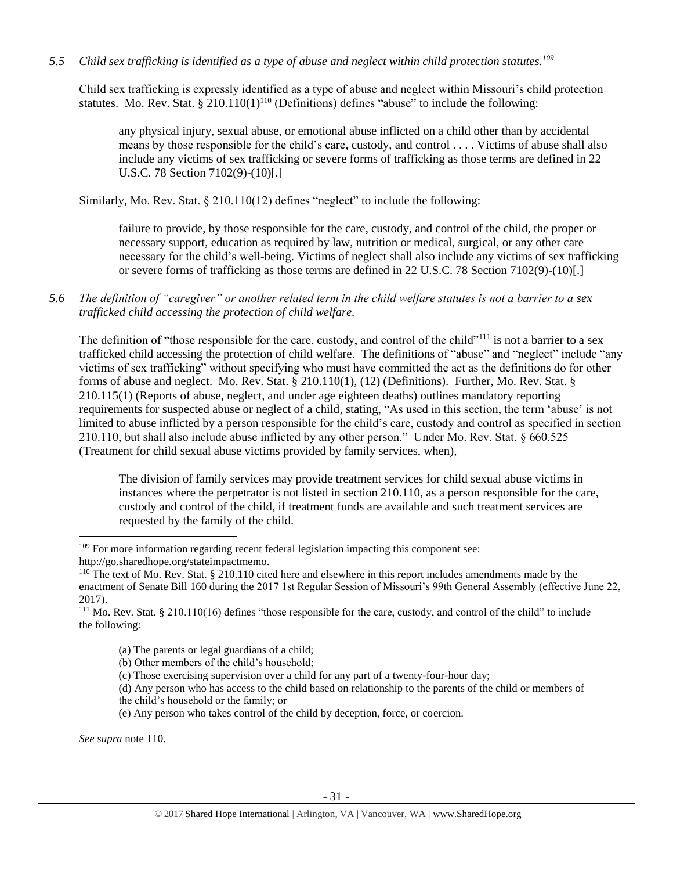# *5.5 Child sex trafficking is identified as a type of abuse and neglect within child protection statutes.<sup>109</sup>*

Child sex trafficking is expressly identified as a type of abuse and neglect within Missouri's child protection statutes. Mo. Rev. Stat.  $\S 210.110(1)^{110}$  (Definitions) defines "abuse" to include the following:

<span id="page-30-0"></span>any physical injury, sexual abuse, or emotional abuse inflicted on a child other than by accidental means by those responsible for the child's care, custody, and control . . . . Victims of abuse shall also include any victims of sex trafficking or severe forms of trafficking as those terms are defined in 22 U.S.C. 78 Section 7102(9)-(10)[.]

Similarly, Mo. Rev. Stat. § 210.110(12) defines "neglect" to include the following:

failure to provide, by those responsible for the care, custody, and control of the child, the proper or necessary support, education as required by law, nutrition or medical, surgical, or any other care necessary for the child's well-being. Victims of neglect shall also include any victims of sex trafficking or severe forms of trafficking as those terms are defined in 22 U.S.C. 78 Section 7102(9)-(10)[.]

*5.6 The definition of "caregiver" or another related term in the child welfare statutes is not a barrier to a sex trafficked child accessing the protection of child welfare.*

The definition of "those responsible for the care, custody, and control of the child"<sup>111</sup> is not a barrier to a sex trafficked child accessing the protection of child welfare. The definitions of "abuse" and "neglect" include "any victims of sex trafficking" without specifying who must have committed the act as the definitions do for other forms of abuse and neglect. Mo. Rev. Stat. § 210.110(1), (12) (Definitions). Further, Mo. Rev. Stat. § 210.115(1) (Reports of abuse, neglect, and under age eighteen deaths) outlines mandatory reporting requirements for suspected abuse or neglect of a child, stating, "As used in this section, the term 'abuse' is not limited to abuse inflicted by a person responsible for the child's care, custody and control as specified in section 210.110, but shall also include abuse inflicted by any other person." Under Mo. Rev. Stat. § 660.525 (Treatment for child sexual abuse victims provided by family services, when),

The division of family services may provide treatment services for child sexual abuse victims in instances where the perpetrator is not listed in section 210.110, as a person responsible for the care, custody and control of the child, if treatment funds are available and such treatment services are requested by the family of the child.

- (a) The parents or legal guardians of a child;
- (b) Other members of the child's household;
- (c) Those exercising supervision over a child for any part of a twenty-four-hour day;

(d) Any person who has access to the child based on relationship to the parents of the child or members of the child's household or the family; or

(e) Any person who takes control of the child by deception, force, or coercion.

*See supra* note [110.](#page-30-0)

l

<sup>&</sup>lt;sup>109</sup> For more information regarding recent federal legislation impacting this component see: http://go.sharedhope.org/stateimpactmemo.

<sup>&</sup>lt;sup>110</sup> The text of Mo. Rev. Stat. § 210.110 cited here and elsewhere in this report includes amendments made by the enactment of Senate Bill 160 during the 2017 1st Regular Session of Missouri's 99th General Assembly (effective June 22, 2017).

<sup>111</sup> Mo. Rev. Stat. § 210.110(16) defines "those responsible for the care, custody, and control of the child" to include the following: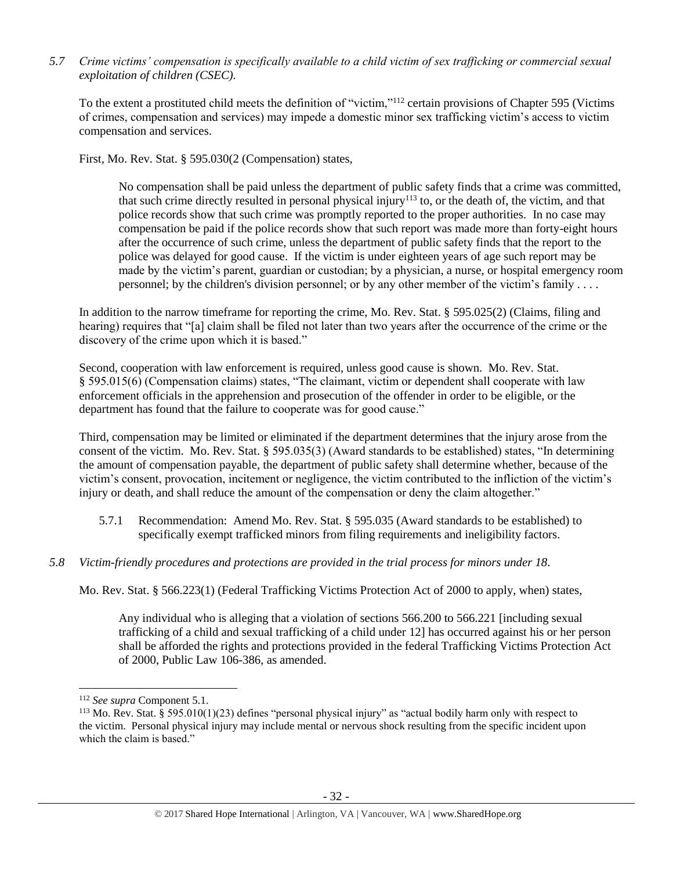# *5.7 Crime victims' compensation is specifically available to a child victim of sex trafficking or commercial sexual exploitation of children (CSEC).*

To the extent a prostituted child meets the definition of "victim,"<sup>112</sup> certain provisions of Chapter 595 (Victims of crimes, compensation and services) may impede a domestic minor sex trafficking victim's access to victim compensation and services.

First, Mo. Rev. Stat. § 595.030(2 (Compensation) states,

No compensation shall be paid unless the department of public safety finds that a crime was committed, that such crime directly resulted in personal physical injury<sup>113</sup> to, or the death of, the victim, and that police records show that such crime was promptly reported to the proper authorities. In no case may compensation be paid if the police records show that such report was made more than forty-eight hours after the occurrence of such crime, unless the department of public safety finds that the report to the police was delayed for good cause. If the victim is under eighteen years of age such report may be made by the victim's parent, guardian or custodian; by a physician, a nurse, or hospital emergency room personnel; by the children's division personnel; or by any other member of the victim's family . . . .

In addition to the narrow timeframe for reporting the crime, Mo. Rev. Stat. § 595.025(2) (Claims, filing and hearing) requires that "[a] claim shall be filed not later than two years after the occurrence of the crime or the discovery of the crime upon which it is based."

Second, cooperation with law enforcement is required, unless good cause is shown. Mo. Rev. Stat. § 595.015(6) (Compensation claims) states, "The claimant, victim or dependent shall cooperate with law enforcement officials in the apprehension and prosecution of the offender in order to be eligible, or the department has found that the failure to cooperate was for good cause."

Third, compensation may be limited or eliminated if the department determines that the injury arose from the consent of the victim. Mo. Rev. Stat. § 595.035(3) (Award standards to be established) states, "In determining the amount of compensation payable, the department of public safety shall determine whether, because of the victim's consent, provocation, incitement or negligence, the victim contributed to the infliction of the victim's injury or death, and shall reduce the amount of the compensation or deny the claim altogether."

- 5.7.1 Recommendation: Amend Mo. Rev. Stat. § 595.035 (Award standards to be established) to specifically exempt trafficked minors from filing requirements and ineligibility factors.
- *5.8 Victim-friendly procedures and protections are provided in the trial process for minors under 18.*

Mo. Rev. Stat. § 566.223(1) (Federal Trafficking Victims Protection Act of 2000 to apply, when) states,

Any individual who is alleging that a violation of sections 566.200 to 566.221 [including sexual trafficking of a child and sexual trafficking of a child under 12] has occurred against his or her person shall be afforded the rights and protections provided in the federal Trafficking Victims Protection Act of 2000, Public Law 106-386, as amended.

<sup>112</sup> *See supra* Component 5.1.

<sup>&</sup>lt;sup>113</sup> Mo. Rev. Stat. § 595.010(1)(23) defines "personal physical injury" as "actual bodily harm only with respect to the victim. Personal physical injury may include mental or nervous shock resulting from the specific incident upon which the claim is based."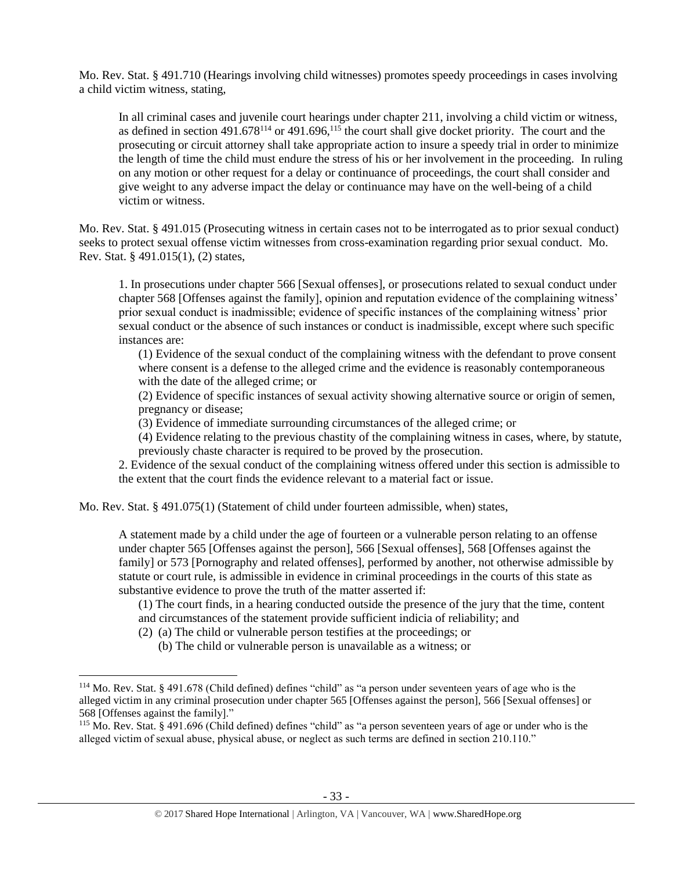Mo. Rev. Stat. § 491.710 (Hearings involving child witnesses) promotes speedy proceedings in cases involving a child victim witness, stating,

In all criminal cases and juvenile court hearings under chapter 211, involving a child victim or witness, as defined in section  $491.678^{114}$  or  $491.696$ ,  $115$  the court shall give docket priority. The court and the prosecuting or circuit attorney shall take appropriate action to insure a speedy trial in order to minimize the length of time the child must endure the stress of his or her involvement in the proceeding. In ruling on any motion or other request for a delay or continuance of proceedings, the court shall consider and give weight to any adverse impact the delay or continuance may have on the well-being of a child victim or witness.

Mo. Rev. Stat. § 491.015 (Prosecuting witness in certain cases not to be interrogated as to prior sexual conduct) seeks to protect sexual offense victim witnesses from cross-examination regarding prior sexual conduct. Mo. Rev. Stat. § 491.015(1), (2) states,

1. In prosecutions under chapter 566 [Sexual offenses], or prosecutions related to sexual conduct under chapter 568 [Offenses against the family], opinion and reputation evidence of the complaining witness' prior sexual conduct is inadmissible; evidence of specific instances of the complaining witness' prior sexual conduct or the absence of such instances or conduct is inadmissible, except where such specific instances are:

(1) Evidence of the sexual conduct of the complaining witness with the defendant to prove consent where consent is a defense to the alleged crime and the evidence is reasonably contemporaneous with the date of the alleged crime; or

(2) Evidence of specific instances of sexual activity showing alternative source or origin of semen, pregnancy or disease;

(3) Evidence of immediate surrounding circumstances of the alleged crime; or

(4) Evidence relating to the previous chastity of the complaining witness in cases, where, by statute, previously chaste character is required to be proved by the prosecution.

2. Evidence of the sexual conduct of the complaining witness offered under this section is admissible to the extent that the court finds the evidence relevant to a material fact or issue.

Mo. Rev. Stat. § 491.075(1) (Statement of child under fourteen admissible, when) states,

A statement made by a child under the age of fourteen or a vulnerable person relating to an offense under chapter 565 [Offenses against the person], 566 [Sexual offenses], 568 [Offenses against the family] or 573 [Pornography and related offenses], performed by another, not otherwise admissible by statute or court rule, is admissible in evidence in criminal proceedings in the courts of this state as substantive evidence to prove the truth of the matter asserted if:

(1) The court finds, in a hearing conducted outside the presence of the jury that the time, content and circumstances of the statement provide sufficient indicia of reliability; and

(2) (a) The child or vulnerable person testifies at the proceedings; or

 $\overline{\phantom{a}}$ 

(b) The child or vulnerable person is unavailable as a witness; or

<sup>114</sup> Mo. Rev. Stat. § 491.678 (Child defined) defines "child" as "a person under seventeen years of age who is the alleged victim in any criminal prosecution under chapter 565 [Offenses against the person], 566 [Sexual offenses] or 568 [Offenses against the family]."

<sup>115</sup> Mo. Rev. Stat. § 491.696 (Child defined) defines "child" as "a person seventeen years of age or under who is the alleged victim of sexual abuse, physical abuse, or neglect as such terms are defined in section 210.110."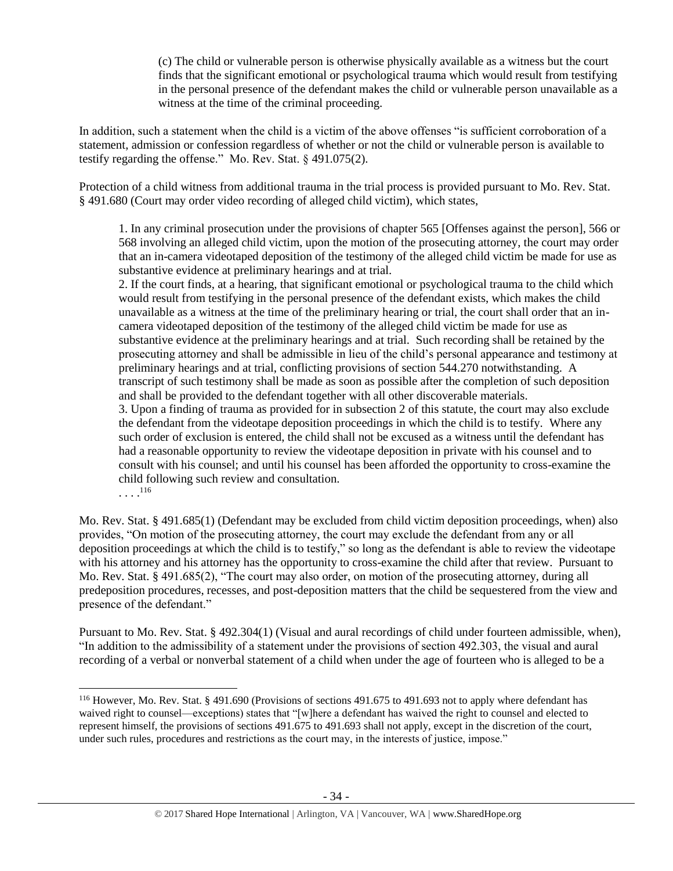(c) The child or vulnerable person is otherwise physically available as a witness but the court finds that the significant emotional or psychological trauma which would result from testifying in the personal presence of the defendant makes the child or vulnerable person unavailable as a witness at the time of the criminal proceeding.

In addition, such a statement when the child is a victim of the above offenses "is sufficient corroboration of a statement, admission or confession regardless of whether or not the child or vulnerable person is available to testify regarding the offense." Mo. Rev. Stat. § 491.075(2).

Protection of a child witness from additional trauma in the trial process is provided pursuant to Mo. Rev. Stat. § 491.680 (Court may order video recording of alleged child victim), which states,

1. In any criminal prosecution under the provisions of chapter 565 [Offenses against the person], 566 or 568 involving an alleged child victim, upon the motion of the prosecuting attorney, the court may order that an in-camera videotaped deposition of the testimony of the alleged child victim be made for use as substantive evidence at preliminary hearings and at trial.

2. If the court finds, at a hearing, that significant emotional or psychological trauma to the child which would result from testifying in the personal presence of the defendant exists, which makes the child unavailable as a witness at the time of the preliminary hearing or trial, the court shall order that an incamera videotaped deposition of the testimony of the alleged child victim be made for use as substantive evidence at the preliminary hearings and at trial. Such recording shall be retained by the prosecuting attorney and shall be admissible in lieu of the child's personal appearance and testimony at preliminary hearings and at trial, conflicting provisions of section 544.270 notwithstanding. A transcript of such testimony shall be made as soon as possible after the completion of such deposition and shall be provided to the defendant together with all other discoverable materials. 3. Upon a finding of trauma as provided for in subsection 2 of this statute, the court may also exclude the defendant from the videotape deposition proceedings in which the child is to testify. Where any

such order of exclusion is entered, the child shall not be excused as a witness until the defendant has had a reasonable opportunity to review the videotape deposition in private with his counsel and to consult with his counsel; and until his counsel has been afforded the opportunity to cross-examine the child following such review and consultation.

 $\ldots$ <sup>116</sup>

 $\overline{\phantom{a}}$ 

Mo. Rev. Stat. § 491.685(1) (Defendant may be excluded from child victim deposition proceedings, when) also provides, "On motion of the prosecuting attorney, the court may exclude the defendant from any or all deposition proceedings at which the child is to testify," so long as the defendant is able to review the videotape with his attorney and his attorney has the opportunity to cross-examine the child after that review. Pursuant to Mo. Rev. Stat. § 491.685(2), "The court may also order, on motion of the prosecuting attorney, during all predeposition procedures, recesses, and post-deposition matters that the child be sequestered from the view and presence of the defendant."

Pursuant to Mo. Rev. Stat. § 492.304(1) (Visual and aural recordings of child under fourteen admissible, when), "In addition to the admissibility of a statement under the provisions of section 492.303, the visual and aural recording of a verbal or nonverbal statement of a child when under the age of fourteen who is alleged to be a

<sup>116</sup> However, Mo. Rev. Stat. § 491.690 (Provisions of sections 491.675 to 491.693 not to apply where defendant has waived right to counsel—exceptions) states that "[w]here a defendant has waived the right to counsel and elected to represent himself, the provisions of sections 491.675 to 491.693 shall not apply, except in the discretion of the court, under such rules, procedures and restrictions as the court may, in the interests of justice, impose."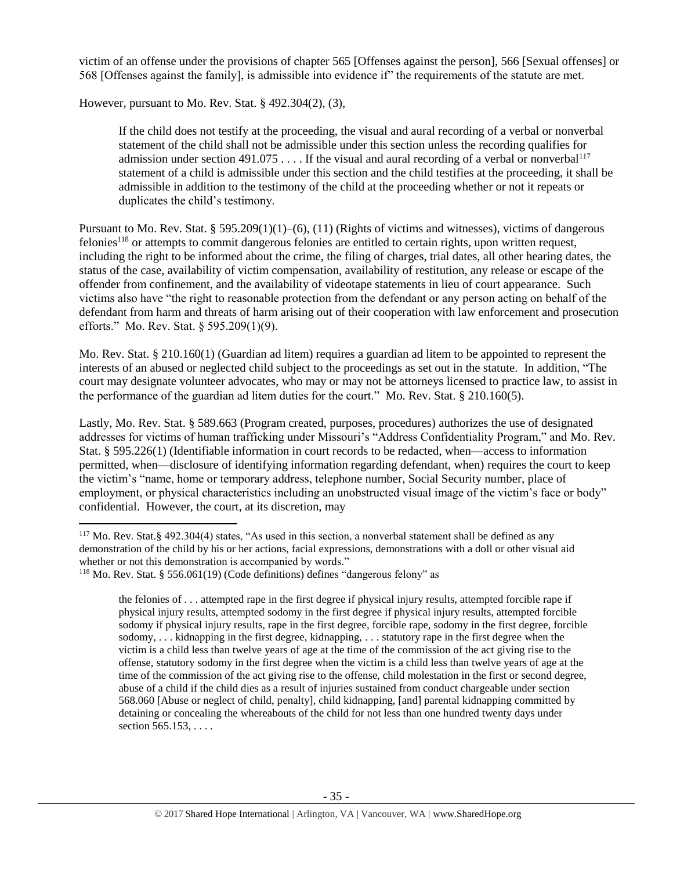victim of an offense under the provisions of chapter 565 [Offenses against the person], 566 [Sexual offenses] or 568 [Offenses against the family], is admissible into evidence if" the requirements of the statute are met.

However, pursuant to Mo. Rev. Stat. § 492.304(2), (3),

If the child does not testify at the proceeding, the visual and aural recording of a verbal or nonverbal statement of the child shall not be admissible under this section unless the recording qualifies for admission under section 491.075 . . . . If the visual and aural recording of a verbal or nonverbal<sup>117</sup> statement of a child is admissible under this section and the child testifies at the proceeding, it shall be admissible in addition to the testimony of the child at the proceeding whether or not it repeats or duplicates the child's testimony.

Pursuant to Mo. Rev. Stat. § 595.209(1)(1)–(6), (11) (Rights of victims and witnesses), victims of dangerous felonies<sup>118</sup> or attempts to commit dangerous felonies are entitled to certain rights, upon written request, including the right to be informed about the crime, the filing of charges, trial dates, all other hearing dates, the status of the case, availability of victim compensation, availability of restitution, any release or escape of the offender from confinement, and the availability of videotape statements in lieu of court appearance. Such victims also have "the right to reasonable protection from the defendant or any person acting on behalf of the defendant from harm and threats of harm arising out of their cooperation with law enforcement and prosecution efforts." Mo. Rev. Stat. § 595.209(1)(9).

Mo. Rev. Stat. § 210.160(1) (Guardian ad litem) requires a guardian ad litem to be appointed to represent the interests of an abused or neglected child subject to the proceedings as set out in the statute. In addition, "The court may designate volunteer advocates, who may or may not be attorneys licensed to practice law, to assist in the performance of the guardian ad litem duties for the court." Mo. Rev. Stat. § 210.160(5).

Lastly, Mo. Rev. Stat. § 589.663 (Program created, purposes, procedures) authorizes the use of designated addresses for victims of human trafficking under Missouri's "Address Confidentiality Program," and Mo. Rev. Stat. § 595.226(1) (Identifiable information in court records to be redacted, when—access to information permitted, when—disclosure of identifying information regarding defendant, when) requires the court to keep the victim's "name, home or temporary address, telephone number, Social Security number, place of employment, or physical characteristics including an unobstructed visual image of the victim's face or body" confidential. However, the court, at its discretion, may

<sup>117</sup> Mo. Rev. Stat.§ 492.304(4) states, "As used in this section, a nonverbal statement shall be defined as any demonstration of the child by his or her actions, facial expressions, demonstrations with a doll or other visual aid whether or not this demonstration is accompanied by words."

<sup>118</sup> Mo. Rev. Stat. § 556.061(19) (Code definitions) defines "dangerous felony" as

the felonies of . . . attempted rape in the first degree if physical injury results, attempted forcible rape if physical injury results, attempted sodomy in the first degree if physical injury results, attempted forcible sodomy if physical injury results, rape in the first degree, forcible rape, sodomy in the first degree, forcible sodomy, . . . kidnapping in the first degree, kidnapping, . . . statutory rape in the first degree when the victim is a child less than twelve years of age at the time of the commission of the act giving rise to the offense, statutory sodomy in the first degree when the victim is a child less than twelve years of age at the time of the commission of the act giving rise to the offense, child molestation in the first or second degree, abuse of a child if the child dies as a result of injuries sustained from conduct chargeable under section 568.060 [Abuse or neglect of child, penalty], child kidnapping, [and] parental kidnapping committed by detaining or concealing the whereabouts of the child for not less than one hundred twenty days under section 565.153, . . . .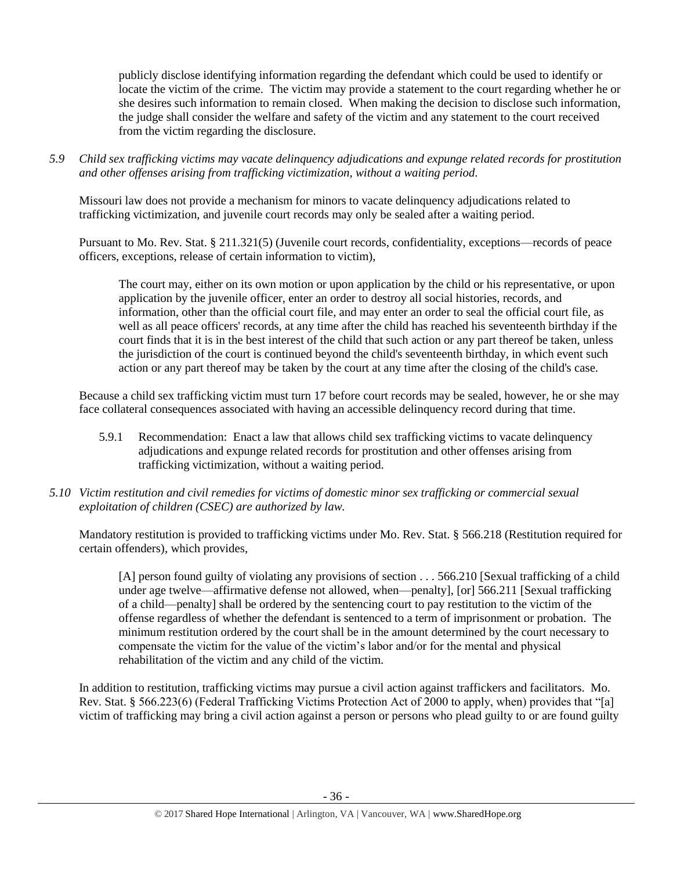publicly disclose identifying information regarding the defendant which could be used to identify or locate the victim of the crime. The victim may provide a statement to the court regarding whether he or she desires such information to remain closed. When making the decision to disclose such information, the judge shall consider the welfare and safety of the victim and any statement to the court received from the victim regarding the disclosure.

*5.9 Child sex trafficking victims may vacate delinquency adjudications and expunge related records for prostitution and other offenses arising from trafficking victimization, without a waiting period.*

Missouri law does not provide a mechanism for minors to vacate delinquency adjudications related to trafficking victimization, and juvenile court records may only be sealed after a waiting period.

Pursuant to Mo. Rev. Stat. § 211.321(5) (Juvenile court records, confidentiality, exceptions—records of peace officers, exceptions, release of certain information to victim),

The court may, either on its own motion or upon application by the child or his representative, or upon application by the juvenile officer, enter an order to destroy all social histories, records, and information, other than the official court file, and may enter an order to seal the official court file, as well as all peace officers' records, at any time after the child has reached his seventeenth birthday if the court finds that it is in the best interest of the child that such action or any part thereof be taken, unless the jurisdiction of the court is continued beyond the child's seventeenth birthday, in which event such action or any part thereof may be taken by the court at any time after the closing of the child's case.

Because a child sex trafficking victim must turn 17 before court records may be sealed, however, he or she may face collateral consequences associated with having an accessible delinquency record during that time.

- 5.9.1 Recommendation: Enact a law that allows child sex trafficking victims to vacate delinquency adjudications and expunge related records for prostitution and other offenses arising from trafficking victimization, without a waiting period.
- *5.10 Victim restitution and civil remedies for victims of domestic minor sex trafficking or commercial sexual exploitation of children (CSEC) are authorized by law.*

Mandatory restitution is provided to trafficking victims under Mo. Rev. Stat. § 566.218 (Restitution required for certain offenders), which provides,

[A] person found guilty of violating any provisions of section . . . 566.210 [Sexual trafficking of a child under age twelve—affirmative defense not allowed, when—penalty], [or] 566.211 [Sexual trafficking of a child—penalty] shall be ordered by the sentencing court to pay restitution to the victim of the offense regardless of whether the defendant is sentenced to a term of imprisonment or probation. The minimum restitution ordered by the court shall be in the amount determined by the court necessary to compensate the victim for the value of the victim's labor and/or for the mental and physical rehabilitation of the victim and any child of the victim.

In addition to restitution, trafficking victims may pursue a civil action against traffickers and facilitators. Mo. Rev. Stat. § 566.223(6) (Federal Trafficking Victims Protection Act of 2000 to apply, when) provides that "[a] victim of trafficking may bring a civil action against a person or persons who plead guilty to or are found guilty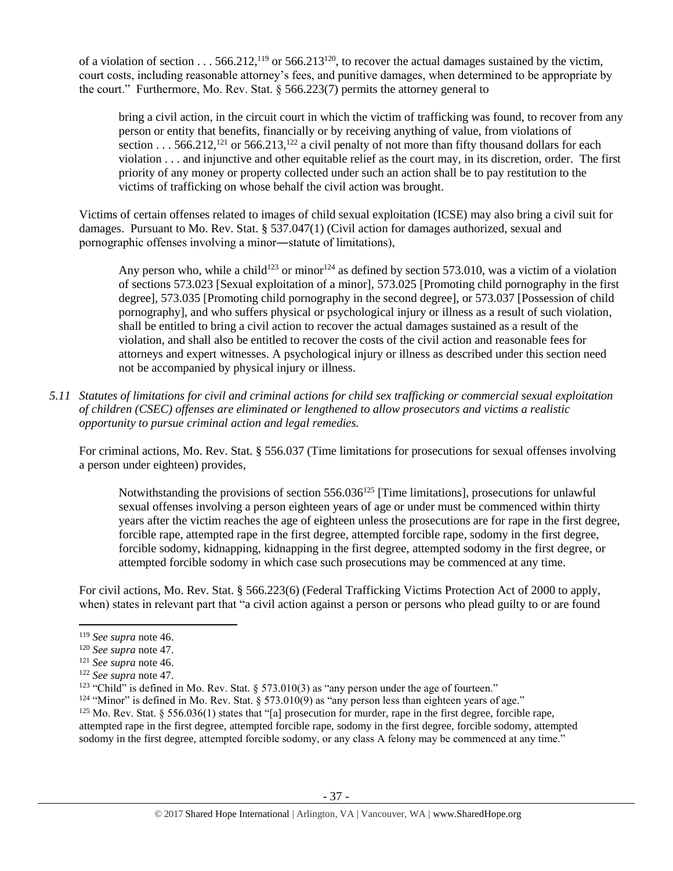of a violation of section . . . 566.212,<sup>119</sup> or 566.213<sup>120</sup>, to recover the actual damages sustained by the victim, court costs, including reasonable attorney's fees, and punitive damages, when determined to be appropriate by the court." Furthermore, Mo. Rev. Stat. § 566.223(7) permits the attorney general to

bring a civil action, in the circuit court in which the victim of trafficking was found, to recover from any person or entity that benefits, financially or by receiving anything of value, from violations of section  $\ldots$  566.212,<sup>121</sup> or 566.213,<sup>122</sup> a civil penalty of not more than fifty thousand dollars for each violation . . . and injunctive and other equitable relief as the court may, in its discretion, order. The first priority of any money or property collected under such an action shall be to pay restitution to the victims of trafficking on whose behalf the civil action was brought.

Victims of certain offenses related to images of child sexual exploitation (ICSE) may also bring a civil suit for damages. Pursuant to Mo. Rev. Stat. § 537.047(1) (Civil action for damages authorized, sexual and pornographic offenses involving a minor―statute of limitations),

Any person who, while a child<sup>123</sup> or minor<sup>124</sup> as defined by section 573.010, was a victim of a violation of sections 573.023 [Sexual exploitation of a minor], 573.025 [Promoting child pornography in the first degree], 573.035 [Promoting child pornography in the second degree], or 573.037 [Possession of child pornography], and who suffers physical or psychological injury or illness as a result of such violation, shall be entitled to bring a civil action to recover the actual damages sustained as a result of the violation, and shall also be entitled to recover the costs of the civil action and reasonable fees for attorneys and expert witnesses. A psychological injury or illness as described under this section need not be accompanied by physical injury or illness.

*5.11 Statutes of limitations for civil and criminal actions for child sex trafficking or commercial sexual exploitation of children (CSEC) offenses are eliminated or lengthened to allow prosecutors and victims a realistic opportunity to pursue criminal action and legal remedies.*

For criminal actions, Mo. Rev. Stat. § 556.037 (Time limitations for prosecutions for sexual offenses involving a person under eighteen) provides,

Notwithstanding the provisions of section  $556.036^{125}$  [Time limitations], prosecutions for unlawful sexual offenses involving a person eighteen years of age or under must be commenced within thirty years after the victim reaches the age of eighteen unless the prosecutions are for rape in the first degree, forcible rape, attempted rape in the first degree, attempted forcible rape, sodomy in the first degree, forcible sodomy, kidnapping, kidnapping in the first degree, attempted sodomy in the first degree, or attempted forcible sodomy in which case such prosecutions may be commenced at any time.

For civil actions, Mo. Rev. Stat. § 566.223(6) (Federal Trafficking Victims Protection Act of 2000 to apply, when) states in relevant part that "a civil action against a person or persons who plead guilty to or are found

<sup>119</sup> *See supra* not[e 46.](#page-13-0)

<sup>120</sup> *See supra* not[e 47.](#page-13-1)

<sup>121</sup> *See supra* not[e 46.](#page-13-0)

<sup>122</sup> *See supra* not[e 47.](#page-13-1)

<sup>&</sup>lt;sup>123</sup> "Child" is defined in Mo. Rev. Stat. § 573.010(3) as "any person under the age of fourteen."

<sup>&</sup>lt;sup>124</sup> "Minor" is defined in Mo. Rev. Stat. § 573.010(9) as "any person less than eighteen years of age."

<sup>&</sup>lt;sup>125</sup> Mo. Rev. Stat. § 556.036(1) states that "[a] prosecution for murder, rape in the first degree, forcible rape, attempted rape in the first degree, attempted forcible rape, sodomy in the first degree, forcible sodomy, attempted sodomy in the first degree, attempted forcible sodomy, or any class A felony may be commenced at any time."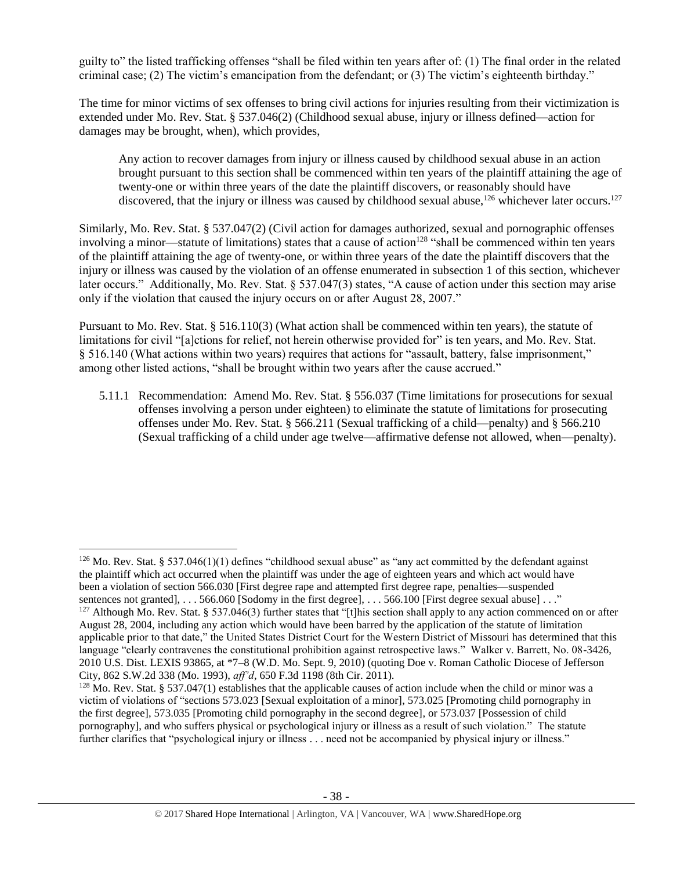guilty to" the listed trafficking offenses "shall be filed within ten years after of: (1) The final order in the related criminal case; (2) The victim's emancipation from the defendant; or (3) The victim's eighteenth birthday."

The time for minor victims of sex offenses to bring civil actions for injuries resulting from their victimization is extended under Mo. Rev. Stat. § 537.046(2) (Childhood sexual abuse, injury or illness defined—action for damages may be brought, when), which provides,

Any action to recover damages from injury or illness caused by childhood sexual abuse in an action brought pursuant to this section shall be commenced within ten years of the plaintiff attaining the age of twenty-one or within three years of the date the plaintiff discovers, or reasonably should have discovered, that the injury or illness was caused by childhood sexual abuse,<sup>126</sup> whichever later occurs.<sup>127</sup>

Similarly, Mo. Rev. Stat. § 537.047(2) (Civil action for damages authorized, sexual and pornographic offenses involving a minor—statute of limitations) states that a cause of action<sup>128</sup> "shall be commenced within ten years of the plaintiff attaining the age of twenty-one, or within three years of the date the plaintiff discovers that the injury or illness was caused by the violation of an offense enumerated in subsection 1 of this section, whichever later occurs." Additionally, Mo. Rev. Stat. § 537.047(3) states, "A cause of action under this section may arise only if the violation that caused the injury occurs on or after August 28, 2007."

Pursuant to Mo. Rev. Stat. § 516.110(3) (What action shall be commenced within ten years), the statute of limitations for civil "[a]ctions for relief, not herein otherwise provided for" is ten years, and Mo. Rev. Stat. § 516.140 (What actions within two years) requires that actions for "assault, battery, false imprisonment," among other listed actions, "shall be brought within two years after the cause accrued."

5.11.1 Recommendation: Amend Mo. Rev. Stat. § 556.037 (Time limitations for prosecutions for sexual offenses involving a person under eighteen) to eliminate the statute of limitations for prosecuting offenses under Mo. Rev. Stat. § 566.211 (Sexual trafficking of a child—penalty) and § 566.210 (Sexual trafficking of a child under age twelve—affirmative defense not allowed, when—penalty).

<sup>&</sup>lt;sup>126</sup> Mo. Rev. Stat. § 537.046(1)(1) defines "childhood sexual abuse" as "any act committed by the defendant against the plaintiff which act occurred when the plaintiff was under the age of eighteen years and which act would have been a violation of section 566.030 [First degree rape and attempted first degree rape, penalties—suspended sentences not granted], . . . 566.060 [Sodomy in the first degree], . . . 566.100 [First degree sexual abuse] . . ."

<sup>&</sup>lt;sup>127</sup> Although Mo. Rev. Stat. § 537.046(3) further states that "[t]his section shall apply to any action commenced on or after August 28, 2004, including any action which would have been barred by the application of the statute of limitation applicable prior to that date," the United States District Court for the Western District of Missouri has determined that this language "clearly contravenes the constitutional prohibition against retrospective laws." Walker v. Barrett, No. 08-3426, 2010 U.S. Dist. LEXIS 93865, at \*7–8 (W.D. Mo. Sept. 9, 2010) (quoting Doe v. Roman Catholic Diocese of Jefferson City, 862 S.W.2d 338 (Mo. 1993), *aff'd*, 650 F.3d 1198 (8th Cir. 2011).

 $128$  Mo. Rev. Stat. § 537.047(1) establishes that the applicable causes of action include when the child or minor was a victim of violations of "sections 573.023 [Sexual exploitation of a minor], 573.025 [Promoting child pornography in the first degree], 573.035 [Promoting child pornography in the second degree], or 573.037 [Possession of child pornography], and who suffers physical or psychological injury or illness as a result of such violation." The statute further clarifies that "psychological injury or illness . . . need not be accompanied by physical injury or illness."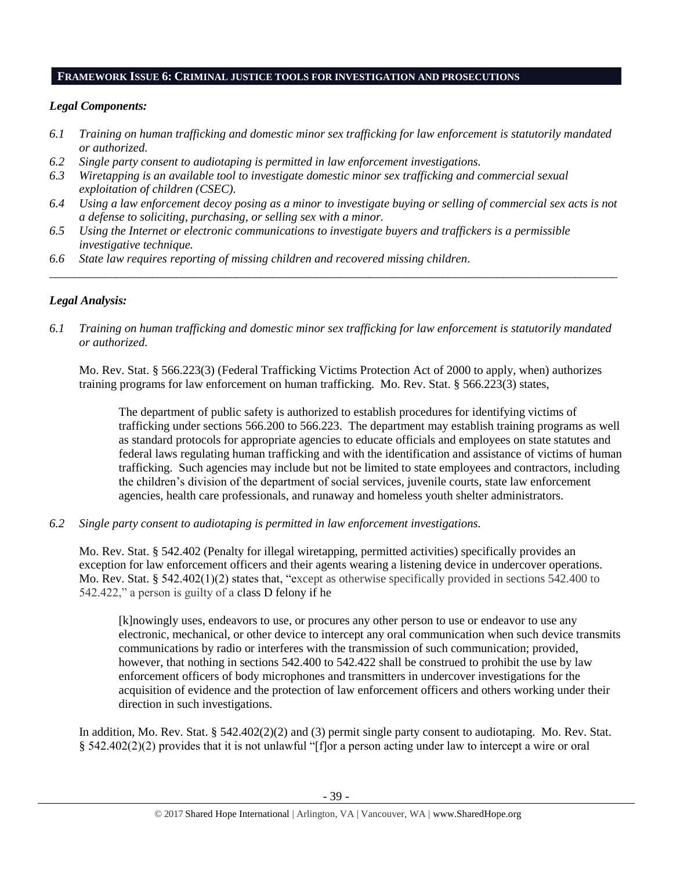## **FRAMEWORK ISSUE 6: CRIMINAL JUSTICE TOOLS FOR INVESTIGATION AND PROSECUTIONS**

# *Legal Components:*

- *6.1 Training on human trafficking and domestic minor sex trafficking for law enforcement is statutorily mandated or authorized.*
- *6.2 Single party consent to audiotaping is permitted in law enforcement investigations.*
- *6.3 Wiretapping is an available tool to investigate domestic minor sex trafficking and commercial sexual exploitation of children (CSEC).*
- *6.4 Using a law enforcement decoy posing as a minor to investigate buying or selling of commercial sex acts is not a defense to soliciting, purchasing, or selling sex with a minor.*

*\_\_\_\_\_\_\_\_\_\_\_\_\_\_\_\_\_\_\_\_\_\_\_\_\_\_\_\_\_\_\_\_\_\_\_\_\_\_\_\_\_\_\_\_\_\_\_\_\_\_\_\_\_\_\_\_\_\_\_\_\_\_\_\_\_\_\_\_\_\_\_\_\_\_\_\_\_\_\_\_\_\_\_\_\_\_\_\_\_\_\_\_\_\_*

- *6.5 Using the Internet or electronic communications to investigate buyers and traffickers is a permissible investigative technique.*
- *6.6 State law requires reporting of missing children and recovered missing children.*

# *Legal Analysis:*

*6.1 Training on human trafficking and domestic minor sex trafficking for law enforcement is statutorily mandated or authorized.*

Mo. Rev. Stat. § 566.223(3) (Federal Trafficking Victims Protection Act of 2000 to apply, when) authorizes training programs for law enforcement on human trafficking. Mo. Rev. Stat. § 566.223(3) states,

The department of public safety is authorized to establish procedures for identifying victims of trafficking under sections 566.200 to 566.223. The department may establish training programs as well as standard protocols for appropriate agencies to educate officials and employees on state statutes and federal laws regulating human trafficking and with the identification and assistance of victims of human trafficking. Such agencies may include but not be limited to state employees and contractors, including the children's division of the department of social services, juvenile courts, state law enforcement agencies, health care professionals, and runaway and homeless youth shelter administrators.

*6.2 Single party consent to audiotaping is permitted in law enforcement investigations.*

Mo. Rev. Stat. § 542.402 (Penalty for illegal wiretapping, permitted activities) specifically provides an exception for law enforcement officers and their agents wearing a listening device in undercover operations. Mo. Rev. Stat. § 542.402(1)(2) states that, "except as otherwise specifically provided in sections 542.400 to 542.422," a person is guilty of a class D felony if he

[k]nowingly uses, endeavors to use, or procures any other person to use or endeavor to use any electronic, mechanical, or other device to intercept any oral communication when such device transmits communications by radio or interferes with the transmission of such communication; provided, however, that nothing in sections 542.400 to 542.422 shall be construed to prohibit the use by law enforcement officers of body microphones and transmitters in undercover investigations for the acquisition of evidence and the protection of law enforcement officers and others working under their direction in such investigations.

In addition, Mo. Rev. Stat. § 542.402(2)(2) and (3) permit single party consent to audiotaping. Mo. Rev. Stat. § 542.402(2)(2) provides that it is not unlawful "[f]or a person acting under law to intercept a wire or oral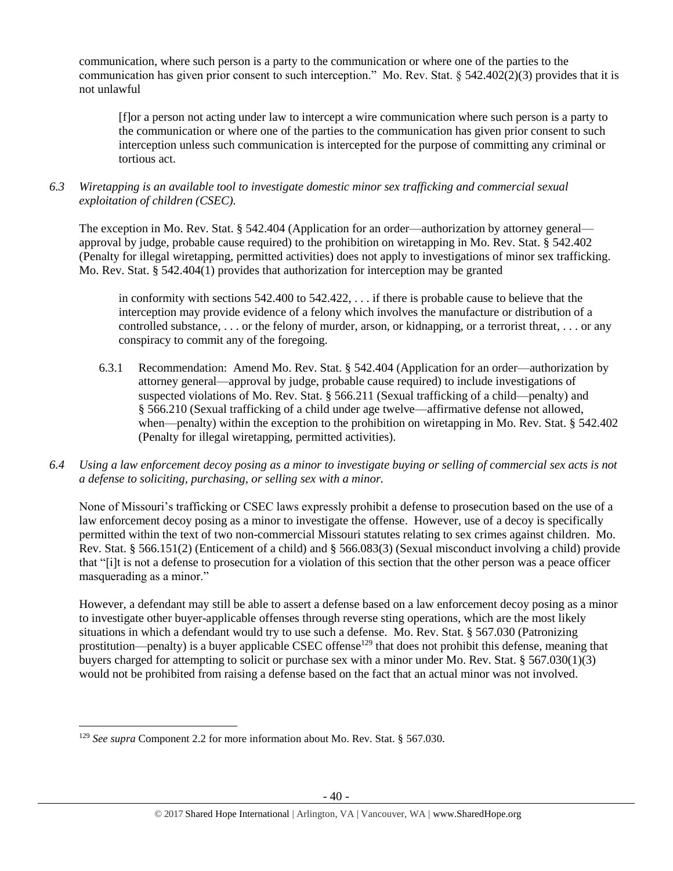communication, where such person is a party to the communication or where one of the parties to the communication has given prior consent to such interception." Mo. Rev. Stat. § 542.402(2)(3) provides that it is not unlawful

[f]or a person not acting under law to intercept a wire communication where such person is a party to the communication or where one of the parties to the communication has given prior consent to such interception unless such communication is intercepted for the purpose of committing any criminal or tortious act.

*6.3 Wiretapping is an available tool to investigate domestic minor sex trafficking and commercial sexual exploitation of children (CSEC).* 

The exception in Mo. Rev. Stat. § 542.404 (Application for an order—authorization by attorney general approval by judge, probable cause required) to the prohibition on wiretapping in Mo. Rev. Stat. § 542.402 (Penalty for illegal wiretapping, permitted activities) does not apply to investigations of minor sex trafficking. Mo. Rev. Stat. § 542.404(1) provides that authorization for interception may be granted

in conformity with sections 542.400 to 542.422, . . . if there is probable cause to believe that the interception may provide evidence of a felony which involves the manufacture or distribution of a controlled substance, . . . or the felony of murder, arson, or kidnapping, or a terrorist threat, . . . or any conspiracy to commit any of the foregoing.

- 6.3.1 Recommendation: Amend Mo. Rev. Stat. § 542.404 (Application for an order—authorization by attorney general—approval by judge, probable cause required) to include investigations of suspected violations of Mo. Rev. Stat. § 566.211 (Sexual trafficking of a child—penalty) and § 566.210 (Sexual trafficking of a child under age twelve—affirmative defense not allowed, when—penalty) within the exception to the prohibition on wiretapping in Mo. Rev. Stat. § 542.402 (Penalty for illegal wiretapping, permitted activities).
- *6.4 Using a law enforcement decoy posing as a minor to investigate buying or selling of commercial sex acts is not a defense to soliciting, purchasing, or selling sex with a minor.*

None of Missouri's trafficking or CSEC laws expressly prohibit a defense to prosecution based on the use of a law enforcement decoy posing as a minor to investigate the offense. However, use of a decoy is specifically permitted within the text of two non-commercial Missouri statutes relating to sex crimes against children. Mo. Rev. Stat. § 566.151(2) (Enticement of a child) and § 566.083(3) (Sexual misconduct involving a child) provide that "[i]t is not a defense to prosecution for a violation of this section that the other person was a peace officer masquerading as a minor."

However, a defendant may still be able to assert a defense based on a law enforcement decoy posing as a minor to investigate other buyer-applicable offenses through reverse sting operations, which are the most likely situations in which a defendant would try to use such a defense. Mo. Rev. Stat. § 567.030 (Patronizing prostitution—penalty) is a buyer applicable CSEC offense<sup>129</sup> that does not prohibit this defense, meaning that buyers charged for attempting to solicit or purchase sex with a minor under Mo. Rev. Stat. § 567.030(1)(3) would not be prohibited from raising a defense based on the fact that an actual minor was not involved.

l

<sup>129</sup> *See supra* Component 2.2 for more information about Mo. Rev. Stat. § 567.030.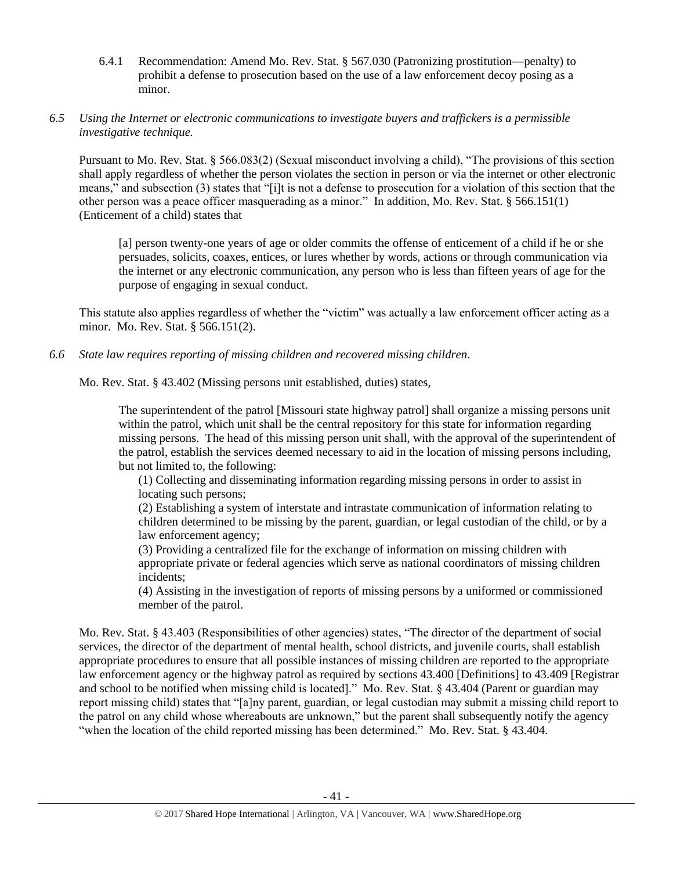6.4.1 Recommendation: Amend Mo. Rev. Stat. § 567.030 (Patronizing prostitution—penalty) to prohibit a defense to prosecution based on the use of a law enforcement decoy posing as a minor.

# *6.5 Using the Internet or electronic communications to investigate buyers and traffickers is a permissible investigative technique.*

Pursuant to Mo. Rev. Stat. § 566.083(2) (Sexual misconduct involving a child), "The provisions of this section shall apply regardless of whether the person violates the section in person or via the internet or other electronic means," and subsection (3) states that "[i]t is not a defense to prosecution for a violation of this section that the other person was a peace officer masquerading as a minor." In addition, Mo. Rev. Stat. § 566.151(1) (Enticement of a child) states that

[a] person twenty-one years of age or older commits the offense of enticement of a child if he or she persuades, solicits, coaxes, entices, or lures whether by words, actions or through communication via the internet or any electronic communication, any person who is less than fifteen years of age for the purpose of engaging in sexual conduct.

This statute also applies regardless of whether the "victim" was actually a law enforcement officer acting as a minor. Mo. Rev. Stat. § 566.151(2).

*6.6 State law requires reporting of missing children and recovered missing children.*

Mo. Rev. Stat. § 43.402 (Missing persons unit established, duties) states,

The superintendent of the patrol [Missouri state highway patrol] shall organize a missing persons unit within the patrol, which unit shall be the central repository for this state for information regarding missing persons. The head of this missing person unit shall, with the approval of the superintendent of the patrol, establish the services deemed necessary to aid in the location of missing persons including, but not limited to, the following:

(1) Collecting and disseminating information regarding missing persons in order to assist in locating such persons;

(2) Establishing a system of interstate and intrastate communication of information relating to children determined to be missing by the parent, guardian, or legal custodian of the child, or by a law enforcement agency;

(3) Providing a centralized file for the exchange of information on missing children with appropriate private or federal agencies which serve as national coordinators of missing children incidents;

(4) Assisting in the investigation of reports of missing persons by a uniformed or commissioned member of the patrol.

Mo. Rev. Stat. § 43.403 (Responsibilities of other agencies) states, "The director of the department of social services, the director of the department of mental health, school districts, and juvenile courts, shall establish appropriate procedures to ensure that all possible instances of missing children are reported to the appropriate law enforcement agency or the highway patrol as required by sections 43.400 [Definitions] to 43.409 [Registrar and school to be notified when missing child is located]." Mo. Rev. Stat. § 43.404 (Parent or guardian may report missing child) states that "[a]ny parent, guardian, or legal custodian may submit a missing child report to the patrol on any child whose whereabouts are unknown," but the parent shall subsequently notify the agency "when the location of the child reported missing has been determined." Mo. Rev. Stat. § 43.404.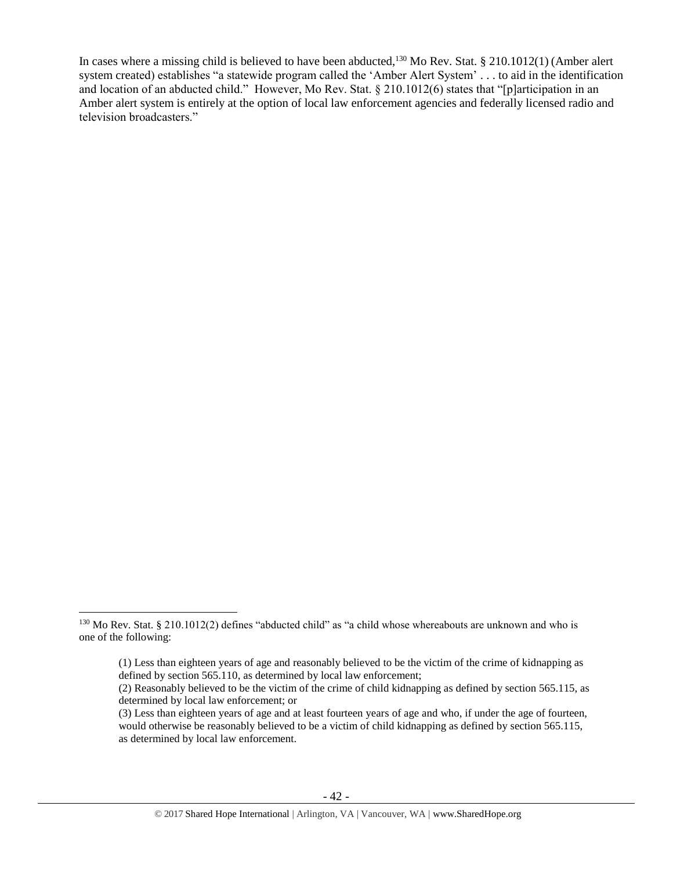In cases where a missing child is believed to have been abducted,<sup>130</sup> Mo Rev. Stat. § 210.1012(1) (Amber alert system created) establishes "a statewide program called the 'Amber Alert System' . . . to aid in the identification and location of an abducted child." However, Mo Rev. Stat. § 210.1012(6) states that "[p]articipation in an Amber alert system is entirely at the option of local law enforcement agencies and federally licensed radio and television broadcasters."

l

<sup>&</sup>lt;sup>130</sup> Mo Rev. Stat. § 210.1012(2) defines "abducted child" as "a child whose whereabouts are unknown and who is one of the following:

<sup>(1)</sup> Less than eighteen years of age and reasonably believed to be the victim of the crime of kidnapping as defined by section 565.110, as determined by local law enforcement;

<sup>(2)</sup> Reasonably believed to be the victim of the crime of child kidnapping as defined by section 565.115, as determined by local law enforcement; or

<sup>(3)</sup> Less than eighteen years of age and at least fourteen years of age and who, if under the age of fourteen, would otherwise be reasonably believed to be a victim of child kidnapping as defined by section 565.115, as determined by local law enforcement.